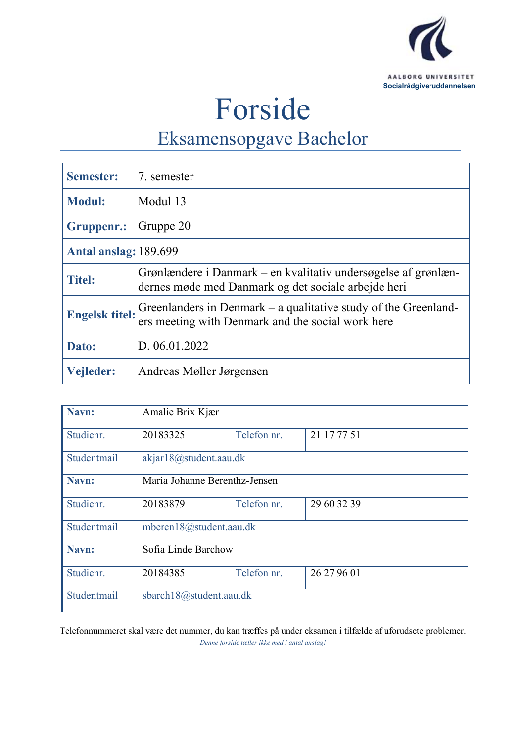

# Forside

## Eksamensopgave Bachelor

| <b>Semester:</b>      | 7. semester                                                                                                                                |
|-----------------------|--------------------------------------------------------------------------------------------------------------------------------------------|
| <b>Modul:</b>         | Modul 13                                                                                                                                   |
| Gruppenr.:            | Gruppe $20$                                                                                                                                |
| Antal anslag: 189.699 |                                                                                                                                            |
| <b>Titel:</b>         | Grønlændere i Danmark – en kvalitativ undersøgelse af grønlæn-<br>dernes møde med Danmark og det sociale arbejde heri                      |
|                       | <b>Engelsk titel:</b> Greenlanders in Denmark – a qualitative study of the Greenland-<br>ers meeting with Denmark and the social work here |
| Dato:                 | D. 06.01.2022                                                                                                                              |
| Vejleder:             | Andreas Møller Jørgensen                                                                                                                   |

| Navn:       | Amalie Brix Kjær              |             |             |  |
|-------------|-------------------------------|-------------|-------------|--|
| Studienr.   | 20183325                      | Telefon nr. | 21 17 77 51 |  |
| Studentmail | akjar18@student.aau.dk        |             |             |  |
| Navn:       | Maria Johanne Berenthz-Jensen |             |             |  |
| Studienr.   | 20183879                      | Telefon nr. | 29 60 32 39 |  |
| Studentmail | mberen18@student.aau.dk       |             |             |  |
| Navn:       | Sofia Linde Barchow           |             |             |  |
| Studienr.   | 20184385                      | Telefon nr. | 26 27 96 01 |  |
| Studentmail | sbarch18@student.aau.dk       |             |             |  |

Telefonnummeret skal være det nummer, du kan træffes på under eksamen i tilfælde af uforudsete problemer. *Denne forside tæller ikke med i antal anslag!*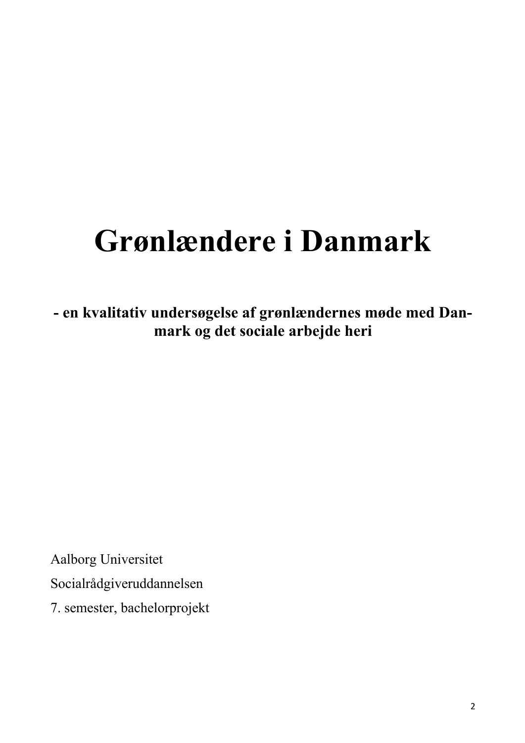## **Grønlændere i Danmark**

**- en kvalitativ undersøgelse af grønlændernes møde med Danmark og det sociale arbejde heri**

Aalborg Universitet Socialrådgiveruddannelsen 7. semester, bachelorprojekt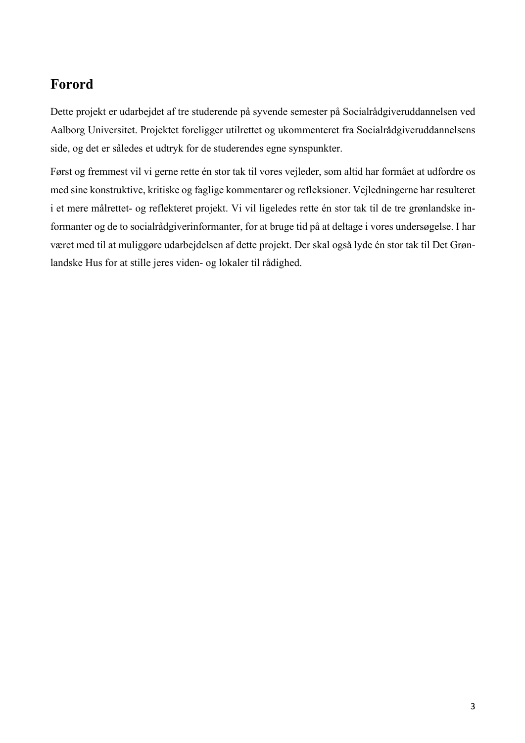### **Forord**

Dette projekt er udarbejdet af tre studerende på syvende semester på Socialrådgiveruddannelsen ved Aalborg Universitet. Projektet foreligger utilrettet og ukommenteret fra Socialrådgiveruddannelsens side, og det er således et udtryk for de studerendes egne synspunkter.

Først og fremmest vil vi gerne rette én stor tak til vores vejleder, som altid har formået at udfordre os med sine konstruktive, kritiske og faglige kommentarer og refleksioner. Vejledningerne har resulteret i et mere målrettet- og reflekteret projekt. Vi vil ligeledes rette én stor tak til de tre grønlandske informanter og de to socialrådgiverinformanter, for at bruge tid på at deltage i vores undersøgelse. I har været med til at muliggøre udarbejdelsen af dette projekt. Der skal også lyde én stor tak til Det Grønlandske Hus for at stille jeres viden- og lokaler til rådighed.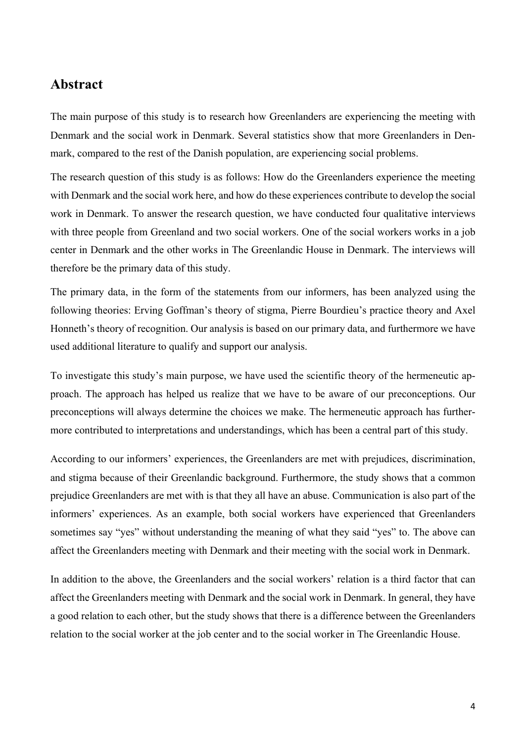### **Abstract**

The main purpose of this study is to research how Greenlanders are experiencing the meeting with Denmark and the social work in Denmark. Several statistics show that more Greenlanders in Denmark, compared to the rest of the Danish population, are experiencing social problems.

The research question of this study is as follows: How do the Greenlanders experience the meeting with Denmark and the social work here, and how do these experiences contribute to develop the social work in Denmark. To answer the research question, we have conducted four qualitative interviews with three people from Greenland and two social workers. One of the social workers works in a job center in Denmark and the other works in The Greenlandic House in Denmark. The interviews will therefore be the primary data of this study.

The primary data, in the form of the statements from our informers, has been analyzed using the following theories: Erving Goffman's theory of stigma, Pierre Bourdieu's practice theory and Axel Honneth's theory of recognition. Our analysis is based on our primary data, and furthermore we have used additional literature to qualify and support our analysis.

To investigate this study's main purpose, we have used the scientific theory of the hermeneutic approach. The approach has helped us realize that we have to be aware of our preconceptions. Our preconceptions will always determine the choices we make. The hermeneutic approach has furthermore contributed to interpretations and understandings, which has been a central part of this study.

According to our informers' experiences, the Greenlanders are met with prejudices, discrimination, and stigma because of their Greenlandic background. Furthermore, the study shows that a common prejudice Greenlanders are met with is that they all have an abuse. Communication is also part of the informers' experiences. As an example, both social workers have experienced that Greenlanders sometimes say "yes" without understanding the meaning of what they said "yes" to. The above can affect the Greenlanders meeting with Denmark and their meeting with the social work in Denmark.

In addition to the above, the Greenlanders and the social workers' relation is a third factor that can affect the Greenlanders meeting with Denmark and the social work in Denmark. In general, they have a good relation to each other, but the study shows that there is a difference between the Greenlanders relation to the social worker at the job center and to the social worker in The Greenlandic House.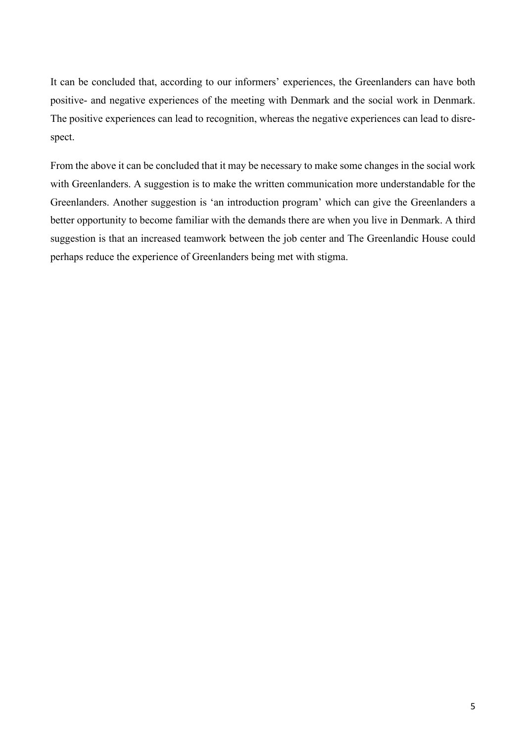It can be concluded that, according to our informers' experiences, the Greenlanders can have both positive- and negative experiences of the meeting with Denmark and the social work in Denmark. The positive experiences can lead to recognition, whereas the negative experiences can lead to disrespect.

From the above it can be concluded that it may be necessary to make some changes in the social work with Greenlanders. A suggestion is to make the written communication more understandable for the Greenlanders. Another suggestion is 'an introduction program' which can give the Greenlanders a better opportunity to become familiar with the demands there are when you live in Denmark. A third suggestion is that an increased teamwork between the job center and The Greenlandic House could perhaps reduce the experience of Greenlanders being met with stigma.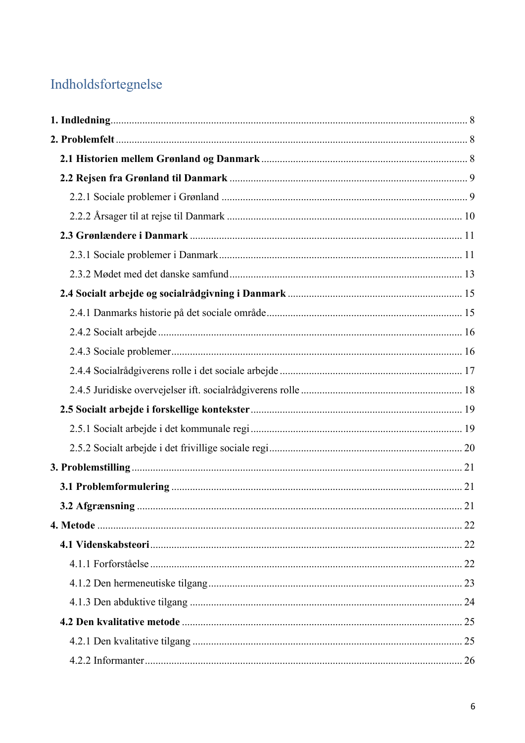### Indholdsfortegnelse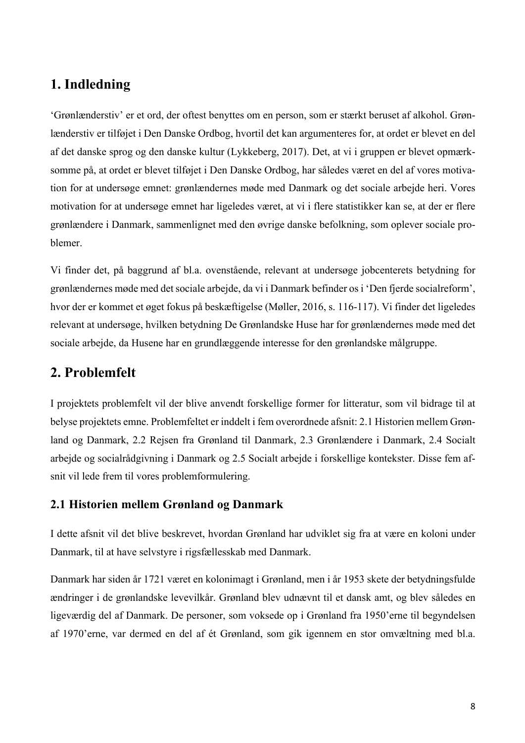### **1. Indledning**

'Grønlænderstiv' er et ord, der oftest benyttes om en person, som er stærkt beruset af alkohol. Grønlænderstiv er tilføjet i Den Danske Ordbog, hvortil det kan argumenteres for, at ordet er blevet en del af det danske sprog og den danske kultur (Lykkeberg, 2017). Det, at vi i gruppen er blevet opmærksomme på, at ordet er blevet tilføjet i Den Danske Ordbog, har således været en del af vores motivation for at undersøge emnet: grønlændernes møde med Danmark og det sociale arbejde heri. Vores motivation for at undersøge emnet har ligeledes været, at vi i flere statistikker kan se, at der er flere grønlændere i Danmark, sammenlignet med den øvrige danske befolkning, som oplever sociale problemer.

Vi finder det, på baggrund af bl.a. ovenstående, relevant at undersøge jobcenterets betydning for grønlændernes møde med det sociale arbejde, da vi i Danmark befinder os i 'Den fjerde socialreform', hvor der er kommet et øget fokus på beskæftigelse (Møller, 2016, s. 116-117). Vi finder det ligeledes relevant at undersøge, hvilken betydning De Grønlandske Huse har for grønlændernes møde med det sociale arbejde, da Husene har en grundlæggende interesse for den grønlandske målgruppe.

### **2. Problemfelt**

I projektets problemfelt vil der blive anvendt forskellige former for litteratur, som vil bidrage til at belyse projektets emne. Problemfeltet er inddelt i fem overordnede afsnit: 2.1 Historien mellem Grønland og Danmark, 2.2 Rejsen fra Grønland til Danmark, 2.3 Grønlændere i Danmark, 2.4 Socialt arbejde og socialrådgivning i Danmark og 2.5 Socialt arbejde i forskellige kontekster. Disse fem afsnit vil lede frem til vores problemformulering.

### **2.1 Historien mellem Grønland og Danmark**

I dette afsnit vil det blive beskrevet, hvordan Grønland har udviklet sig fra at være en koloni under Danmark, til at have selvstyre i rigsfællesskab med Danmark.

Danmark har siden år 1721 været en kolonimagt i Grønland, men i år 1953 skete der betydningsfulde ændringer i de grønlandske levevilkår. Grønland blev udnævnt til et dansk amt, og blev således en ligeværdig del af Danmark. De personer, som voksede op i Grønland fra 1950'erne til begyndelsen af 1970'erne, var dermed en del af ét Grønland, som gik igennem en stor omvæltning med bl.a.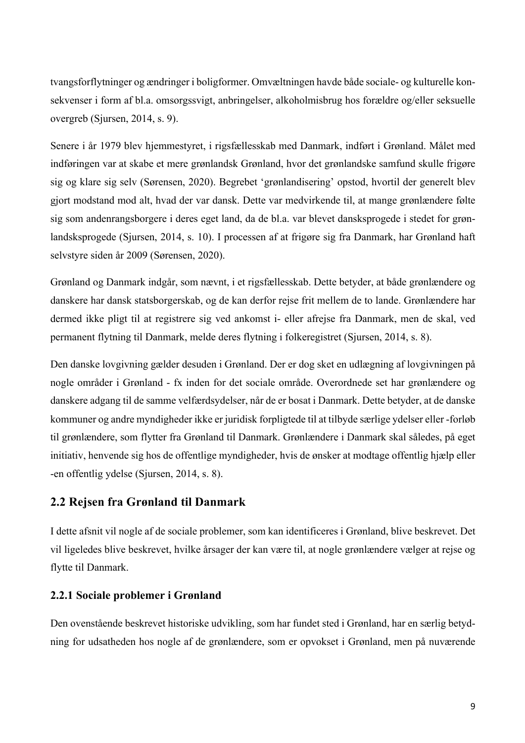tvangsforflytninger og ændringer i boligformer. Omvæltningen havde både sociale- og kulturelle konsekvenser i form af bl.a. omsorgssvigt, anbringelser, alkoholmisbrug hos forældre og/eller seksuelle overgreb (Sjursen, 2014, s. 9).

Senere i år 1979 blev hjemmestyret, i rigsfællesskab med Danmark, indført i Grønland. Målet med indføringen var at skabe et mere grønlandsk Grønland, hvor det grønlandske samfund skulle frigøre sig og klare sig selv (Sørensen, 2020). Begrebet 'grønlandisering' opstod, hvortil der generelt blev gjort modstand mod alt, hvad der var dansk. Dette var medvirkende til, at mange grønlændere følte sig som andenrangsborgere i deres eget land, da de bl.a. var blevet dansksprogede i stedet for grønlandsksprogede (Sjursen, 2014, s. 10). I processen af at frigøre sig fra Danmark, har Grønland haft selvstyre siden år 2009 (Sørensen, 2020).

Grønland og Danmark indgår, som nævnt, i et rigsfællesskab. Dette betyder, at både grønlændere og danskere har dansk statsborgerskab, og de kan derfor rejse frit mellem de to lande. Grønlændere har dermed ikke pligt til at registrere sig ved ankomst i- eller afrejse fra Danmark, men de skal, ved permanent flytning til Danmark, melde deres flytning i folkeregistret (Sjursen, 2014, s. 8).

Den danske lovgivning gælder desuden i Grønland. Der er dog sket en udlægning af lovgivningen på nogle områder i Grønland - fx inden for det sociale område. Overordnede set har grønlændere og danskere adgang til de samme velfærdsydelser, når de er bosat i Danmark. Dette betyder, at de danske kommuner og andre myndigheder ikke er juridisk forpligtede til at tilbyde særlige ydelser eller -forløb til grønlændere, som flytter fra Grønland til Danmark. Grønlændere i Danmark skal således, på eget initiativ, henvende sig hos de offentlige myndigheder, hvis de ønsker at modtage offentlig hjælp eller -en offentlig ydelse (Sjursen, 2014, s. 8).

### **2.2 Rejsen fra Grønland til Danmark**

I dette afsnit vil nogle af de sociale problemer, som kan identificeres i Grønland, blive beskrevet. Det vil ligeledes blive beskrevet, hvilke årsager der kan være til, at nogle grønlændere vælger at rejse og flytte til Danmark.

### **2.2.1 Sociale problemer i Grønland**

Den ovenstående beskrevet historiske udvikling, som har fundet sted i Grønland, har en særlig betydning for udsatheden hos nogle af de grønlændere, som er opvokset i Grønland, men på nuværende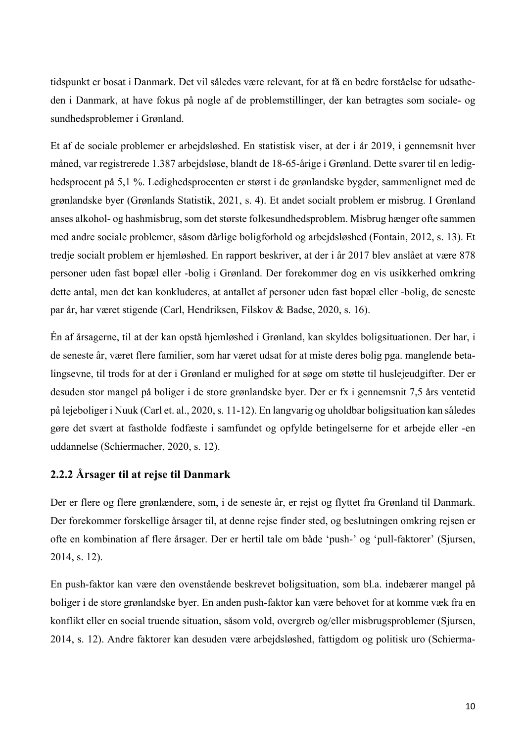tidspunkt er bosat i Danmark. Det vil således være relevant, for at få en bedre forståelse for udsatheden i Danmark, at have fokus på nogle af de problemstillinger, der kan betragtes som sociale- og sundhedsproblemer i Grønland.

Et af de sociale problemer er arbejdsløshed. En statistisk viser, at der i år 2019, i gennemsnit hver måned, var registrerede 1.387 arbejdsløse, blandt de 18-65-årige i Grønland. Dette svarer til en ledighedsprocent på 5,1 %. Ledighedsprocenten er størst i de grønlandske bygder, sammenlignet med de grønlandske byer (Grønlands Statistik, 2021, s. 4). Et andet socialt problem er misbrug. I Grønland anses alkohol- og hashmisbrug, som det største folkesundhedsproblem. Misbrug hænger ofte sammen med andre sociale problemer, såsom dårlige boligforhold og arbejdsløshed (Fontain, 2012, s. 13). Et tredje socialt problem er hjemløshed. En rapport beskriver, at der i år 2017 blev anslået at være 878 personer uden fast bopæl eller -bolig i Grønland. Der forekommer dog en vis usikkerhed omkring dette antal, men det kan konkluderes, at antallet af personer uden fast bopæl eller -bolig, de seneste par år, har været stigende (Carl, Hendriksen, Filskov & Badse, 2020, s. 16).

Én af årsagerne, til at der kan opstå hjemløshed i Grønland, kan skyldes boligsituationen. Der har, i de seneste år, været flere familier, som har været udsat for at miste deres bolig pga. manglende betalingsevne, til trods for at der i Grønland er mulighed for at søge om støtte til huslejeudgifter. Der er desuden stor mangel på boliger i de store grønlandske byer. Der er fx i gennemsnit 7,5 års ventetid på lejeboliger i Nuuk (Carl et. al., 2020, s. 11-12). En langvarig og uholdbar boligsituation kan således gøre det svært at fastholde fodfæste i samfundet og opfylde betingelserne for et arbejde eller -en uddannelse (Schiermacher, 2020, s. 12).

### **2.2.2 Årsager til at rejse til Danmark**

Der er flere og flere grønlændere, som, i de seneste år, er rejst og flyttet fra Grønland til Danmark. Der forekommer forskellige årsager til, at denne rejse finder sted, og beslutningen omkring rejsen er ofte en kombination af flere årsager. Der er hertil tale om både 'push-' og 'pull-faktorer' (Sjursen, 2014, s. 12).

En push-faktor kan være den ovenstående beskrevet boligsituation, som bl.a. indebærer mangel på boliger i de store grønlandske byer. En anden push-faktor kan være behovet for at komme væk fra en konflikt eller en social truende situation, såsom vold, overgreb og/eller misbrugsproblemer (Sjursen, 2014, s. 12). Andre faktorer kan desuden være arbejdsløshed, fattigdom og politisk uro (Schierma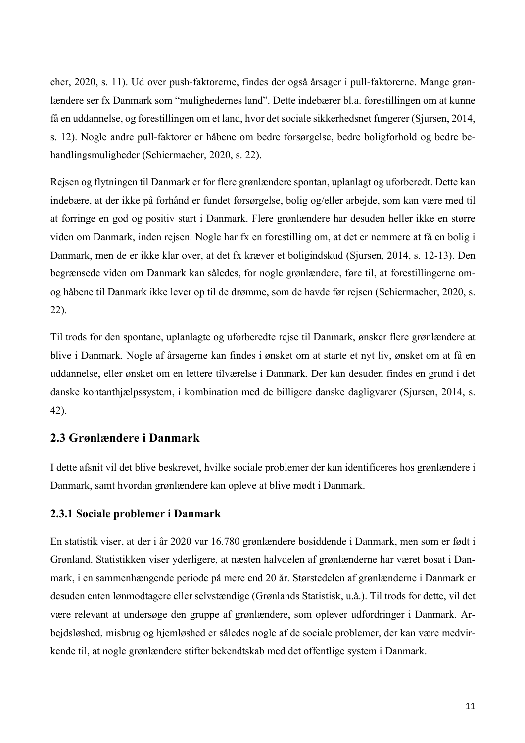cher, 2020, s. 11). Ud over push-faktorerne, findes der også årsager i pull-faktorerne. Mange grønlændere ser fx Danmark som "mulighedernes land". Dette indebærer bl.a. forestillingen om at kunne få en uddannelse, og forestillingen om et land, hvor det sociale sikkerhedsnet fungerer (Sjursen, 2014, s. 12). Nogle andre pull-faktorer er håbene om bedre forsørgelse, bedre boligforhold og bedre behandlingsmuligheder (Schiermacher, 2020, s. 22).

Rejsen og flytningen til Danmark er for flere grønlændere spontan, uplanlagt og uforberedt. Dette kan indebære, at der ikke på forhånd er fundet forsørgelse, bolig og/eller arbejde, som kan være med til at forringe en god og positiv start i Danmark. Flere grønlændere har desuden heller ikke en større viden om Danmark, inden rejsen. Nogle har fx en forestilling om, at det er nemmere at få en bolig i Danmark, men de er ikke klar over, at det fx kræver et boligindskud (Sjursen, 2014, s. 12-13). Den begrænsede viden om Danmark kan således, for nogle grønlændere, føre til, at forestillingerne omog håbene til Danmark ikke lever op til de drømme, som de havde før rejsen (Schiermacher, 2020, s. 22).

Til trods for den spontane, uplanlagte og uforberedte rejse til Danmark, ønsker flere grønlændere at blive i Danmark. Nogle af årsagerne kan findes i ønsket om at starte et nyt liv, ønsket om at få en uddannelse, eller ønsket om en lettere tilværelse i Danmark. Der kan desuden findes en grund i det danske kontanthjælpssystem, i kombination med de billigere danske dagligvarer (Sjursen, 2014, s. 42).

### **2.3 Grønlændere i Danmark**

I dette afsnit vil det blive beskrevet, hvilke sociale problemer der kan identificeres hos grønlændere i Danmark, samt hvordan grønlændere kan opleve at blive mødt i Danmark.

### **2.3.1 Sociale problemer i Danmark**

En statistik viser, at der i år 2020 var 16.780 grønlændere bosiddende i Danmark, men som er født i Grønland. Statistikken viser yderligere, at næsten halvdelen af grønlænderne har været bosat i Danmark, i en sammenhængende periode på mere end 20 år. Størstedelen af grønlænderne i Danmark er desuden enten lønmodtagere eller selvstændige (Grønlands Statistisk, u.å.). Til trods for dette, vil det være relevant at undersøge den gruppe af grønlændere, som oplever udfordringer i Danmark. Arbejdsløshed, misbrug og hjemløshed er således nogle af de sociale problemer, der kan være medvirkende til, at nogle grønlændere stifter bekendtskab med det offentlige system i Danmark.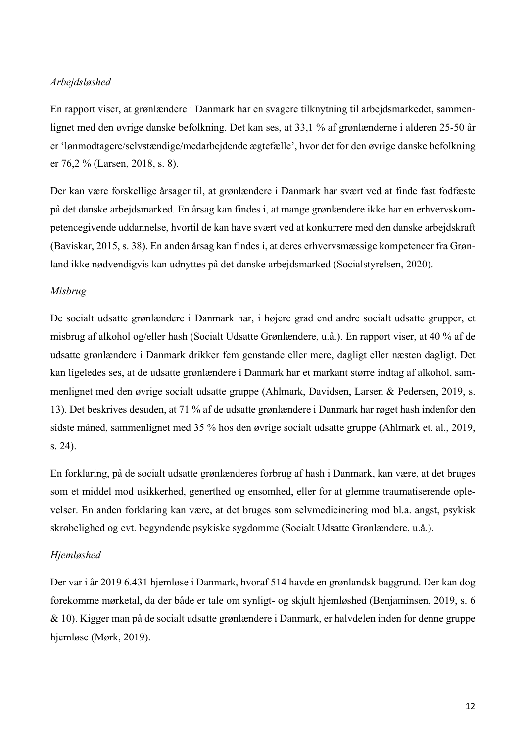### *Arbejdsløshed*

En rapport viser, at grønlændere i Danmark har en svagere tilknytning til arbejdsmarkedet, sammenlignet med den øvrige danske befolkning. Det kan ses, at 33,1 % af grønlænderne i alderen 25-50 år er 'lønmodtagere/selvstændige/medarbejdende ægtefælle', hvor det for den øvrige danske befolkning er 76,2 % (Larsen, 2018, s. 8).

Der kan være forskellige årsager til, at grønlændere i Danmark har svært ved at finde fast fodfæste på det danske arbejdsmarked. En årsag kan findes i, at mange grønlændere ikke har en erhvervskompetencegivende uddannelse, hvortil de kan have svært ved at konkurrere med den danske arbejdskraft (Baviskar, 2015, s. 38). En anden årsag kan findes i, at deres erhvervsmæssige kompetencer fra Grønland ikke nødvendigvis kan udnyttes på det danske arbejdsmarked (Socialstyrelsen, 2020).

### *Misbrug*

De socialt udsatte grønlændere i Danmark har, i højere grad end andre socialt udsatte grupper, et misbrug af alkohol og/eller hash (Socialt Udsatte Grønlændere, u.å.). En rapport viser, at 40 % af de udsatte grønlændere i Danmark drikker fem genstande eller mere, dagligt eller næsten dagligt. Det kan ligeledes ses, at de udsatte grønlændere i Danmark har et markant større indtag af alkohol, sammenlignet med den øvrige socialt udsatte gruppe (Ahlmark, Davidsen, Larsen & Pedersen, 2019, s. 13). Det beskrives desuden, at 71 % af de udsatte grønlændere i Danmark har røget hash indenfor den sidste måned, sammenlignet med 35 % hos den øvrige socialt udsatte gruppe (Ahlmark et. al., 2019, s. 24).

En forklaring, på de socialt udsatte grønlænderes forbrug af hash i Danmark, kan være, at det bruges som et middel mod usikkerhed, generthed og ensomhed, eller for at glemme traumatiserende oplevelser. En anden forklaring kan være, at det bruges som selvmedicinering mod bl.a. angst, psykisk skrøbelighed og evt. begyndende psykiske sygdomme (Socialt Udsatte Grønlændere, u.å.).

### *Hjemløshed*

Der var i år 2019 6.431 hjemløse i Danmark, hvoraf 514 havde en grønlandsk baggrund. Der kan dog forekomme mørketal, da der både er tale om synligt- og skjult hjemløshed (Benjaminsen, 2019, s. 6 & 10). Kigger man på de socialt udsatte grønlændere i Danmark, er halvdelen inden for denne gruppe hjemløse (Mørk, 2019).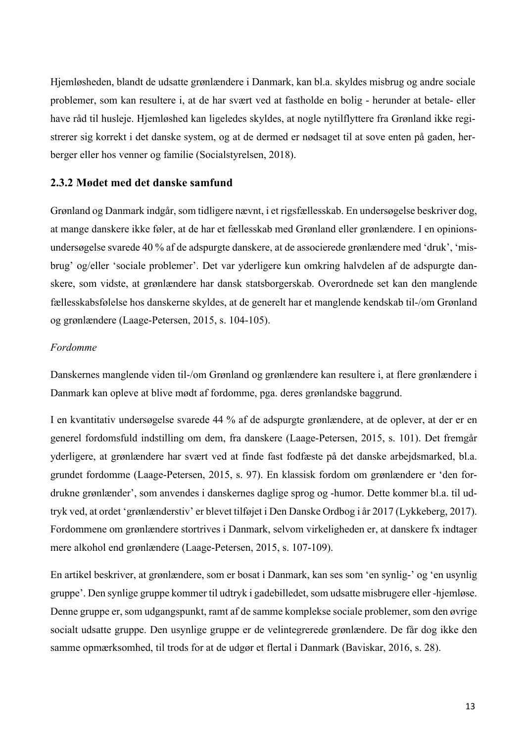Hjemløsheden, blandt de udsatte grønlændere i Danmark, kan bl.a. skyldes misbrug og andre sociale problemer, som kan resultere i, at de har svært ved at fastholde en bolig - herunder at betale- eller have råd til husleje. Hjemløshed kan ligeledes skyldes, at nogle nytilflyttere fra Grønland ikke registrerer sig korrekt i det danske system, og at de dermed er nødsaget til at sove enten på gaden, herberger eller hos venner og familie (Socialstyrelsen, 2018).

### **2.3.2 Mødet med det danske samfund**

Grønland og Danmark indgår, som tidligere nævnt, i et rigsfællesskab. En undersøgelse beskriver dog, at mange danskere ikke føler, at de har et fællesskab med Grønland eller grønlændere. I en opinionsundersøgelse svarede 40 % af de adspurgte danskere, at de associerede grønlændere med 'druk', 'misbrug' og/eller 'sociale problemer'. Det var yderligere kun omkring halvdelen af de adspurgte danskere, som vidste, at grønlændere har dansk statsborgerskab. Overordnede set kan den manglende fællesskabsfølelse hos danskerne skyldes, at de generelt har et manglende kendskab til-/om Grønland og grønlændere (Laage-Petersen, 2015, s. 104-105).

### *Fordomme*

Danskernes manglende viden til-/om Grønland og grønlændere kan resultere i, at flere grønlændere i Danmark kan opleve at blive mødt af fordomme, pga. deres grønlandske baggrund.

I en kvantitativ undersøgelse svarede 44 % af de adspurgte grønlændere, at de oplever, at der er en generel fordomsfuld indstilling om dem, fra danskere (Laage-Petersen, 2015, s. 101). Det fremgår yderligere, at grønlændere har svært ved at finde fast fodfæste på det danske arbejdsmarked, bl.a. grundet fordomme (Laage-Petersen, 2015, s. 97). En klassisk fordom om grønlændere er 'den fordrukne grønlænder', som anvendes i danskernes daglige sprog og -humor. Dette kommer bl.a. til udtryk ved, at ordet 'grønlænderstiv' er blevet tilføjet i Den Danske Ordbog i år 2017 (Lykkeberg, 2017). Fordommene om grønlændere stortrives i Danmark, selvom virkeligheden er, at danskere fx indtager mere alkohol end grønlændere (Laage-Petersen, 2015, s. 107-109).

En artikel beskriver, at grønlændere, som er bosat i Danmark, kan ses som 'en synlig-' og 'en usynlig gruppe'. Den synlige gruppe kommer til udtryk i gadebilledet, som udsatte misbrugere eller -hjemløse. Denne gruppe er, som udgangspunkt, ramt af de samme komplekse sociale problemer, som den øvrige socialt udsatte gruppe. Den usynlige gruppe er de velintegrerede grønlændere. De får dog ikke den samme opmærksomhed, til trods for at de udgør et flertal i Danmark (Baviskar, 2016, s. 28).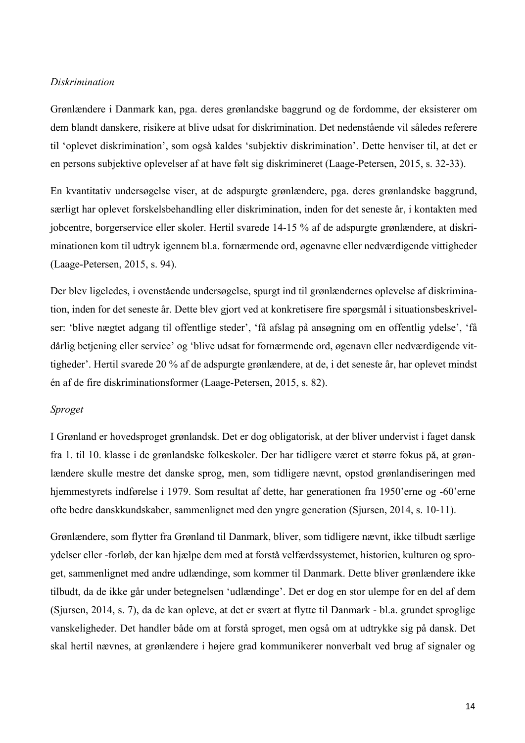### *Diskrimination*

Grønlændere i Danmark kan, pga. deres grønlandske baggrund og de fordomme, der eksisterer om dem blandt danskere, risikere at blive udsat for diskrimination. Det nedenstående vil således referere til 'oplevet diskrimination', som også kaldes 'subjektiv diskrimination'. Dette henviser til, at det er en persons subjektive oplevelser af at have følt sig diskrimineret (Laage-Petersen, 2015, s. 32-33).

En kvantitativ undersøgelse viser, at de adspurgte grønlændere, pga. deres grønlandske baggrund, særligt har oplevet forskelsbehandling eller diskrimination, inden for det seneste år, i kontakten med jobcentre, borgerservice eller skoler. Hertil svarede 14-15 % af de adspurgte grønlændere, at diskriminationen kom til udtryk igennem bl.a. fornærmende ord, øgenavne eller nedværdigende vittigheder (Laage-Petersen, 2015, s. 94).

Der blev ligeledes, i ovenstående undersøgelse, spurgt ind til grønlændernes oplevelse af diskrimination, inden for det seneste år. Dette blev gjort ved at konkretisere fire spørgsmål i situationsbeskrivelser: 'blive nægtet adgang til offentlige steder', 'få afslag på ansøgning om en offentlig ydelse', 'få dårlig betjening eller service' og 'blive udsat for fornærmende ord, øgenavn eller nedværdigende vittigheder'. Hertil svarede 20 % af de adspurgte grønlændere, at de, i det seneste år, har oplevet mindst én af de fire diskriminationsformer (Laage-Petersen, 2015, s. 82).

### *Sproget*

I Grønland er hovedsproget grønlandsk. Det er dog obligatorisk, at der bliver undervist i faget dansk fra 1. til 10. klasse i de grønlandske folkeskoler. Der har tidligere været et større fokus på, at grønlændere skulle mestre det danske sprog, men, som tidligere nævnt, opstod grønlandiseringen med hjemmestyrets indførelse i 1979. Som resultat af dette, har generationen fra 1950'erne og -60'erne ofte bedre danskkundskaber, sammenlignet med den yngre generation (Sjursen, 2014, s. 10-11).

Grønlændere, som flytter fra Grønland til Danmark, bliver, som tidligere nævnt, ikke tilbudt særlige ydelser eller -forløb, der kan hjælpe dem med at forstå velfærdssystemet, historien, kulturen og sproget, sammenlignet med andre udlændinge, som kommer til Danmark. Dette bliver grønlændere ikke tilbudt, da de ikke går under betegnelsen 'udlændinge'. Det er dog en stor ulempe for en del af dem (Sjursen, 2014, s. 7), da de kan opleve, at det er svært at flytte til Danmark - bl.a. grundet sproglige vanskeligheder. Det handler både om at forstå sproget, men også om at udtrykke sig på dansk. Det skal hertil nævnes, at grønlændere i højere grad kommunikerer nonverbalt ved brug af signaler og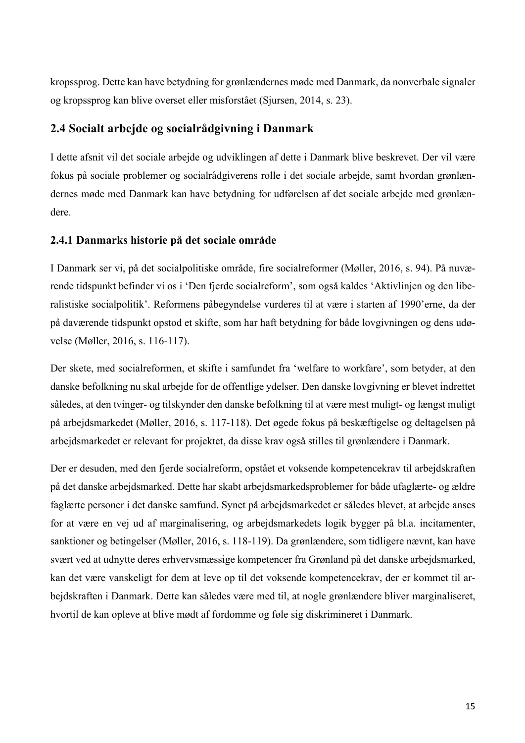kropssprog. Dette kan have betydning for grønlændernes møde med Danmark, da nonverbale signaler og kropssprog kan blive overset eller misforstået (Sjursen, 2014, s. 23).

### **2.4 Socialt arbejde og socialrådgivning i Danmark**

I dette afsnit vil det sociale arbejde og udviklingen af dette i Danmark blive beskrevet. Der vil være fokus på sociale problemer og socialrådgiverens rolle i det sociale arbejde, samt hvordan grønlændernes møde med Danmark kan have betydning for udførelsen af det sociale arbejde med grønlændere.

### **2.4.1 Danmarks historie på det sociale område**

I Danmark ser vi, på det socialpolitiske område, fire socialreformer (Møller, 2016, s. 94). På nuværende tidspunkt befinder vi os i 'Den fjerde socialreform', som også kaldes 'Aktivlinjen og den liberalistiske socialpolitik'. Reformens påbegyndelse vurderes til at være i starten af 1990'erne, da der på daværende tidspunkt opstod et skifte, som har haft betydning for både lovgivningen og dens udøvelse (Møller, 2016, s. 116-117).

Der skete, med socialreformen, et skifte i samfundet fra 'welfare to workfare', som betyder, at den danske befolkning nu skal arbejde for de offentlige ydelser. Den danske lovgivning er blevet indrettet således, at den tvinger- og tilskynder den danske befolkning til at være mest muligt- og længst muligt på arbejdsmarkedet (Møller, 2016, s. 117-118). Det øgede fokus på beskæftigelse og deltagelsen på arbejdsmarkedet er relevant for projektet, da disse krav også stilles til grønlændere i Danmark.

Der er desuden, med den fjerde socialreform, opstået et voksende kompetencekrav til arbejdskraften på det danske arbejdsmarked. Dette har skabt arbejdsmarkedsproblemer for både ufaglærte- og ældre faglærte personer i det danske samfund. Synet på arbejdsmarkedet er således blevet, at arbejde anses for at være en vej ud af marginalisering, og arbejdsmarkedets logik bygger på bl.a. incitamenter, sanktioner og betingelser (Møller, 2016, s. 118-119). Da grønlændere, som tidligere nævnt, kan have svært ved at udnytte deres erhvervsmæssige kompetencer fra Grønland på det danske arbejdsmarked, kan det være vanskeligt for dem at leve op til det voksende kompetencekrav, der er kommet til arbejdskraften i Danmark. Dette kan således være med til, at nogle grønlændere bliver marginaliseret, hvortil de kan opleve at blive mødt af fordomme og føle sig diskrimineret i Danmark.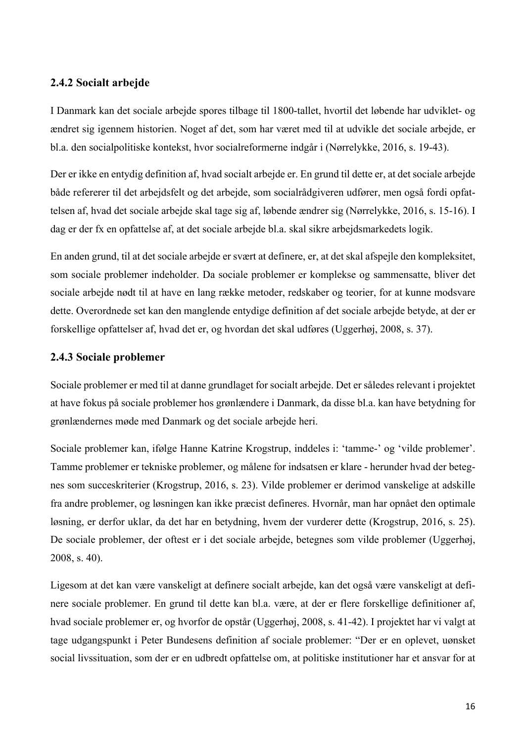### **2.4.2 Socialt arbejde**

I Danmark kan det sociale arbejde spores tilbage til 1800-tallet, hvortil det løbende har udviklet- og ændret sig igennem historien. Noget af det, som har været med til at udvikle det sociale arbejde, er bl.a. den socialpolitiske kontekst, hvor socialreformerne indgår i (Nørrelykke, 2016, s. 19-43).

Der er ikke en entydig definition af, hvad socialt arbejde er. En grund til dette er, at det sociale arbejde både refererer til det arbejdsfelt og det arbejde, som socialrådgiveren udfører, men også fordi opfattelsen af, hvad det sociale arbejde skal tage sig af, løbende ændrer sig (Nørrelykke, 2016, s. 15-16). I dag er der fx en opfattelse af, at det sociale arbejde bl.a. skal sikre arbejdsmarkedets logik.

En anden grund, til at det sociale arbejde er svært at definere, er, at det skal afspejle den kompleksitet, som sociale problemer indeholder. Da sociale problemer er komplekse og sammensatte, bliver det sociale arbejde nødt til at have en lang række metoder, redskaber og teorier, for at kunne modsvare dette. Overordnede set kan den manglende entydige definition af det sociale arbejde betyde, at der er forskellige opfattelser af, hvad det er, og hvordan det skal udføres (Uggerhøj, 2008, s. 37).

### **2.4.3 Sociale problemer**

Sociale problemer er med til at danne grundlaget for socialt arbejde. Det er således relevant i projektet at have fokus på sociale problemer hos grønlændere i Danmark, da disse bl.a. kan have betydning for grønlændernes møde med Danmark og det sociale arbejde heri.

Sociale problemer kan, ifølge Hanne Katrine Krogstrup, inddeles i: 'tamme-' og 'vilde problemer'. Tamme problemer er tekniske problemer, og målene for indsatsen er klare - herunder hvad der betegnes som succeskriterier (Krogstrup, 2016, s. 23). Vilde problemer er derimod vanskelige at adskille fra andre problemer, og løsningen kan ikke præcist defineres. Hvornår, man har opnået den optimale løsning, er derfor uklar, da det har en betydning, hvem der vurderer dette (Krogstrup, 2016, s. 25). De sociale problemer, der oftest er i det sociale arbejde, betegnes som vilde problemer (Uggerhøj, 2008, s. 40).

Ligesom at det kan være vanskeligt at definere socialt arbejde, kan det også være vanskeligt at definere sociale problemer. En grund til dette kan bl.a. være, at der er flere forskellige definitioner af, hvad sociale problemer er, og hvorfor de opstår (Uggerhøj, 2008, s. 41-42). I projektet har vi valgt at tage udgangspunkt i Peter Bundesens definition af sociale problemer: "Der er en oplevet, uønsket social livssituation, som der er en udbredt opfattelse om, at politiske institutioner har et ansvar for at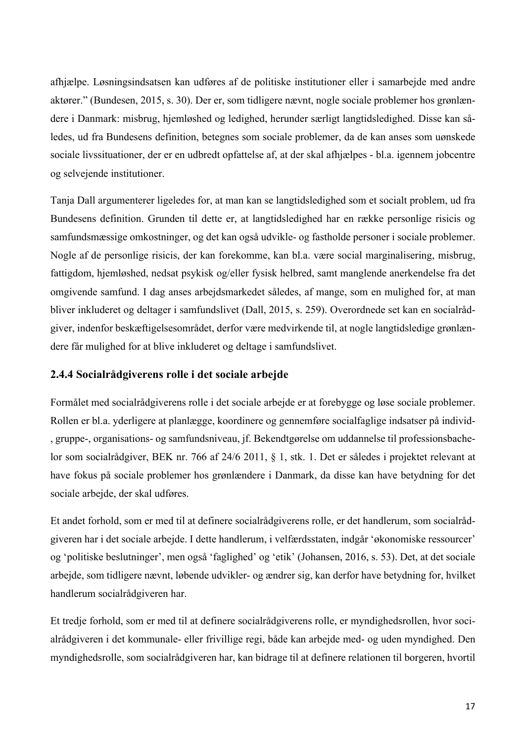afhjælpe. Løsningsindsatsen kan udføres af de politiske institutioner eller i samarbejde med andre aktører." (Bundesen, 2015, s. 30). Der er, som tidligere nævnt, nogle sociale problemer hos grønlændere i Danmark: misbrug, hjemløshed og ledighed, herunder særligt langtidsledighed. Disse kan således, ud fra Bundesens definition, betegnes som sociale problemer, da de kan anses som uønskede sociale livssituationer, der er en udbredt opfattelse af, at der skal afhjælpes - bl.a. igennem jobcentre og selvejende institutioner.

Tanja Dall argumenterer ligeledes for, at man kan se langtidsledighed som et socialt problem, ud fra Bundesens definition. Grunden til dette er, at langtidsledighed har en række personlige risicis og samfundsmæssige omkostninger, og det kan også udvikle- og fastholde personer i sociale problemer. Nogle af de personlige risicis, der kan forekomme, kan bl.a. være social marginalisering, misbrug, fattigdom, hjemløshed, nedsat psykisk og/eller fysisk helbred, samt manglende anerkendelse fra det omgivende samfund. I dag anses arbejdsmarkedet således, af mange, som en mulighed for, at man bliver inkluderet og deltager i samfundslivet (Dall, 2015, s. 259). Overordnede set kan en socialrådgiver, indenfor beskæftigelsesområdet, derfor være medvirkende til, at nogle langtidsledige grønlændere får mulighed for at blive inkluderet og deltage i samfundslivet.

### **2.4.4 Socialrådgiverens rolle i det sociale arbejde**

Formålet med socialrådgiverens rolle i det sociale arbejde er at forebygge og løse sociale problemer. Rollen er bl.a. yderligere at planlægge, koordinere og gennemføre socialfaglige indsatser på individ- , gruppe-, organisations- og samfundsniveau, jf. Bekendtgørelse om uddannelse til professionsbachelor som socialrådgiver, BEK nr. 766 af 24/6 2011, § 1, stk. 1. Det er således i projektet relevant at have fokus på sociale problemer hos grønlændere i Danmark, da disse kan have betydning for det sociale arbejde, der skal udføres.

Et andet forhold, som er med til at definere socialrådgiverens rolle, er det handlerum, som socialrådgiveren har i det sociale arbejde. I dette handlerum, i velfærdsstaten, indgår 'økonomiske ressourcer' og 'politiske beslutninger', men også 'faglighed' og 'etik' (Johansen, 2016, s. 53). Det, at det sociale arbejde, som tidligere nævnt, løbende udvikler- og ændrer sig, kan derfor have betydning for, hvilket handlerum socialrådgiveren har.

Et tredje forhold, som er med til at definere socialrådgiverens rolle, er myndighedsrollen, hvor socialrådgiveren i det kommunale- eller frivillige regi, både kan arbejde med- og uden myndighed. Den myndighedsrolle, som socialrådgiveren har, kan bidrage til at definere relationen til borgeren, hvortil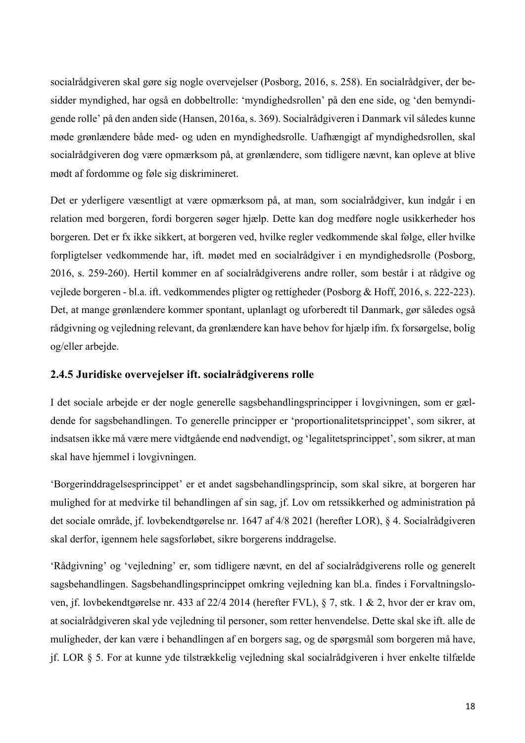socialrådgiveren skal gøre sig nogle overvejelser (Posborg, 2016, s. 258). En socialrådgiver, der besidder myndighed, har også en dobbeltrolle: 'myndighedsrollen' på den ene side, og 'den bemyndigende rolle' på den anden side (Hansen, 2016a, s. 369). Socialrådgiveren i Danmark vil således kunne møde grønlændere både med- og uden en myndighedsrolle. Uafhængigt af myndighedsrollen, skal socialrådgiveren dog være opmærksom på, at grønlændere, som tidligere nævnt, kan opleve at blive mødt af fordomme og føle sig diskrimineret.

Det er yderligere væsentligt at være opmærksom på, at man, som socialrådgiver, kun indgår i en relation med borgeren, fordi borgeren søger hjælp. Dette kan dog medføre nogle usikkerheder hos borgeren. Det er fx ikke sikkert, at borgeren ved, hvilke regler vedkommende skal følge, eller hvilke forpligtelser vedkommende har, ift. mødet med en socialrådgiver i en myndighedsrolle (Posborg, 2016, s. 259-260). Hertil kommer en af socialrådgiverens andre roller, som består i at rådgive og vejlede borgeren - bl.a. ift. vedkommendes pligter og rettigheder (Posborg & Hoff, 2016, s. 222-223). Det, at mange grønlændere kommer spontant, uplanlagt og uforberedt til Danmark, gør således også rådgivning og vejledning relevant, da grønlændere kan have behov for hjælp ifm. fx forsørgelse, bolig og/eller arbejde.

### **2.4.5 Juridiske overvejelser ift. socialrådgiverens rolle**

I det sociale arbejde er der nogle generelle sagsbehandlingsprincipper i lovgivningen, som er gældende for sagsbehandlingen. To generelle principper er 'proportionalitetsprincippet', som sikrer, at indsatsen ikke må være mere vidtgående end nødvendigt, og 'legalitetsprincippet', som sikrer, at man skal have hjemmel i lovgivningen.

'Borgerinddragelsesprincippet' er et andet sagsbehandlingsprincip, som skal sikre, at borgeren har mulighed for at medvirke til behandlingen af sin sag, jf. Lov om retssikkerhed og administration på det sociale område, jf. lovbekendtgørelse nr. 1647 af 4/8 2021 (herefter LOR), § 4. Socialrådgiveren skal derfor, igennem hele sagsforløbet, sikre borgerens inddragelse.

'Rådgivning' og 'vejledning' er, som tidligere nævnt, en del af socialrådgiverens rolle og generelt sagsbehandlingen. Sagsbehandlingsprincippet omkring vejledning kan bl.a. findes i Forvaltningsloven, jf. lovbekendtgørelse nr. 433 af 22/4 2014 (herefter FVL), § 7, stk. 1 & 2, hvor der er krav om, at socialrådgiveren skal yde vejledning til personer, som retter henvendelse. Dette skal ske ift. alle de muligheder, der kan være i behandlingen af en borgers sag, og de spørgsmål som borgeren må have, jf. LOR § 5. For at kunne yde tilstrækkelig vejledning skal socialrådgiveren i hver enkelte tilfælde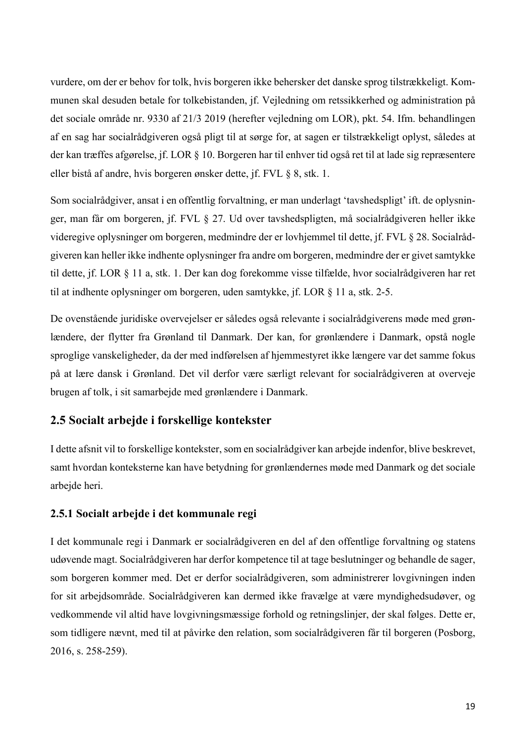vurdere, om der er behov for tolk, hvis borgeren ikke behersker det danske sprog tilstrækkeligt. Kommunen skal desuden betale for tolkebistanden, jf. Vejledning om retssikkerhed og administration på det sociale område nr. 9330 af 21/3 2019 (herefter vejledning om LOR), pkt. 54. Ifm. behandlingen af en sag har socialrådgiveren også pligt til at sørge for, at sagen er tilstrækkeligt oplyst, således at der kan træffes afgørelse, jf. LOR § 10. Borgeren har til enhver tid også ret til at lade sig repræsentere eller bistå af andre, hvis borgeren ønsker dette, jf. FVL § 8, stk. 1.

Som socialrådgiver, ansat i en offentlig forvaltning, er man underlagt 'tavshedspligt' ift. de oplysninger, man får om borgeren, jf. FVL § 27. Ud over tavshedspligten, må socialrådgiveren heller ikke videregive oplysninger om borgeren, medmindre der er lovhjemmel til dette, jf. FVL § 28. Socialrådgiveren kan heller ikke indhente oplysninger fra andre om borgeren, medmindre der er givet samtykke til dette, jf. LOR § 11 a, stk. 1. Der kan dog forekomme visse tilfælde, hvor socialrådgiveren har ret til at indhente oplysninger om borgeren, uden samtykke, jf. LOR § 11 a, stk. 2-5.

De ovenstående juridiske overvejelser er således også relevante i socialrådgiverens møde med grønlændere, der flytter fra Grønland til Danmark. Der kan, for grønlændere i Danmark, opstå nogle sproglige vanskeligheder, da der med indførelsen af hjemmestyret ikke længere var det samme fokus på at lære dansk i Grønland. Det vil derfor være særligt relevant for socialrådgiveren at overveje brugen af tolk, i sit samarbejde med grønlændere i Danmark.

### **2.5 Socialt arbejde i forskellige kontekster**

I dette afsnit vil to forskellige kontekster, som en socialrådgiver kan arbejde indenfor, blive beskrevet, samt hvordan konteksterne kan have betydning for grønlændernes møde med Danmark og det sociale arbejde heri.

### **2.5.1 Socialt arbejde i det kommunale regi**

I det kommunale regi i Danmark er socialrådgiveren en del af den offentlige forvaltning og statens udøvende magt. Socialrådgiveren har derfor kompetence til at tage beslutninger og behandle de sager, som borgeren kommer med. Det er derfor socialrådgiveren, som administrerer lovgivningen inden for sit arbejdsområde. Socialrådgiveren kan dermed ikke fravælge at være myndighedsudøver, og vedkommende vil altid have lovgivningsmæssige forhold og retningslinjer, der skal følges. Dette er, som tidligere nævnt, med til at påvirke den relation, som socialrådgiveren får til borgeren (Posborg, 2016, s. 258-259).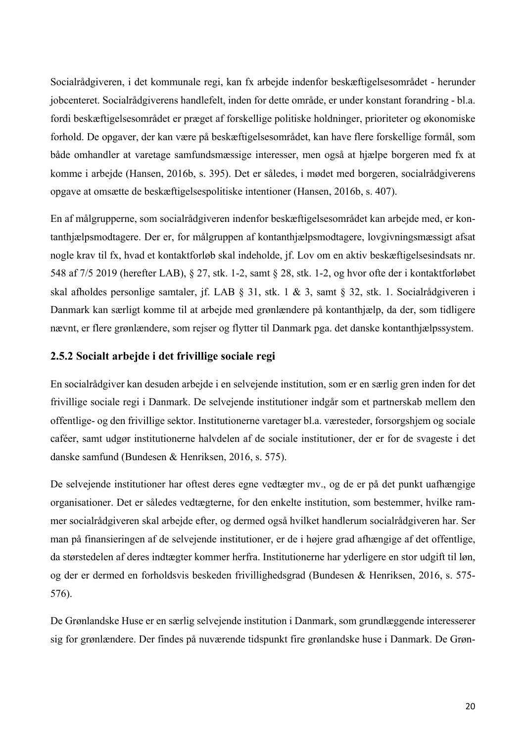Socialrådgiveren, i det kommunale regi, kan fx arbejde indenfor beskæftigelsesområdet - herunder jobcenteret. Socialrådgiverens handlefelt, inden for dette område, er under konstant forandring - bl.a. fordi beskæftigelsesområdet er præget af forskellige politiske holdninger, prioriteter og økonomiske forhold. De opgaver, der kan være på beskæftigelsesområdet, kan have flere forskellige formål, som både omhandler at varetage samfundsmæssige interesser, men også at hjælpe borgeren med fx at komme i arbejde (Hansen, 2016b, s. 395). Det er således, i mødet med borgeren, socialrådgiverens opgave at omsætte de beskæftigelsespolitiske intentioner (Hansen, 2016b, s. 407).

En af målgrupperne, som socialrådgiveren indenfor beskæftigelsesområdet kan arbejde med, er kontanthjælpsmodtagere. Der er, for målgruppen af kontanthjælpsmodtagere, lovgivningsmæssigt afsat nogle krav til fx, hvad et kontaktforløb skal indeholde, jf. Lov om en aktiv beskæftigelsesindsats nr. 548 af 7/5 2019 (herefter LAB), § 27, stk. 1-2, samt § 28, stk. 1-2, og hvor ofte der i kontaktforløbet skal afholdes personlige samtaler, jf. LAB § 31, stk. 1 & 3, samt § 32, stk. 1. Socialrådgiveren i Danmark kan særligt komme til at arbejde med grønlændere på kontanthjælp, da der, som tidligere nævnt, er flere grønlændere, som rejser og flytter til Danmark pga. det danske kontanthjælpssystem.

### **2.5.2 Socialt arbejde i det frivillige sociale regi**

En socialrådgiver kan desuden arbejde i en selvejende institution, som er en særlig gren inden for det frivillige sociale regi i Danmark. De selvejende institutioner indgår som et partnerskab mellem den offentlige- og den frivillige sektor. Institutionerne varetager bl.a. væresteder, forsorgshjem og sociale caféer, samt udgør institutionerne halvdelen af de sociale institutioner, der er for de svageste i det danske samfund (Bundesen & Henriksen, 2016, s. 575).

De selvejende institutioner har oftest deres egne vedtægter mv., og de er på det punkt uafhængige organisationer. Det er således vedtægterne, for den enkelte institution, som bestemmer, hvilke rammer socialrådgiveren skal arbejde efter, og dermed også hvilket handlerum socialrådgiveren har. Ser man på finansieringen af de selvejende institutioner, er de i højere grad afhængige af det offentlige, da størstedelen af deres indtægter kommer herfra. Institutionerne har yderligere en stor udgift til løn, og der er dermed en forholdsvis beskeden frivillighedsgrad (Bundesen & Henriksen, 2016, s. 575- 576).

De Grønlandske Huse er en særlig selvejende institution i Danmark, som grundlæggende interesserer sig for grønlændere. Der findes på nuværende tidspunkt fire grønlandske huse i Danmark. De Grøn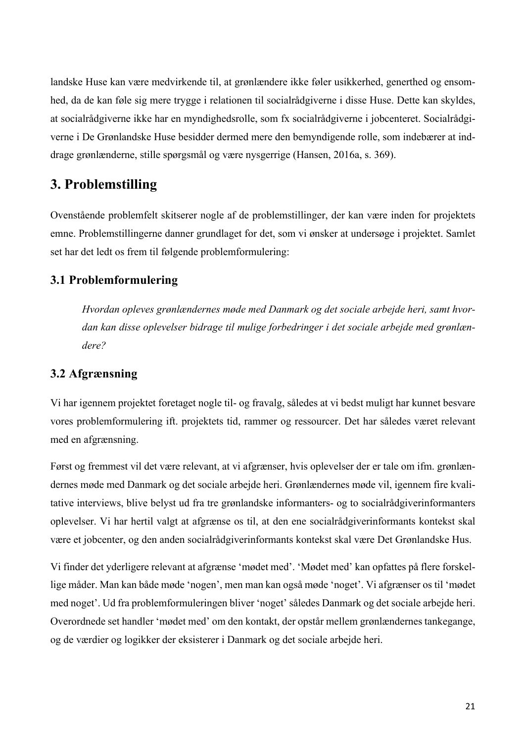landske Huse kan være medvirkende til, at grønlændere ikke føler usikkerhed, generthed og ensomhed, da de kan føle sig mere trygge i relationen til socialrådgiverne i disse Huse. Dette kan skyldes, at socialrådgiverne ikke har en myndighedsrolle, som fx socialrådgiverne i jobcenteret. Socialrådgiverne i De Grønlandske Huse besidder dermed mere den bemyndigende rolle, som indebærer at inddrage grønlænderne, stille spørgsmål og være nysgerrige (Hansen, 2016a, s. 369).

### **3. Problemstilling**

Ovenstående problemfelt skitserer nogle af de problemstillinger, der kan være inden for projektets emne. Problemstillingerne danner grundlaget for det, som vi ønsker at undersøge i projektet. Samlet set har det ledt os frem til følgende problemformulering:

### **3.1 Problemformulering**

*Hvordan opleves grønlændernes møde med Danmark og det sociale arbejde heri, samt hvordan kan disse oplevelser bidrage til mulige forbedringer i det sociale arbejde med grønlændere?*

### **3.2 Afgrænsning**

Vi har igennem projektet foretaget nogle til- og fravalg, således at vi bedst muligt har kunnet besvare vores problemformulering ift. projektets tid, rammer og ressourcer. Det har således været relevant med en afgrænsning.

Først og fremmest vil det være relevant, at vi afgrænser, hvis oplevelser der er tale om ifm. grønlændernes møde med Danmark og det sociale arbejde heri. Grønlændernes møde vil, igennem fire kvalitative interviews, blive belyst ud fra tre grønlandske informanters- og to socialrådgiverinformanters oplevelser. Vi har hertil valgt at afgrænse os til, at den ene socialrådgiverinformants kontekst skal være et jobcenter, og den anden socialrådgiverinformants kontekst skal være Det Grønlandske Hus.

Vi finder det yderligere relevant at afgrænse 'mødet med'. 'Mødet med' kan opfattes på flere forskellige måder. Man kan både møde 'nogen', men man kan også møde 'noget'. Vi afgrænser os til 'mødet med noget'. Ud fra problemformuleringen bliver 'noget' således Danmark og det sociale arbejde heri. Overordnede set handler 'mødet med' om den kontakt, der opstår mellem grønlændernes tankegange, og de værdier og logikker der eksisterer i Danmark og det sociale arbejde heri.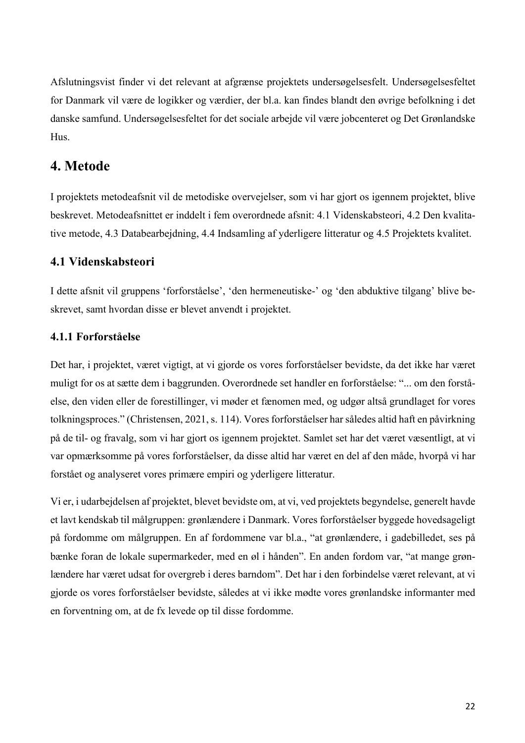Afslutningsvist finder vi det relevant at afgrænse projektets undersøgelsesfelt. Undersøgelsesfeltet for Danmark vil være de logikker og værdier, der bl.a. kan findes blandt den øvrige befolkning i det danske samfund. Undersøgelsesfeltet for det sociale arbejde vil være jobcenteret og Det Grønlandske Hus.

### **4. Metode**

I projektets metodeafsnit vil de metodiske overvejelser, som vi har gjort os igennem projektet, blive beskrevet. Metodeafsnittet er inddelt i fem overordnede afsnit: 4.1 Videnskabsteori, 4.2 Den kvalitative metode, 4.3 Databearbejdning, 4.4 Indsamling af yderligere litteratur og 4.5 Projektets kvalitet.

### **4.1 Videnskabsteori**

I dette afsnit vil gruppens 'forforståelse', 'den hermeneutiske-' og 'den abduktive tilgang' blive beskrevet, samt hvordan disse er blevet anvendt i projektet.

### **4.1.1 Forforståelse**

Det har, i projektet, været vigtigt, at vi gjorde os vores forforståelser bevidste, da det ikke har været muligt for os at sætte dem i baggrunden. Overordnede set handler en forforståelse: "... om den forståelse, den viden eller de forestillinger, vi møder et fænomen med, og udgør altså grundlaget for vores tolkningsproces." (Christensen, 2021, s. 114). Vores forforståelser har således altid haft en påvirkning på de til- og fravalg, som vi har gjort os igennem projektet. Samlet set har det været væsentligt, at vi var opmærksomme på vores forforståelser, da disse altid har været en del af den måde, hvorpå vi har forstået og analyseret vores primære empiri og yderligere litteratur.

Vi er, i udarbejdelsen af projektet, blevet bevidste om, at vi, ved projektets begyndelse, generelt havde et lavt kendskab til målgruppen: grønlændere i Danmark. Vores forforståelser byggede hovedsageligt på fordomme om målgruppen. En af fordommene var bl.a., "at grønlændere, i gadebilledet, ses på bænke foran de lokale supermarkeder, med en øl i hånden". En anden fordom var, "at mange grønlændere har været udsat for overgreb i deres barndom". Det har i den forbindelse været relevant, at vi gjorde os vores forforståelser bevidste, således at vi ikke mødte vores grønlandske informanter med en forventning om, at de fx levede op til disse fordomme.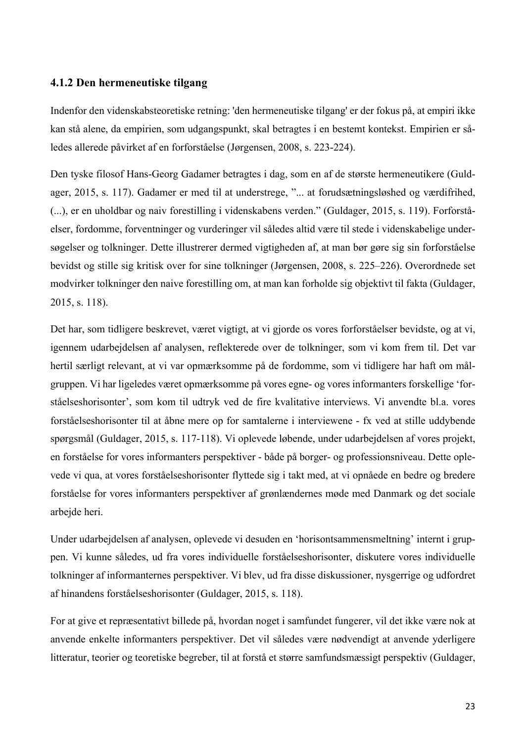### **4.1.2 Den hermeneutiske tilgang**

Indenfor den videnskabsteoretiske retning: 'den hermeneutiske tilgang' er der fokus på, at empiri ikke kan stå alene, da empirien, som udgangspunkt, skal betragtes i en bestemt kontekst. Empirien er således allerede påvirket af en forforståelse (Jørgensen, 2008, s. 223-224).

Den tyske filosof Hans-Georg Gadamer betragtes i dag, som en af de største hermeneutikere (Guldager, 2015, s. 117). Gadamer er med til at understrege, "... at forudsætningsløshed og værdifrihed, (...), er en uholdbar og naiv forestilling i videnskabens verden." (Guldager, 2015, s. 119). Forforståelser, fordomme, forventninger og vurderinger vil således altid være til stede i videnskabelige undersøgelser og tolkninger. Dette illustrerer dermed vigtigheden af, at man bør gøre sig sin forforståelse bevidst og stille sig kritisk over for sine tolkninger (Jørgensen, 2008, s. 225–226). Overordnede set modvirker tolkninger den naive forestilling om, at man kan forholde sig objektivt til fakta (Guldager, 2015, s. 118).

Det har, som tidligere beskrevet, været vigtigt, at vi gjorde os vores forforståelser bevidste, og at vi, igennem udarbejdelsen af analysen, reflekterede over de tolkninger, som vi kom frem til. Det var hertil særligt relevant, at vi var opmærksomme på de fordomme, som vi tidligere har haft om målgruppen. Vi har ligeledes været opmærksomme på vores egne- og vores informanters forskellige 'forståelseshorisonter', som kom til udtryk ved de fire kvalitative interviews. Vi anvendte bl.a. vores forståelseshorisonter til at åbne mere op for samtalerne i interviewene - fx ved at stille uddybende spørgsmål (Guldager, 2015, s. 117-118). Vi oplevede løbende, under udarbejdelsen af vores projekt, en forståelse for vores informanters perspektiver - både på borger- og professionsniveau. Dette oplevede vi qua, at vores forståelseshorisonter flyttede sig i takt med, at vi opnåede en bedre og bredere forståelse for vores informanters perspektiver af grønlændernes møde med Danmark og det sociale arbejde heri.

Under udarbejdelsen af analysen, oplevede vi desuden en 'horisontsammensmeltning' internt i gruppen. Vi kunne således, ud fra vores individuelle forståelseshorisonter, diskutere vores individuelle tolkninger af informanternes perspektiver. Vi blev, ud fra disse diskussioner, nysgerrige og udfordret af hinandens forståelseshorisonter (Guldager, 2015, s. 118).

For at give et repræsentativt billede på, hvordan noget i samfundet fungerer, vil det ikke være nok at anvende enkelte informanters perspektiver. Det vil således være nødvendigt at anvende yderligere litteratur, teorier og teoretiske begreber, til at forstå et større samfundsmæssigt perspektiv (Guldager,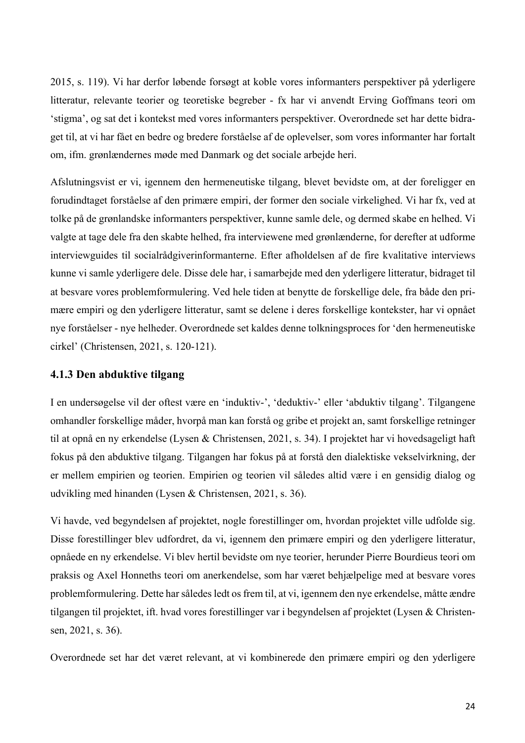2015, s. 119). Vi har derfor løbende forsøgt at koble vores informanters perspektiver på yderligere litteratur, relevante teorier og teoretiske begreber - fx har vi anvendt Erving Goffmans teori om 'stigma', og sat det i kontekst med vores informanters perspektiver. Overordnede set har dette bidraget til, at vi har fået en bedre og bredere forståelse af de oplevelser, som vores informanter har fortalt om, ifm. grønlændernes møde med Danmark og det sociale arbejde heri.

Afslutningsvist er vi, igennem den hermeneutiske tilgang, blevet bevidste om, at der foreligger en forudindtaget forståelse af den primære empiri, der former den sociale virkelighed. Vi har fx, ved at tolke på de grønlandske informanters perspektiver, kunne samle dele, og dermed skabe en helhed. Vi valgte at tage dele fra den skabte helhed, fra interviewene med grønlænderne, for derefter at udforme interviewguides til socialrådgiverinformanterne. Efter afholdelsen af de fire kvalitative interviews kunne vi samle yderligere dele. Disse dele har, i samarbejde med den yderligere litteratur, bidraget til at besvare vores problemformulering. Ved hele tiden at benytte de forskellige dele, fra både den primære empiri og den yderligere litteratur, samt se delene i deres forskellige kontekster, har vi opnået nye forståelser - nye helheder. Overordnede set kaldes denne tolkningsproces for 'den hermeneutiske cirkel' (Christensen, 2021, s. 120-121).

### **4.1.3 Den abduktive tilgang**

I en undersøgelse vil der oftest være en 'induktiv-', 'deduktiv-' eller 'abduktiv tilgang'. Tilgangene omhandler forskellige måder, hvorpå man kan forstå og gribe et projekt an, samt forskellige retninger til at opnå en ny erkendelse (Lysen & Christensen, 2021, s. 34). I projektet har vi hovedsageligt haft fokus på den abduktive tilgang. Tilgangen har fokus på at forstå den dialektiske vekselvirkning, der er mellem empirien og teorien. Empirien og teorien vil således altid være i en gensidig dialog og udvikling med hinanden (Lysen & Christensen, 2021, s. 36).

Vi havde, ved begyndelsen af projektet, nogle forestillinger om, hvordan projektet ville udfolde sig. Disse forestillinger blev udfordret, da vi, igennem den primære empiri og den yderligere litteratur, opnåede en ny erkendelse. Vi blev hertil bevidste om nye teorier, herunder Pierre Bourdieus teori om praksis og Axel Honneths teori om anerkendelse, som har været behjælpelige med at besvare vores problemformulering. Dette har således ledt os frem til, at vi, igennem den nye erkendelse, måtte ændre tilgangen til projektet, ift. hvad vores forestillinger var i begyndelsen af projektet (Lysen & Christensen, 2021, s. 36).

Overordnede set har det været relevant, at vi kombinerede den primære empiri og den yderligere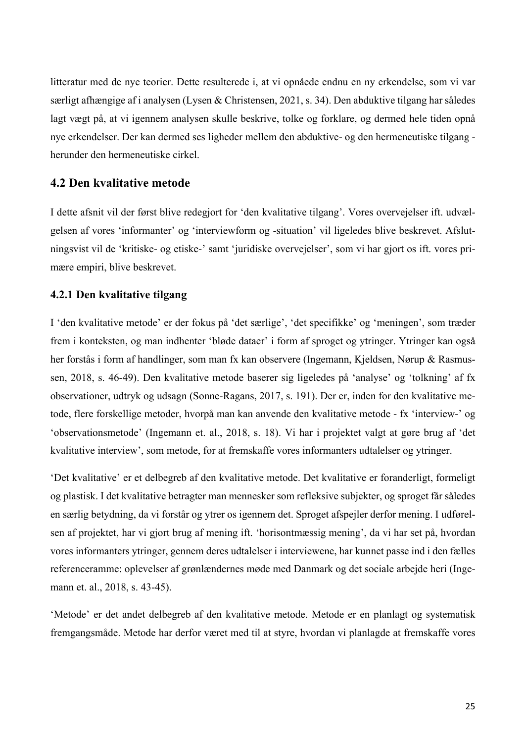litteratur med de nye teorier. Dette resulterede i, at vi opnåede endnu en ny erkendelse, som vi var særligt afhængige af i analysen (Lysen & Christensen, 2021, s. 34). Den abduktive tilgang har således lagt vægt på, at vi igennem analysen skulle beskrive, tolke og forklare, og dermed hele tiden opnå nye erkendelser. Der kan dermed ses ligheder mellem den abduktive- og den hermeneutiske tilgang herunder den hermeneutiske cirkel.

### **4.2 Den kvalitative metode**

I dette afsnit vil der først blive redegjort for 'den kvalitative tilgang'. Vores overvejelser ift. udvælgelsen af vores 'informanter' og 'interviewform og -situation' vil ligeledes blive beskrevet. Afslutningsvist vil de 'kritiske- og etiske-' samt 'juridiske overvejelser', som vi har gjort os ift. vores primære empiri, blive beskrevet.

### **4.2.1 Den kvalitative tilgang**

I 'den kvalitative metode' er der fokus på 'det særlige', 'det specifikke' og 'meningen', som træder frem i konteksten, og man indhenter 'bløde dataer' i form af sproget og ytringer. Ytringer kan også her forstås i form af handlinger, som man fx kan observere (Ingemann, Kjeldsen, Nørup & Rasmussen, 2018, s. 46-49). Den kvalitative metode baserer sig ligeledes på 'analyse' og 'tolkning' af fx observationer, udtryk og udsagn (Sonne-Ragans, 2017, s. 191). Der er, inden for den kvalitative metode, flere forskellige metoder, hvorpå man kan anvende den kvalitative metode - fx 'interview-' og 'observationsmetode' (Ingemann et. al., 2018, s. 18). Vi har i projektet valgt at gøre brug af 'det kvalitative interview', som metode, for at fremskaffe vores informanters udtalelser og ytringer.

'Det kvalitative' er et delbegreb af den kvalitative metode. Det kvalitative er foranderligt, formeligt og plastisk. I det kvalitative betragter man mennesker som refleksive subjekter, og sproget får således en særlig betydning, da vi forstår og ytrer os igennem det. Sproget afspejler derfor mening. I udførelsen af projektet, har vi gjort brug af mening ift. 'horisontmæssig mening', da vi har set på, hvordan vores informanters ytringer, gennem deres udtalelser i interviewene, har kunnet passe ind i den fælles referenceramme: oplevelser af grønlændernes møde med Danmark og det sociale arbejde heri (Ingemann et. al., 2018, s. 43-45).

'Metode' er det andet delbegreb af den kvalitative metode. Metode er en planlagt og systematisk fremgangsmåde. Metode har derfor været med til at styre, hvordan vi planlagde at fremskaffe vores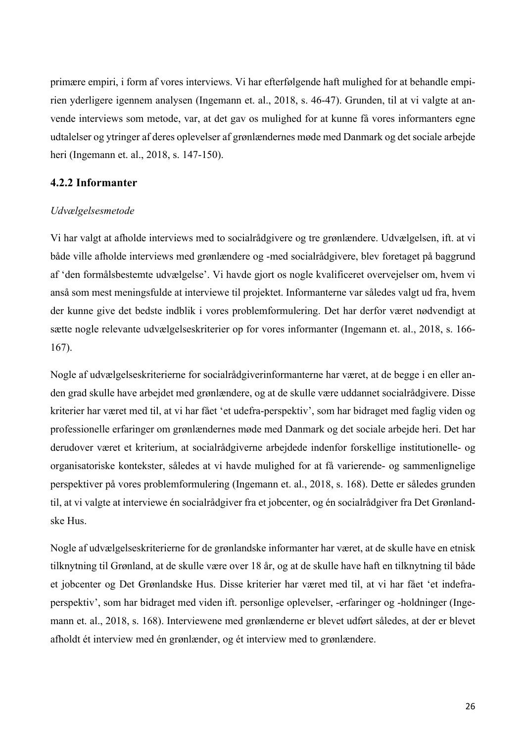primære empiri, i form af vores interviews. Vi har efterfølgende haft mulighed for at behandle empirien yderligere igennem analysen (Ingemann et. al., 2018, s. 46-47). Grunden, til at vi valgte at anvende interviews som metode, var, at det gav os mulighed for at kunne få vores informanters egne udtalelser og ytringer af deres oplevelser af grønlændernes møde med Danmark og det sociale arbejde heri (Ingemann et. al., 2018, s. 147-150).

### **4.2.2 Informanter**

### *Udvælgelsesmetode*

Vi har valgt at afholde interviews med to socialrådgivere og tre grønlændere. Udvælgelsen, ift. at vi både ville afholde interviews med grønlændere og -med socialrådgivere, blev foretaget på baggrund af 'den formålsbestemte udvælgelse'. Vi havde gjort os nogle kvalificeret overvejelser om, hvem vi anså som mest meningsfulde at interviewe til projektet. Informanterne var således valgt ud fra, hvem der kunne give det bedste indblik i vores problemformulering. Det har derfor været nødvendigt at sætte nogle relevante udvælgelseskriterier op for vores informanter (Ingemann et. al., 2018, s. 166- 167).

Nogle af udvælgelseskriterierne for socialrådgiverinformanterne har været, at de begge i en eller anden grad skulle have arbejdet med grønlændere, og at de skulle være uddannet socialrådgivere. Disse kriterier har været med til, at vi har fået 'et udefra-perspektiv', som har bidraget med faglig viden og professionelle erfaringer om grønlændernes møde med Danmark og det sociale arbejde heri. Det har derudover været et kriterium, at socialrådgiverne arbejdede indenfor forskellige institutionelle- og organisatoriske kontekster, således at vi havde mulighed for at få varierende- og sammenlignelige perspektiver på vores problemformulering (Ingemann et. al., 2018, s. 168). Dette er således grunden til, at vi valgte at interviewe én socialrådgiver fra et jobcenter, og én socialrådgiver fra Det Grønlandske Hus.

Nogle af udvælgelseskriterierne for de grønlandske informanter har været, at de skulle have en etnisk tilknytning til Grønland, at de skulle være over 18 år, og at de skulle have haft en tilknytning til både et jobcenter og Det Grønlandske Hus. Disse kriterier har været med til, at vi har fået 'et indefraperspektiv', som har bidraget med viden ift. personlige oplevelser, -erfaringer og -holdninger (Ingemann et. al., 2018, s. 168). Interviewene med grønlænderne er blevet udført således, at der er blevet afholdt ét interview med én grønlænder, og ét interview med to grønlændere.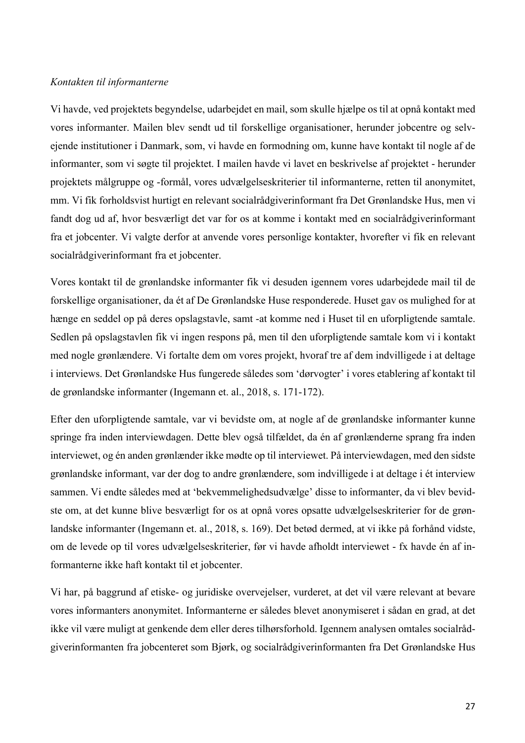### *Kontakten til informanterne*

Vi havde, ved projektets begyndelse, udarbejdet en mail, som skulle hjælpe os til at opnå kontakt med vores informanter. Mailen blev sendt ud til forskellige organisationer, herunder jobcentre og selvejende institutioner i Danmark, som, vi havde en formodning om, kunne have kontakt til nogle af de informanter, som vi søgte til projektet. I mailen havde vi lavet en beskrivelse af projektet - herunder projektets målgruppe og -formål, vores udvælgelseskriterier til informanterne, retten til anonymitet, mm. Vi fik forholdsvist hurtigt en relevant socialrådgiverinformant fra Det Grønlandske Hus, men vi fandt dog ud af, hvor besværligt det var for os at komme i kontakt med en socialrådgiverinformant fra et jobcenter. Vi valgte derfor at anvende vores personlige kontakter, hvorefter vi fik en relevant socialrådgiverinformant fra et jobcenter.

Vores kontakt til de grønlandske informanter fik vi desuden igennem vores udarbejdede mail til de forskellige organisationer, da ét af De Grønlandske Huse responderede. Huset gav os mulighed for at hænge en seddel op på deres opslagstavle, samt -at komme ned i Huset til en uforpligtende samtale. Sedlen på opslagstavlen fik vi ingen respons på, men til den uforpligtende samtale kom vi i kontakt med nogle grønlændere. Vi fortalte dem om vores projekt, hvoraf tre af dem indvilligede i at deltage i interviews. Det Grønlandske Hus fungerede således som 'dørvogter' i vores etablering af kontakt til de grønlandske informanter (Ingemann et. al., 2018, s. 171-172).

Efter den uforpligtende samtale, var vi bevidste om, at nogle af de grønlandske informanter kunne springe fra inden interviewdagen. Dette blev også tilfældet, da én af grønlænderne sprang fra inden interviewet, og én anden grønlænder ikke mødte op til interviewet. På interviewdagen, med den sidste grønlandske informant, var der dog to andre grønlændere, som indvilligede i at deltage i ét interview sammen. Vi endte således med at 'bekvemmelighedsudvælge' disse to informanter, da vi blev bevidste om, at det kunne blive besværligt for os at opnå vores opsatte udvælgelseskriterier for de grønlandske informanter (Ingemann et. al., 2018, s. 169). Det betød dermed, at vi ikke på forhånd vidste, om de levede op til vores udvælgelseskriterier, før vi havde afholdt interviewet - fx havde én af informanterne ikke haft kontakt til et jobcenter.

Vi har, på baggrund af etiske- og juridiske overvejelser, vurderet, at det vil være relevant at bevare vores informanters anonymitet. Informanterne er således blevet anonymiseret i sådan en grad, at det ikke vil være muligt at genkende dem eller deres tilhørsforhold. Igennem analysen omtales socialrådgiverinformanten fra jobcenteret som Bjørk, og socialrådgiverinformanten fra Det Grønlandske Hus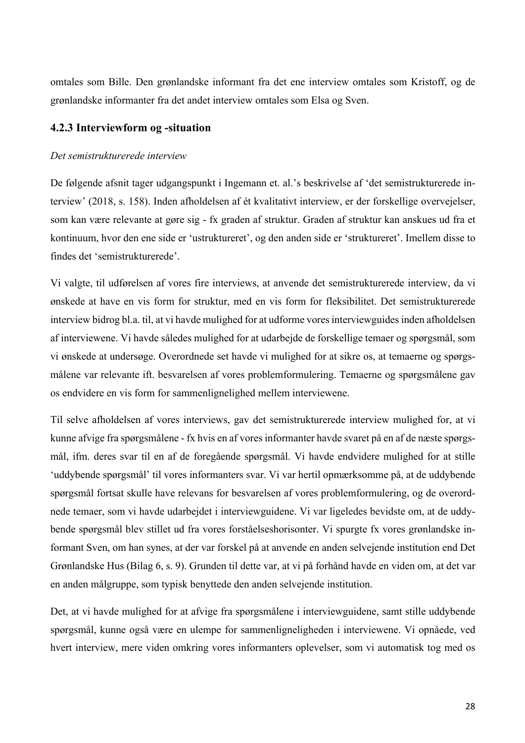omtales som Bille. Den grønlandske informant fra det ene interview omtales som Kristoff, og de grønlandske informanter fra det andet interview omtales som Elsa og Sven.

### **4.2.3 Interviewform og -situation**

#### *Det semistrukturerede interview*

De følgende afsnit tager udgangspunkt i Ingemann et. al.'s beskrivelse af 'det semistrukturerede interview' (2018, s. 158). Inden afholdelsen af ét kvalitativt interview, er der forskellige overvejelser, som kan være relevante at gøre sig - fx graden af struktur. Graden af struktur kan anskues ud fra et kontinuum, hvor den ene side er 'ustruktureret', og den anden side er 'struktureret'. Imellem disse to findes det 'semistrukturerede'.

Vi valgte, til udførelsen af vores fire interviews, at anvende det semistrukturerede interview, da vi ønskede at have en vis form for struktur, med en vis form for fleksibilitet. Det semistrukturerede interview bidrog bl.a. til, at vi havde mulighed for at udforme vores interviewguides inden afholdelsen af interviewene. Vi havde således mulighed for at udarbejde de forskellige temaer og spørgsmål, som vi ønskede at undersøge. Overordnede set havde vi mulighed for at sikre os, at temaerne og spørgsmålene var relevante ift. besvarelsen af vores problemformulering. Temaerne og spørgsmålene gav os endvidere en vis form for sammenlignelighed mellem interviewene.

Til selve afholdelsen af vores interviews, gav det semistrukturerede interview mulighed for, at vi kunne afvige fra spørgsmålene - fx hvis en af vores informanter havde svaret på en af de næste spørgsmål, ifm. deres svar til en af de foregående spørgsmål. Vi havde endvidere mulighed for at stille 'uddybende spørgsmål' til vores informanters svar. Vi var hertil opmærksomme på, at de uddybende spørgsmål fortsat skulle have relevans for besvarelsen af vores problemformulering, og de overordnede temaer, som vi havde udarbejdet i interviewguidene. Vi var ligeledes bevidste om, at de uddybende spørgsmål blev stillet ud fra vores forståelseshorisonter. Vi spurgte fx vores grønlandske informant Sven, om han synes, at der var forskel på at anvende en anden selvejende institution end Det Grønlandske Hus (Bilag 6, s. 9). Grunden til dette var, at vi på forhånd havde en viden om, at det var en anden målgruppe, som typisk benyttede den anden selvejende institution.

Det, at vi havde mulighed for at afvige fra spørgsmålene i interviewguidene, samt stille uddybende spørgsmål, kunne også være en ulempe for sammenligneligheden i interviewene. Vi opnåede, ved hvert interview, mere viden omkring vores informanters oplevelser, som vi automatisk tog med os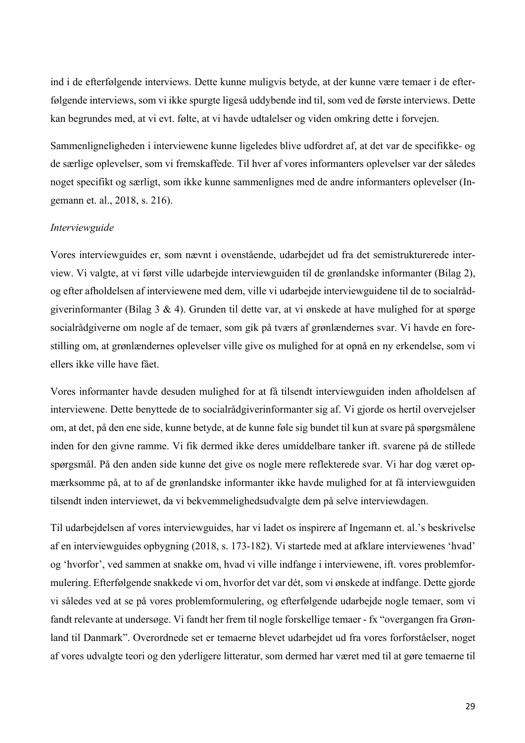ind i de efterfølgende interviews. Dette kunne muligvis betyde, at der kunne være temaer i de efterfølgende interviews, som vi ikke spurgte ligeså uddybende ind til, som ved de første interviews. Dette kan begrundes med, at vi evt. følte, at vi havde udtalelser og viden omkring dette i forvejen.

Sammenligneligheden i interviewene kunne ligeledes blive udfordret af, at det var de specifikke- og de særlige oplevelser, som vi fremskaffede. Til hver af vores informanters oplevelser var der således noget specifikt og særligt, som ikke kunne sammenlignes med de andre informanters oplevelser (Ingemann et. al., 2018, s. 216).

### *Interviewguide*

Vores interviewguides er, som nævnt i ovenstående, udarbejdet ud fra det semistrukturerede interview. Vi valgte, at vi først ville udarbejde interviewguiden til de grønlandske informanter (Bilag 2), og efter afholdelsen af interviewene med dem, ville vi udarbejde interviewguidene til de to socialrådgiverinformanter (Bilag 3 & 4). Grunden til dette var, at vi ønskede at have mulighed for at spørge socialrådgiverne om nogle af de temaer, som gik på tværs af grønlændernes svar. Vi havde en forestilling om, at grønlændernes oplevelser ville give os mulighed for at opnå en ny erkendelse, som vi ellers ikke ville have fået.

Vores informanter havde desuden mulighed for at få tilsendt interviewguiden inden afholdelsen af interviewene. Dette benyttede de to socialrådgiverinformanter sig af. Vi gjorde os hertil overvejelser om, at det, på den ene side, kunne betyde, at de kunne føle sig bundet til kun at svare på spørgsmålene inden for den givne ramme. Vi fik dermed ikke deres umiddelbare tanker ift. svarene på de stillede spørgsmål. På den anden side kunne det give os nogle mere reflekterede svar. Vi har dog været opmærksomme på, at to af de grønlandske informanter ikke havde mulighed for at få interviewguiden tilsendt inden interviewet, da vi bekvemmelighedsudvalgte dem på selve interviewdagen.

Til udarbejdelsen af vores interviewguides, har vi ladet os inspirere af Ingemann et. al.'s beskrivelse af en interviewguides opbygning (2018, s. 173-182). Vi startede med at afklare interviewenes 'hvad' og 'hvorfor', ved sammen at snakke om, hvad vi ville indfange i interviewene, ift. vores problemformulering. Efterfølgende snakkede vi om, hvorfor det var dét, som vi ønskede at indfange. Dette gjorde vi således ved at se på vores problemformulering, og efterfølgende udarbejde nogle temaer, som vi fandt relevante at undersøge. Vi fandt her frem til nogle forskellige temaer - fx "overgangen fra Grønland til Danmark". Overordnede set er temaerne blevet udarbejdet ud fra vores forforståelser, noget af vores udvalgte teori og den yderligere litteratur, som dermed har været med til at gøre temaerne til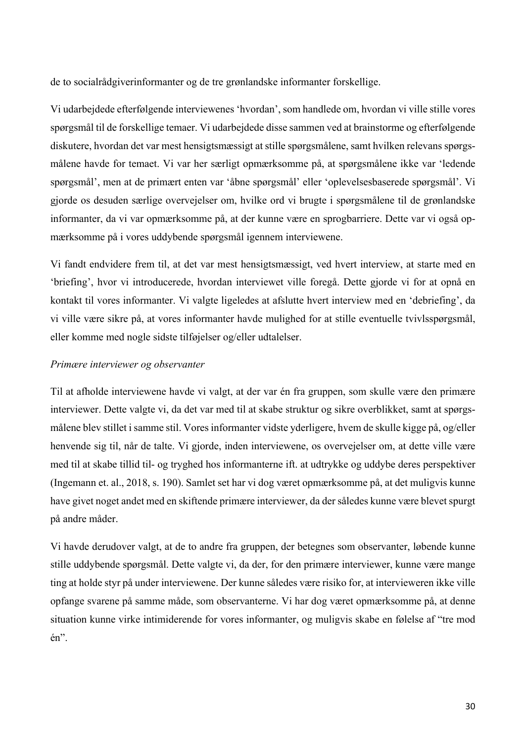de to socialrådgiverinformanter og de tre grønlandske informanter forskellige.

Vi udarbejdede efterfølgende interviewenes 'hvordan', som handlede om, hvordan vi ville stille vores spørgsmål til de forskellige temaer. Vi udarbejdede disse sammen ved at brainstorme og efterfølgende diskutere, hvordan det var mest hensigtsmæssigt at stille spørgsmålene, samt hvilken relevans spørgsmålene havde for temaet. Vi var her særligt opmærksomme på, at spørgsmålene ikke var 'ledende spørgsmål', men at de primært enten var 'åbne spørgsmål' eller 'oplevelsesbaserede spørgsmål'. Vi gjorde os desuden særlige overvejelser om, hvilke ord vi brugte i spørgsmålene til de grønlandske informanter, da vi var opmærksomme på, at der kunne være en sprogbarriere. Dette var vi også opmærksomme på i vores uddybende spørgsmål igennem interviewene.

Vi fandt endvidere frem til, at det var mest hensigtsmæssigt, ved hvert interview, at starte med en 'briefing', hvor vi introducerede, hvordan interviewet ville foregå. Dette gjorde vi for at opnå en kontakt til vores informanter. Vi valgte ligeledes at afslutte hvert interview med en 'debriefing', da vi ville være sikre på, at vores informanter havde mulighed for at stille eventuelle tvivlsspørgsmål, eller komme med nogle sidste tilføjelser og/eller udtalelser.

### *Primære interviewer og observanter*

Til at afholde interviewene havde vi valgt, at der var én fra gruppen, som skulle være den primære interviewer. Dette valgte vi, da det var med til at skabe struktur og sikre overblikket, samt at spørgsmålene blev stillet i samme stil. Vores informanter vidste yderligere, hvem de skulle kigge på, og/eller henvende sig til, når de talte. Vi gjorde, inden interviewene, os overvejelser om, at dette ville være med til at skabe tillid til- og tryghed hos informanterne ift. at udtrykke og uddybe deres perspektiver (Ingemann et. al., 2018, s. 190). Samlet set har vi dog været opmærksomme på, at det muligvis kunne have givet noget andet med en skiftende primære interviewer, da der således kunne være blevet spurgt på andre måder.

Vi havde derudover valgt, at de to andre fra gruppen, der betegnes som observanter, løbende kunne stille uddybende spørgsmål. Dette valgte vi, da der, for den primære interviewer, kunne være mange ting at holde styr på under interviewene. Der kunne således være risiko for, at intervieweren ikke ville opfange svarene på samme måde, som observanterne. Vi har dog været opmærksomme på, at denne situation kunne virke intimiderende for vores informanter, og muligvis skabe en følelse af "tre mod én".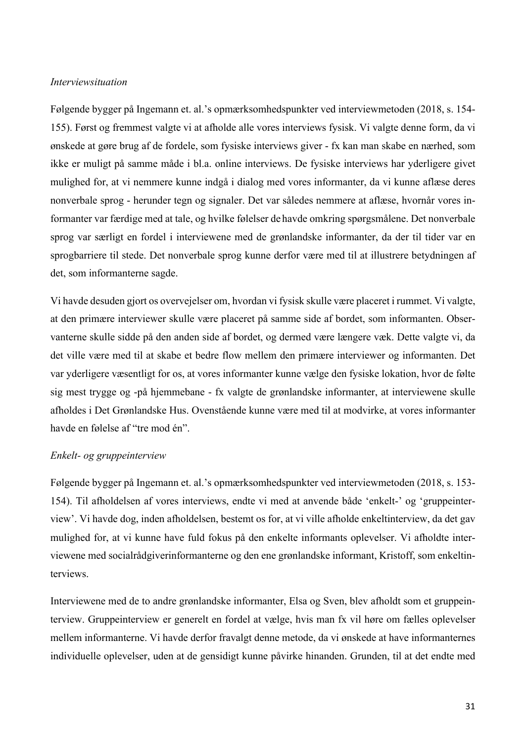#### *Interviewsituation*

Følgende bygger på Ingemann et. al.'s opmærksomhedspunkter ved interviewmetoden (2018, s. 154- 155). Først og fremmest valgte vi at afholde alle vores interviews fysisk. Vi valgte denne form, da vi ønskede at gøre brug af de fordele, som fysiske interviews giver - fx kan man skabe en nærhed, som ikke er muligt på samme måde i bl.a. online interviews. De fysiske interviews har yderligere givet mulighed for, at vi nemmere kunne indgå i dialog med vores informanter, da vi kunne aflæse deres nonverbale sprog - herunder tegn og signaler. Det var således nemmere at aflæse, hvornår vores informanter var færdige med at tale, og hvilke følelser de havde omkring spørgsmålene. Det nonverbale sprog var særligt en fordel i interviewene med de grønlandske informanter, da der til tider var en sprogbarriere til stede. Det nonverbale sprog kunne derfor være med til at illustrere betydningen af det, som informanterne sagde.

Vi havde desuden gjort os overvejelser om, hvordan vi fysisk skulle være placeret i rummet. Vi valgte, at den primære interviewer skulle være placeret på samme side af bordet, som informanten. Observanterne skulle sidde på den anden side af bordet, og dermed være længere væk. Dette valgte vi, da det ville være med til at skabe et bedre flow mellem den primære interviewer og informanten. Det var yderligere væsentligt for os, at vores informanter kunne vælge den fysiske lokation, hvor de følte sig mest trygge og -på hjemmebane - fx valgte de grønlandske informanter, at interviewene skulle afholdes i Det Grønlandske Hus. Ovenstående kunne være med til at modvirke, at vores informanter havde en følelse af "tre mod én".

#### *Enkelt- og gruppeinterview*

Følgende bygger på Ingemann et. al.'s opmærksomhedspunkter ved interviewmetoden (2018, s. 153- 154). Til afholdelsen af vores interviews, endte vi med at anvende både 'enkelt-' og 'gruppeinterview'. Vi havde dog, inden afholdelsen, bestemt os for, at vi ville afholde enkeltinterview, da det gav mulighed for, at vi kunne have fuld fokus på den enkelte informants oplevelser. Vi afholdte interviewene med socialrådgiverinformanterne og den ene grønlandske informant, Kristoff, som enkeltinterviews.

Interviewene med de to andre grønlandske informanter, Elsa og Sven, blev afholdt som et gruppeinterview. Gruppeinterview er generelt en fordel at vælge, hvis man fx vil høre om fælles oplevelser mellem informanterne. Vi havde derfor fravalgt denne metode, da vi ønskede at have informanternes individuelle oplevelser, uden at de gensidigt kunne påvirke hinanden. Grunden, til at det endte med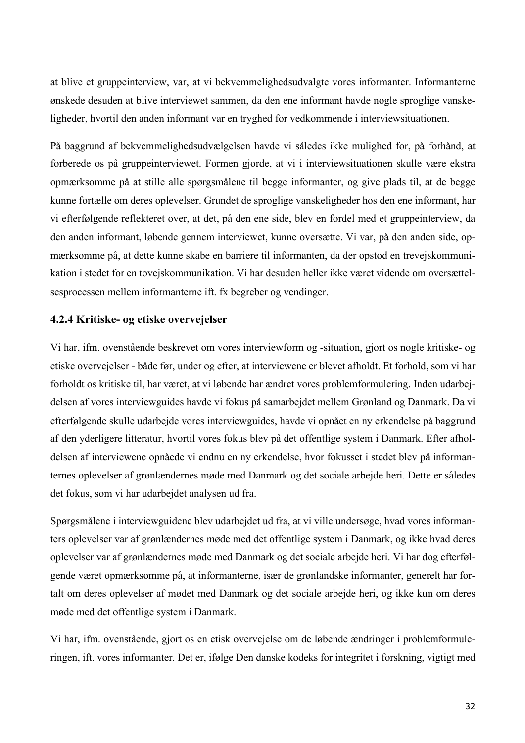at blive et gruppeinterview, var, at vi bekvemmelighedsudvalgte vores informanter. Informanterne ønskede desuden at blive interviewet sammen, da den ene informant havde nogle sproglige vanskeligheder, hvortil den anden informant var en tryghed for vedkommende i interviewsituationen.

På baggrund af bekvemmelighedsudvælgelsen havde vi således ikke mulighed for, på forhånd, at forberede os på gruppeinterviewet. Formen gjorde, at vi i interviewsituationen skulle være ekstra opmærksomme på at stille alle spørgsmålene til begge informanter, og give plads til, at de begge kunne fortælle om deres oplevelser. Grundet de sproglige vanskeligheder hos den ene informant, har vi efterfølgende reflekteret over, at det, på den ene side, blev en fordel med et gruppeinterview, da den anden informant, løbende gennem interviewet, kunne oversætte. Vi var, på den anden side, opmærksomme på, at dette kunne skabe en barriere til informanten, da der opstod en trevejskommunikation i stedet for en tovejskommunikation. Vi har desuden heller ikke været vidende om oversættelsesprocessen mellem informanterne ift. fx begreber og vendinger.

### **4.2.4 Kritiske- og etiske overvejelser**

Vi har, ifm. ovenstående beskrevet om vores interviewform og -situation, gjort os nogle kritiske- og etiske overvejelser - både før, under og efter, at interviewene er blevet afholdt. Et forhold, som vi har forholdt os kritiske til, har været, at vi løbende har ændret vores problemformulering. Inden udarbejdelsen af vores interviewguides havde vi fokus på samarbejdet mellem Grønland og Danmark. Da vi efterfølgende skulle udarbejde vores interviewguides, havde vi opnået en ny erkendelse på baggrund af den yderligere litteratur, hvortil vores fokus blev på det offentlige system i Danmark. Efter afholdelsen af interviewene opnåede vi endnu en ny erkendelse, hvor fokusset i stedet blev på informanternes oplevelser af grønlændernes møde med Danmark og det sociale arbejde heri. Dette er således det fokus, som vi har udarbejdet analysen ud fra.

Spørgsmålene i interviewguidene blev udarbejdet ud fra, at vi ville undersøge, hvad vores informanters oplevelser var af grønlændernes møde med det offentlige system i Danmark, og ikke hvad deres oplevelser var af grønlændernes møde med Danmark og det sociale arbejde heri. Vi har dog efterfølgende været opmærksomme på, at informanterne, især de grønlandske informanter, generelt har fortalt om deres oplevelser af mødet med Danmark og det sociale arbejde heri, og ikke kun om deres møde med det offentlige system i Danmark.

Vi har, ifm. ovenstående, gjort os en etisk overvejelse om de løbende ændringer i problemformuleringen, ift. vores informanter. Det er, ifølge Den danske kodeks for integritet i forskning, vigtigt med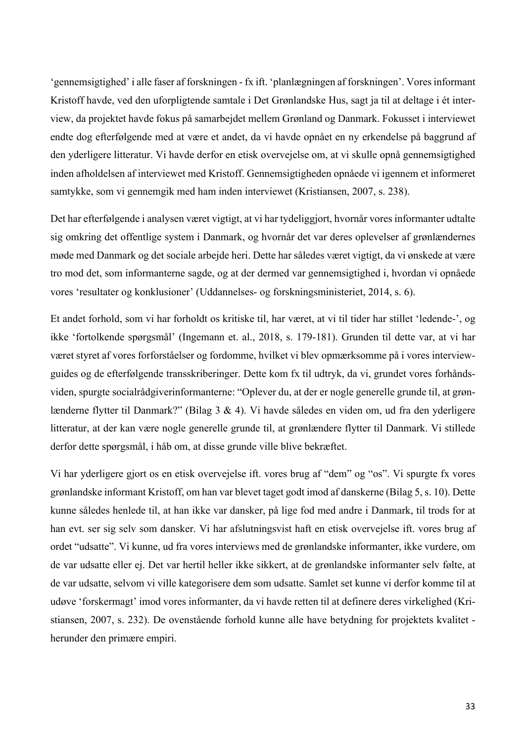'gennemsigtighed' i alle faser af forskningen - fx ift. 'planlægningen af forskningen'. Vores informant Kristoff havde, ved den uforpligtende samtale i Det Grønlandske Hus, sagt ja til at deltage i ét interview, da projektet havde fokus på samarbejdet mellem Grønland og Danmark. Fokusset i interviewet endte dog efterfølgende med at være et andet, da vi havde opnået en ny erkendelse på baggrund af den yderligere litteratur. Vi havde derfor en etisk overvejelse om, at vi skulle opnå gennemsigtighed inden afholdelsen af interviewet med Kristoff. Gennemsigtigheden opnåede vi igennem et informeret samtykke, som vi gennemgik med ham inden interviewet (Kristiansen, 2007, s. 238).

Det har efterfølgende i analysen været vigtigt, at vi har tydeliggjort, hvornår vores informanter udtalte sig omkring det offentlige system i Danmark, og hvornår det var deres oplevelser af grønlændernes møde med Danmark og det sociale arbejde heri. Dette har således været vigtigt, da vi ønskede at være tro mod det, som informanterne sagde, og at der dermed var gennemsigtighed i, hvordan vi opnåede vores 'resultater og konklusioner' (Uddannelses- og forskningsministeriet, 2014, s. 6).

Et andet forhold, som vi har forholdt os kritiske til, har været, at vi til tider har stillet 'ledende-', og ikke 'fortolkende spørgsmål' (Ingemann et. al., 2018, s. 179-181). Grunden til dette var, at vi har været styret af vores forforståelser og fordomme, hvilket vi blev opmærksomme på i vores interviewguides og de efterfølgende transskriberinger. Dette kom fx til udtryk, da vi, grundet vores forhåndsviden, spurgte socialrådgiverinformanterne: "Oplever du, at der er nogle generelle grunde til, at grønlænderne flytter til Danmark?" (Bilag 3 & 4). Vi havde således en viden om, ud fra den yderligere litteratur, at der kan være nogle generelle grunde til, at grønlændere flytter til Danmark. Vi stillede derfor dette spørgsmål, i håb om, at disse grunde ville blive bekræftet.

Vi har yderligere gjort os en etisk overvejelse ift. vores brug af "dem" og "os". Vi spurgte fx vores grønlandske informant Kristoff, om han var blevet taget godt imod af danskerne (Bilag 5, s. 10). Dette kunne således henlede til, at han ikke var dansker, på lige fod med andre i Danmark, til trods for at han evt. ser sig selv som dansker. Vi har afslutningsvist haft en etisk overvejelse ift. vores brug af ordet "udsatte". Vi kunne, ud fra vores interviews med de grønlandske informanter, ikke vurdere, om de var udsatte eller ej. Det var hertil heller ikke sikkert, at de grønlandske informanter selv følte, at de var udsatte, selvom vi ville kategorisere dem som udsatte. Samlet set kunne vi derfor komme til at udøve 'forskermagt' imod vores informanter, da vi havde retten til at definere deres virkelighed (Kristiansen, 2007, s. 232). De ovenstående forhold kunne alle have betydning for projektets kvalitet herunder den primære empiri.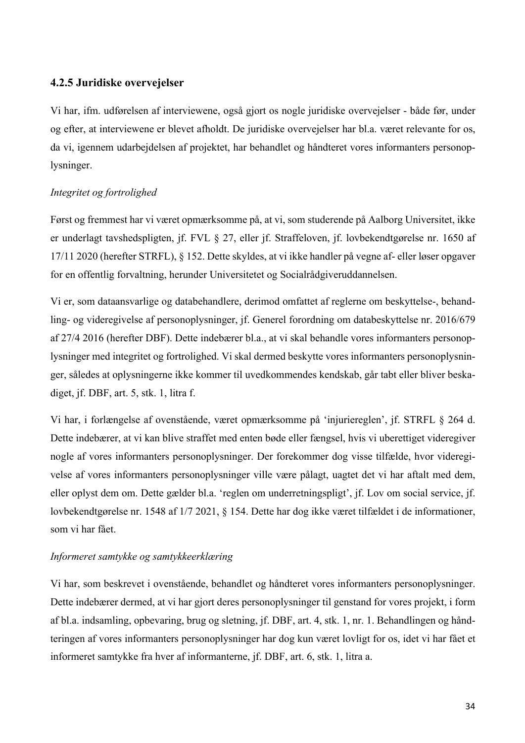### **4.2.5 Juridiske overvejelser**

Vi har, ifm. udførelsen af interviewene, også gjort os nogle juridiske overvejelser - både før, under og efter, at interviewene er blevet afholdt. De juridiske overvejelser har bl.a. været relevante for os, da vi, igennem udarbejdelsen af projektet, har behandlet og håndteret vores informanters personoplysninger.

### *Integritet og fortrolighed*

Først og fremmest har vi været opmærksomme på, at vi, som studerende på Aalborg Universitet, ikke er underlagt tavshedspligten, jf. FVL § 27, eller jf. Straffeloven, jf. lovbekendtgørelse nr. 1650 af 17/11 2020 (herefter STRFL), § 152. Dette skyldes, at vi ikke handler på vegne af- eller løser opgaver for en offentlig forvaltning, herunder Universitetet og Socialrådgiveruddannelsen.

Vi er, som dataansvarlige og databehandlere, derimod omfattet af reglerne om beskyttelse-, behandling- og videregivelse af personoplysninger, jf. Generel forordning om databeskyttelse nr. 2016/679 af 27/4 2016 (herefter DBF). Dette indebærer bl.a., at vi skal behandle vores informanters personoplysninger med integritet og fortrolighed. Vi skal dermed beskytte vores informanters personoplysninger, således at oplysningerne ikke kommer til uvedkommendes kendskab, går tabt eller bliver beskadiget, jf. DBF, art. 5, stk. 1, litra f.

Vi har, i forlængelse af ovenstående, været opmærksomme på 'injuriereglen', jf. STRFL § 264 d. Dette indebærer, at vi kan blive straffet med enten bøde eller fængsel, hvis vi uberettiget videregiver nogle af vores informanters personoplysninger. Der forekommer dog visse tilfælde, hvor videregivelse af vores informanters personoplysninger ville være pålagt, uagtet det vi har aftalt med dem, eller oplyst dem om. Dette gælder bl.a. 'reglen om underretningspligt', jf. Lov om social service, jf. lovbekendtgørelse nr. 1548 af 1/7 2021, § 154. Dette har dog ikke været tilfældet i de informationer, som vi har fået.

### *Informeret samtykke og samtykkeerklæring*

Vi har, som beskrevet i ovenstående, behandlet og håndteret vores informanters personoplysninger. Dette indebærer dermed, at vi har gjort deres personoplysninger til genstand for vores projekt, i form af bl.a. indsamling, opbevaring, brug og sletning, jf. DBF, art. 4, stk. 1, nr. 1. Behandlingen og håndteringen af vores informanters personoplysninger har dog kun været lovligt for os, idet vi har fået et informeret samtykke fra hver af informanterne, jf. DBF, art. 6, stk. 1, litra a.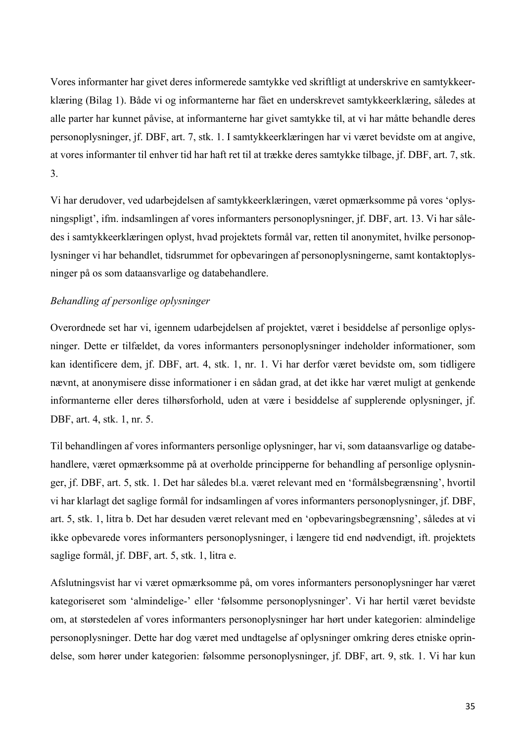Vores informanter har givet deres informerede samtykke ved skriftligt at underskrive en samtykkeerklæring (Bilag 1). Både vi og informanterne har fået en underskrevet samtykkeerklæring, således at alle parter har kunnet påvise, at informanterne har givet samtykke til, at vi har måtte behandle deres personoplysninger, jf. DBF, art. 7, stk. 1. I samtykkeerklæringen har vi været bevidste om at angive, at vores informanter til enhver tid har haft ret til at trække deres samtykke tilbage, jf. DBF, art. 7, stk. 3.

Vi har derudover, ved udarbejdelsen af samtykkeerklæringen, været opmærksomme på vores 'oplysningspligt', ifm. indsamlingen af vores informanters personoplysninger, jf. DBF, art. 13. Vi har således i samtykkeerklæringen oplyst, hvad projektets formål var, retten til anonymitet, hvilke personoplysninger vi har behandlet, tidsrummet for opbevaringen af personoplysningerne, samt kontaktoplysninger på os som dataansvarlige og databehandlere.

### *Behandling af personlige oplysninger*

Overordnede set har vi, igennem udarbejdelsen af projektet, været i besiddelse af personlige oplysninger. Dette er tilfældet, da vores informanters personoplysninger indeholder informationer, som kan identificere dem, jf. DBF, art. 4, stk. 1, nr. 1. Vi har derfor været bevidste om, som tidligere nævnt, at anonymisere disse informationer i en sådan grad, at det ikke har været muligt at genkende informanterne eller deres tilhørsforhold, uden at være i besiddelse af supplerende oplysninger, jf. DBF, art. 4, stk. 1, nr. 5.

Til behandlingen af vores informanters personlige oplysninger, har vi, som dataansvarlige og databehandlere, været opmærksomme på at overholde principperne for behandling af personlige oplysninger, jf. DBF, art. 5, stk. 1. Det har således bl.a. været relevant med en 'formålsbegrænsning', hvortil vi har klarlagt det saglige formål for indsamlingen af vores informanters personoplysninger, jf. DBF, art. 5, stk. 1, litra b. Det har desuden været relevant med en 'opbevaringsbegrænsning', således at vi ikke opbevarede vores informanters personoplysninger, i længere tid end nødvendigt, ift. projektets saglige formål, jf. DBF, art. 5, stk. 1, litra e.

Afslutningsvist har vi været opmærksomme på, om vores informanters personoplysninger har været kategoriseret som 'almindelige-' eller 'følsomme personoplysninger'. Vi har hertil været bevidste om, at størstedelen af vores informanters personoplysninger har hørt under kategorien: almindelige personoplysninger. Dette har dog været med undtagelse af oplysninger omkring deres etniske oprindelse, som hører under kategorien: følsomme personoplysninger, jf. DBF, art. 9, stk. 1. Vi har kun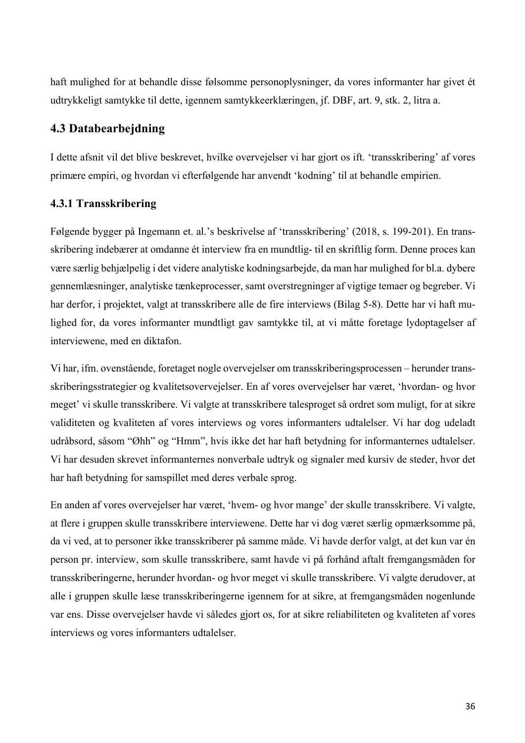haft mulighed for at behandle disse følsomme personoplysninger, da vores informanter har givet ét udtrykkeligt samtykke til dette, igennem samtykkeerklæringen, jf. DBF, art. 9, stk. 2, litra a.

### **4.3 Databearbejdning**

I dette afsnit vil det blive beskrevet, hvilke overvejelser vi har gjort os ift. 'transskribering' af vores primære empiri, og hvordan vi efterfølgende har anvendt 'kodning' til at behandle empirien.

### **4.3.1 Transskribering**

Følgende bygger på Ingemann et. al.'s beskrivelse af 'transskribering' (2018, s. 199-201). En transskribering indebærer at omdanne ét interview fra en mundtlig- til en skriftlig form. Denne proces kan være særlig behjælpelig i det videre analytiske kodningsarbejde, da man har mulighed for bl.a. dybere gennemlæsninger, analytiske tænkeprocesser, samt overstregninger af vigtige temaer og begreber. Vi har derfor, i projektet, valgt at transskribere alle de fire interviews (Bilag 5-8). Dette har vi haft mulighed for, da vores informanter mundtligt gav samtykke til, at vi måtte foretage lydoptagelser af interviewene, med en diktafon.

Vi har, ifm. ovenstående, foretaget nogle overvejelser om transskriberingsprocessen – herunder transskriberingsstrategier og kvalitetsovervejelser. En af vores overvejelser har været, 'hvordan- og hvor meget' vi skulle transskribere. Vi valgte at transskribere talesproget så ordret som muligt, for at sikre validiteten og kvaliteten af vores interviews og vores informanters udtalelser. Vi har dog udeladt udråbsord, såsom "Øhh" og "Hmm", hvis ikke det har haft betydning for informanternes udtalelser. Vi har desuden skrevet informanternes nonverbale udtryk og signaler med kursiv de steder, hvor det har haft betydning for samspillet med deres verbale sprog.

En anden af vores overvejelser har været, 'hvem- og hvor mange' der skulle transskribere. Vi valgte, at flere i gruppen skulle transskribere interviewene. Dette har vi dog været særlig opmærksomme på, da vi ved, at to personer ikke transskriberer på samme måde. Vi havde derfor valgt, at det kun var én person pr. interview, som skulle transskribere, samt havde vi på forhånd aftalt fremgangsmåden for transskriberingerne, herunder hvordan- og hvor meget vi skulle transskribere. Vi valgte derudover, at alle i gruppen skulle læse transskriberingerne igennem for at sikre, at fremgangsmåden nogenlunde var ens. Disse overvejelser havde vi således gjort os, for at sikre reliabiliteten og kvaliteten af vores interviews og vores informanters udtalelser.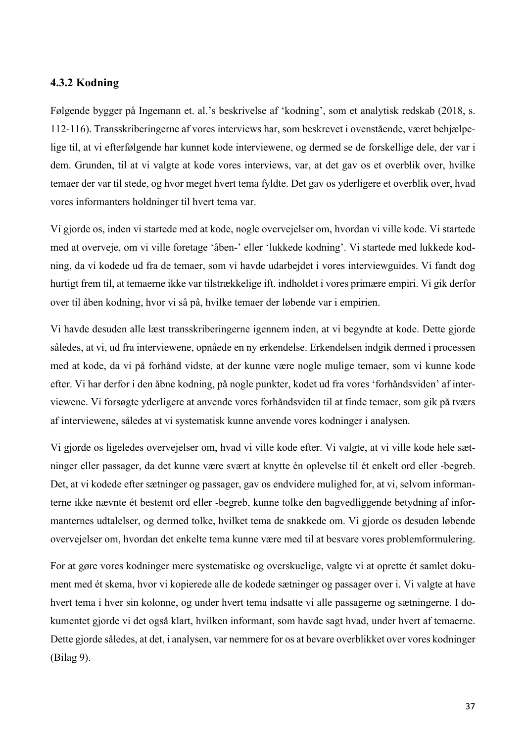### **4.3.2 Kodning**

Følgende bygger på Ingemann et. al.'s beskrivelse af 'kodning', som et analytisk redskab (2018, s. 112-116). Transskriberingerne af vores interviews har, som beskrevet i ovenstående, været behjælpelige til, at vi efterfølgende har kunnet kode interviewene, og dermed se de forskellige dele, der var i dem. Grunden, til at vi valgte at kode vores interviews, var, at det gav os et overblik over, hvilke temaer der var til stede, og hvor meget hvert tema fyldte. Det gav os yderligere et overblik over, hvad vores informanters holdninger til hvert tema var.

Vi gjorde os, inden vi startede med at kode, nogle overvejelser om, hvordan vi ville kode. Vi startede med at overveje, om vi ville foretage 'åben-' eller 'lukkede kodning'. Vi startede med lukkede kodning, da vi kodede ud fra de temaer, som vi havde udarbejdet i vores interviewguides. Vi fandt dog hurtigt frem til, at temaerne ikke var tilstrækkelige ift. indholdet i vores primære empiri. Vi gik derfor over til åben kodning, hvor vi så på, hvilke temaer der løbende var i empirien.

Vi havde desuden alle læst transskriberingerne igennem inden, at vi begyndte at kode. Dette gjorde således, at vi, ud fra interviewene, opnåede en ny erkendelse. Erkendelsen indgik dermed i processen med at kode, da vi på forhånd vidste, at der kunne være nogle mulige temaer, som vi kunne kode efter. Vi har derfor i den åbne kodning, på nogle punkter, kodet ud fra vores 'forhåndsviden' af interviewene. Vi forsøgte yderligere at anvende vores forhåndsviden til at finde temaer, som gik på tværs af interviewene, således at vi systematisk kunne anvende vores kodninger i analysen.

Vi gjorde os ligeledes overvejelser om, hvad vi ville kode efter. Vi valgte, at vi ville kode hele sætninger eller passager, da det kunne være svært at knytte én oplevelse til ét enkelt ord eller -begreb. Det, at vi kodede efter sætninger og passager, gav os endvidere mulighed for, at vi, selvom informanterne ikke nævnte ét bestemt ord eller -begreb, kunne tolke den bagvedliggende betydning af informanternes udtalelser, og dermed tolke, hvilket tema de snakkede om. Vi gjorde os desuden løbende overvejelser om, hvordan det enkelte tema kunne være med til at besvare vores problemformulering.

For at gøre vores kodninger mere systematiske og overskuelige, valgte vi at oprette ét samlet dokument med ét skema, hvor vi kopierede alle de kodede sætninger og passager over i. Vi valgte at have hvert tema i hver sin kolonne, og under hvert tema indsatte vi alle passagerne og sætningerne. I dokumentet gjorde vi det også klart, hvilken informant, som havde sagt hvad, under hvert af temaerne. Dette gjorde således, at det, i analysen, var nemmere for os at bevare overblikket over vores kodninger (Bilag 9).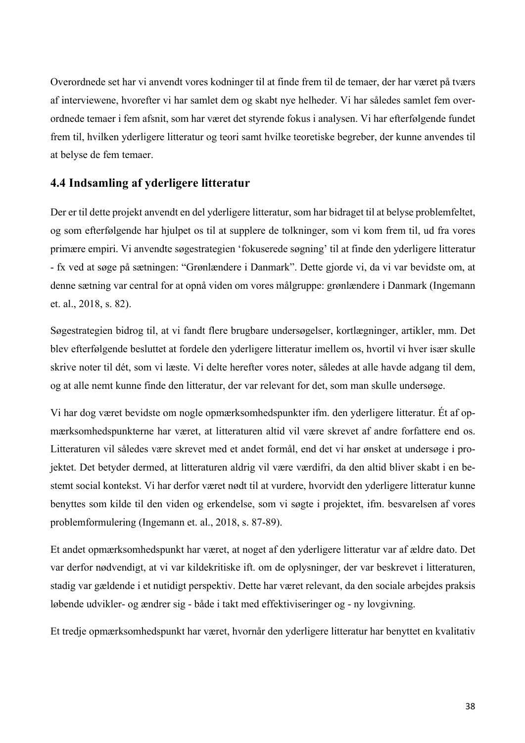Overordnede set har vi anvendt vores kodninger til at finde frem til de temaer, der har været på tværs af interviewene, hvorefter vi har samlet dem og skabt nye helheder. Vi har således samlet fem overordnede temaer i fem afsnit, som har været det styrende fokus i analysen. Vi har efterfølgende fundet frem til, hvilken yderligere litteratur og teori samt hvilke teoretiske begreber, der kunne anvendes til at belyse de fem temaer.

# **4.4 Indsamling af yderligere litteratur**

Der er til dette projekt anvendt en del yderligere litteratur, som har bidraget til at belyse problemfeltet, og som efterfølgende har hjulpet os til at supplere de tolkninger, som vi kom frem til, ud fra vores primære empiri. Vi anvendte søgestrategien 'fokuserede søgning' til at finde den yderligere litteratur - fx ved at søge på sætningen: "Grønlændere i Danmark". Dette gjorde vi, da vi var bevidste om, at denne sætning var central for at opnå viden om vores målgruppe: grønlændere i Danmark (Ingemann et. al., 2018, s. 82).

Søgestrategien bidrog til, at vi fandt flere brugbare undersøgelser, kortlægninger, artikler, mm. Det blev efterfølgende besluttet at fordele den yderligere litteratur imellem os, hvortil vi hver især skulle skrive noter til dét, som vi læste. Vi delte herefter vores noter, således at alle havde adgang til dem, og at alle nemt kunne finde den litteratur, der var relevant for det, som man skulle undersøge.

Vi har dog været bevidste om nogle opmærksomhedspunkter ifm. den yderligere litteratur. Ét af opmærksomhedspunkterne har været, at litteraturen altid vil være skrevet af andre forfattere end os. Litteraturen vil således være skrevet med et andet formål, end det vi har ønsket at undersøge i projektet. Det betyder dermed, at litteraturen aldrig vil være værdifri, da den altid bliver skabt i en bestemt social kontekst. Vi har derfor været nødt til at vurdere, hvorvidt den yderligere litteratur kunne benyttes som kilde til den viden og erkendelse, som vi søgte i projektet, ifm. besvarelsen af vores problemformulering (Ingemann et. al., 2018, s. 87-89).

Et andet opmærksomhedspunkt har været, at noget af den yderligere litteratur var af ældre dato. Det var derfor nødvendigt, at vi var kildekritiske ift. om de oplysninger, der var beskrevet i litteraturen, stadig var gældende i et nutidigt perspektiv. Dette har været relevant, da den sociale arbejdes praksis løbende udvikler- og ændrer sig - både i takt med effektiviseringer og - ny lovgivning.

Et tredje opmærksomhedspunkt har været, hvornår den yderligere litteratur har benyttet en kvalitativ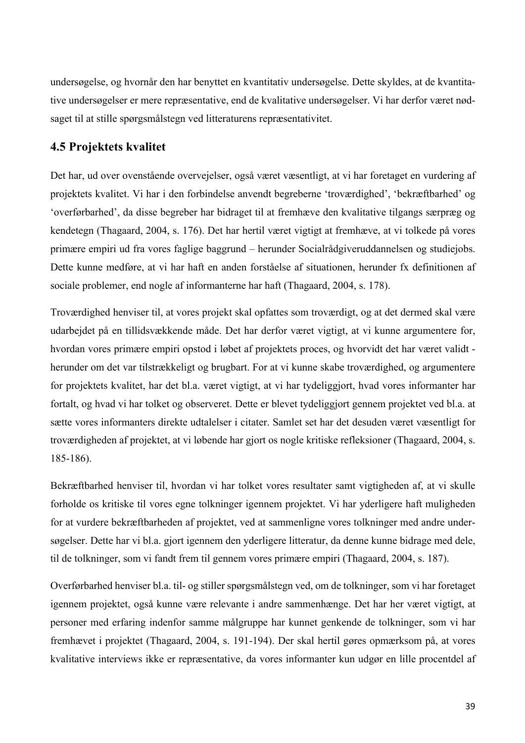undersøgelse, og hvornår den har benyttet en kvantitativ undersøgelse. Dette skyldes, at de kvantitative undersøgelser er mere repræsentative, end de kvalitative undersøgelser. Vi har derfor været nødsaget til at stille spørgsmålstegn ved litteraturens repræsentativitet.

# **4.5 Projektets kvalitet**

Det har, ud over ovenstående overvejelser, også været væsentligt, at vi har foretaget en vurdering af projektets kvalitet. Vi har i den forbindelse anvendt begreberne 'troværdighed', 'bekræftbarhed' og 'overførbarhed', da disse begreber har bidraget til at fremhæve den kvalitative tilgangs særpræg og kendetegn (Thagaard, 2004, s. 176). Det har hertil været vigtigt at fremhæve, at vi tolkede på vores primære empiri ud fra vores faglige baggrund – herunder Socialrådgiveruddannelsen og studiejobs. Dette kunne medføre, at vi har haft en anden forståelse af situationen, herunder fx definitionen af sociale problemer, end nogle af informanterne har haft (Thagaard, 2004, s. 178).

Troværdighed henviser til, at vores projekt skal opfattes som troværdigt, og at det dermed skal være udarbejdet på en tillidsvækkende måde. Det har derfor været vigtigt, at vi kunne argumentere for, hvordan vores primære empiri opstod i løbet af projektets proces, og hvorvidt det har været validt herunder om det var tilstrækkeligt og brugbart. For at vi kunne skabe troværdighed, og argumentere for projektets kvalitet, har det bl.a. været vigtigt, at vi har tydeliggjort, hvad vores informanter har fortalt, og hvad vi har tolket og observeret. Dette er blevet tydeliggjort gennem projektet ved bl.a. at sætte vores informanters direkte udtalelser i citater. Samlet set har det desuden været væsentligt for troværdigheden af projektet, at vi løbende har gjort os nogle kritiske refleksioner (Thagaard, 2004, s. 185-186).

Bekræftbarhed henviser til, hvordan vi har tolket vores resultater samt vigtigheden af, at vi skulle forholde os kritiske til vores egne tolkninger igennem projektet. Vi har yderligere haft muligheden for at vurdere bekræftbarheden af projektet, ved at sammenligne vores tolkninger med andre undersøgelser. Dette har vi bl.a. gjort igennem den yderligere litteratur, da denne kunne bidrage med dele, til de tolkninger, som vi fandt frem til gennem vores primære empiri (Thagaard, 2004, s. 187).

Overførbarhed henviser bl.a. til- og stiller spørgsmålstegn ved, om de tolkninger, som vi har foretaget igennem projektet, også kunne være relevante i andre sammenhænge. Det har her været vigtigt, at personer med erfaring indenfor samme målgruppe har kunnet genkende de tolkninger, som vi har fremhævet i projektet (Thagaard, 2004, s. 191-194). Der skal hertil gøres opmærksom på, at vores kvalitative interviews ikke er repræsentative, da vores informanter kun udgør en lille procentdel af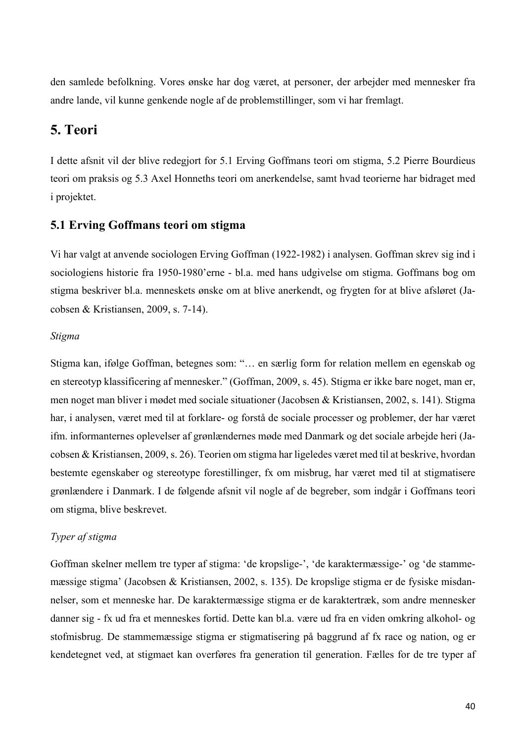den samlede befolkning. Vores ønske har dog været, at personer, der arbejder med mennesker fra andre lande, vil kunne genkende nogle af de problemstillinger, som vi har fremlagt.

# **5. Teori**

I dette afsnit vil der blive redegjort for 5.1 Erving Goffmans teori om stigma, 5.2 Pierre Bourdieus teori om praksis og 5.3 Axel Honneths teori om anerkendelse, samt hvad teorierne har bidraget med i projektet.

# **5.1 Erving Goffmans teori om stigma**

Vi har valgt at anvende sociologen Erving Goffman (1922-1982) i analysen. Goffman skrev sig ind i sociologiens historie fra 1950-1980'erne - bl.a. med hans udgivelse om stigma. Goffmans bog om stigma beskriver bl.a. menneskets ønske om at blive anerkendt, og frygten for at blive afsløret (Jacobsen & Kristiansen, 2009, s. 7-14).

#### *Stigma*

Stigma kan, ifølge Goffman, betegnes som: "… en særlig form for relation mellem en egenskab og en stereotyp klassificering af mennesker." (Goffman, 2009, s. 45). Stigma er ikke bare noget, man er, men noget man bliver i mødet med sociale situationer (Jacobsen & Kristiansen, 2002, s. 141). Stigma har, i analysen, været med til at forklare- og forstå de sociale processer og problemer, der har været ifm. informanternes oplevelser af grønlændernes møde med Danmark og det sociale arbejde heri (Jacobsen & Kristiansen, 2009, s. 26). Teorien om stigma har ligeledes været med til at beskrive, hvordan bestemte egenskaber og stereotype forestillinger, fx om misbrug, har været med til at stigmatisere grønlændere i Danmark. I de følgende afsnit vil nogle af de begreber, som indgår i Goffmans teori om stigma, blive beskrevet.

### *Typer af stigma*

Goffman skelner mellem tre typer af stigma: 'de kropslige-', 'de karaktermæssige-' og 'de stammemæssige stigma' (Jacobsen & Kristiansen, 2002, s. 135). De kropslige stigma er de fysiske misdannelser, som et menneske har. De karaktermæssige stigma er de karaktertræk, som andre mennesker danner sig - fx ud fra et menneskes fortid. Dette kan bl.a. være ud fra en viden omkring alkohol- og stofmisbrug. De stammemæssige stigma er stigmatisering på baggrund af fx race og nation, og er kendetegnet ved, at stigmaet kan overføres fra generation til generation. Fælles for de tre typer af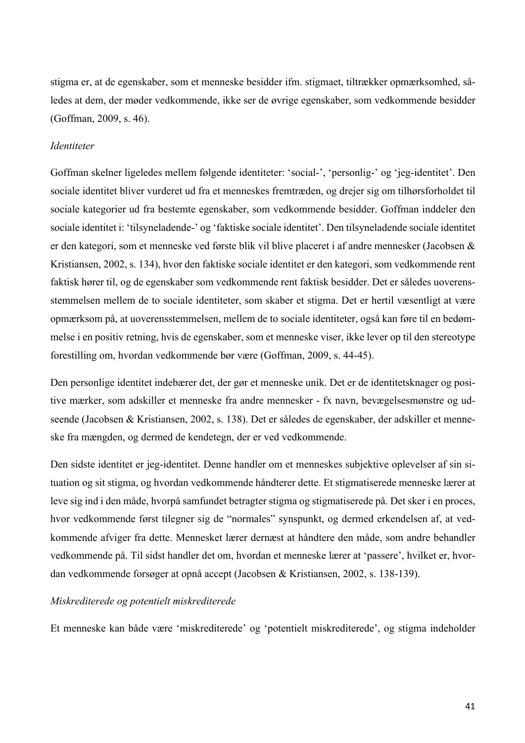stigma er, at de egenskaber, som et menneske besidder ifm. stigmaet, tiltrækker opmærksomhed, således at dem, der møder vedkommende, ikke ser de øvrige egenskaber, som vedkommende besidder (Goffman, 2009, s. 46).

### *Identiteter*

Goffman skelner ligeledes mellem følgende identiteter: 'social-', 'personlig-' og 'jeg-identitet'. Den sociale identitet bliver vurderet ud fra et menneskes fremtræden, og drejer sig om tilhørsforholdet til sociale kategorier ud fra bestemte egenskaber, som vedkommende besidder. Goffman inddeler den sociale identitet i: 'tilsyneladende-' og 'faktiske sociale identitet'. Den tilsyneladende sociale identitet er den kategori, som et menneske ved første blik vil blive placeret i af andre mennesker (Jacobsen & Kristiansen, 2002, s. 134), hvor den faktiske sociale identitet er den kategori, som vedkommende rent faktisk hører til, og de egenskaber som vedkommende rent faktisk besidder. Det er således uoverensstemmelsen mellem de to sociale identiteter, som skaber et stigma. Det er hertil væsentligt at være opmærksom på, at uoverensstemmelsen, mellem de to sociale identiteter, også kan føre til en bedømmelse i en positiv retning, hvis de egenskaber, som et menneske viser, ikke lever op til den stereotype forestilling om, hvordan vedkommende bør være (Goffman, 2009, s. 44-45).

Den personlige identitet indebærer det, der gør et menneske unik. Det er de identitetsknager og positive mærker, som adskiller et menneske fra andre mennesker - fx navn, bevægelsesmønstre og udseende (Jacobsen & Kristiansen, 2002, s. 138). Det er således de egenskaber, der adskiller et menneske fra mængden, og dermed de kendetegn, der er ved vedkommende.

Den sidste identitet er jeg-identitet. Denne handler om et menneskes subjektive oplevelser af sin situation og sit stigma, og hvordan vedkommende håndterer dette. Et stigmatiserede menneske lærer at leve sig ind i den måde, hvorpå samfundet betragter stigma og stigmatiserede på. Det sker i en proces, hvor vedkommende først tilegner sig de "normales" synspunkt, og dermed erkendelsen af, at vedkommende afviger fra dette. Mennesket lærer dernæst at håndtere den måde, som andre behandler vedkommende på. Til sidst handler det om, hvordan et menneske lærer at 'passere', hvilket er, hvordan vedkommende forsøger at opnå accept (Jacobsen & Kristiansen, 2002, s. 138-139).

#### *Miskrediterede og potentielt miskrediterede*

Et menneske kan både være 'miskrediterede' og 'potentielt miskrediterede', og stigma indeholder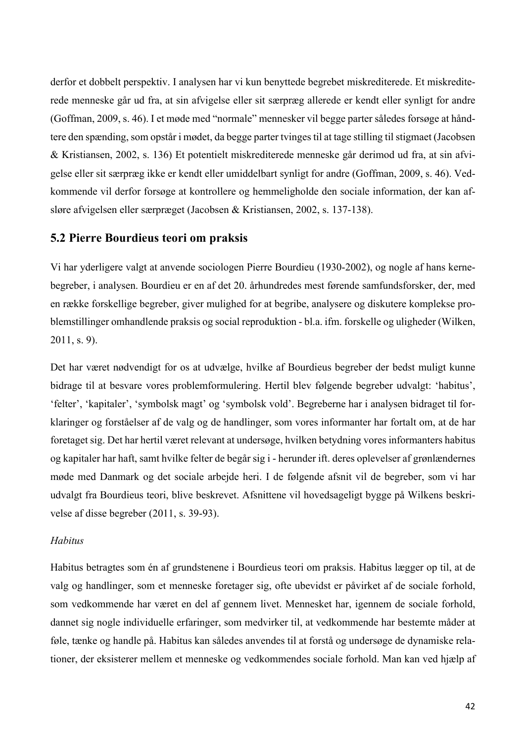derfor et dobbelt perspektiv. I analysen har vi kun benyttede begrebet miskrediterede. Et miskrediterede menneske går ud fra, at sin afvigelse eller sit særpræg allerede er kendt eller synligt for andre (Goffman, 2009, s. 46). I et møde med "normale" mennesker vil begge parter således forsøge at håndtere den spænding, som opstår i mødet, da begge parter tvinges til at tage stilling til stigmaet (Jacobsen & Kristiansen, 2002, s. 136) Et potentielt miskrediterede menneske går derimod ud fra, at sin afvigelse eller sit særpræg ikke er kendt eller umiddelbart synligt for andre (Goffman, 2009, s. 46). Vedkommende vil derfor forsøge at kontrollere og hemmeligholde den sociale information, der kan afsløre afvigelsen eller særpræget (Jacobsen & Kristiansen, 2002, s. 137-138).

### **5.2 Pierre Bourdieus teori om praksis**

Vi har yderligere valgt at anvende sociologen Pierre Bourdieu (1930-2002), og nogle af hans kernebegreber, i analysen. Bourdieu er en af det 20. århundredes mest førende samfundsforsker, der, med en række forskellige begreber, giver mulighed for at begribe, analysere og diskutere komplekse problemstillinger omhandlende praksis og social reproduktion - bl.a. ifm. forskelle og uligheder (Wilken, 2011, s. 9).

Det har været nødvendigt for os at udvælge, hvilke af Bourdieus begreber der bedst muligt kunne bidrage til at besvare vores problemformulering. Hertil blev følgende begreber udvalgt: 'habitus', 'felter', 'kapitaler', 'symbolsk magt' og 'symbolsk vold'. Begreberne har i analysen bidraget til forklaringer og forståelser af de valg og de handlinger, som vores informanter har fortalt om, at de har foretaget sig. Det har hertil været relevant at undersøge, hvilken betydning vores informanters habitus og kapitaler har haft, samt hvilke felter de begår sig i - herunder ift. deres oplevelser af grønlændernes møde med Danmark og det sociale arbejde heri. I de følgende afsnit vil de begreber, som vi har udvalgt fra Bourdieus teori, blive beskrevet. Afsnittene vil hovedsageligt bygge på Wilkens beskrivelse af disse begreber (2011, s. 39-93).

### *Habitus*

Habitus betragtes som én af grundstenene i Bourdieus teori om praksis. Habitus lægger op til, at de valg og handlinger, som et menneske foretager sig, ofte ubevidst er påvirket af de sociale forhold, som vedkommende har været en del af gennem livet. Mennesket har, igennem de sociale forhold, dannet sig nogle individuelle erfaringer, som medvirker til, at vedkommende har bestemte måder at føle, tænke og handle på. Habitus kan således anvendes til at forstå og undersøge de dynamiske relationer, der eksisterer mellem et menneske og vedkommendes sociale forhold. Man kan ved hjælp af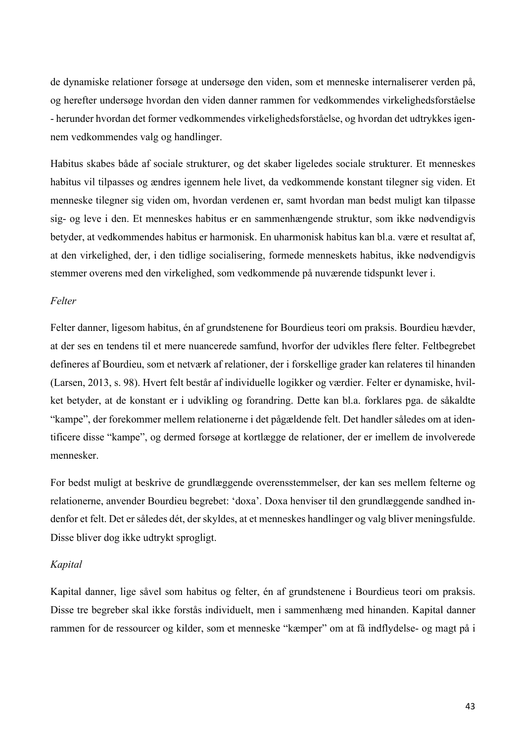de dynamiske relationer forsøge at undersøge den viden, som et menneske internaliserer verden på, og herefter undersøge hvordan den viden danner rammen for vedkommendes virkelighedsforståelse - herunder hvordan det former vedkommendes virkelighedsforståelse, og hvordan det udtrykkes igennem vedkommendes valg og handlinger.

Habitus skabes både af sociale strukturer, og det skaber ligeledes sociale strukturer. Et menneskes habitus vil tilpasses og ændres igennem hele livet, da vedkommende konstant tilegner sig viden. Et menneske tilegner sig viden om, hvordan verdenen er, samt hvordan man bedst muligt kan tilpasse sig- og leve i den. Et menneskes habitus er en sammenhængende struktur, som ikke nødvendigvis betyder, at vedkommendes habitus er harmonisk. En uharmonisk habitus kan bl.a. være et resultat af, at den virkelighed, der, i den tidlige socialisering, formede menneskets habitus, ikke nødvendigvis stemmer overens med den virkelighed, som vedkommende på nuværende tidspunkt lever i.

### *Felter*

Felter danner, ligesom habitus, én af grundstenene for Bourdieus teori om praksis. Bourdieu hævder, at der ses en tendens til et mere nuancerede samfund, hvorfor der udvikles flere felter. Feltbegrebet defineres af Bourdieu, som et netværk af relationer, der i forskellige grader kan relateres til hinanden (Larsen, 2013, s. 98). Hvert felt består af individuelle logikker og værdier. Felter er dynamiske, hvilket betyder, at de konstant er i udvikling og forandring. Dette kan bl.a. forklares pga. de såkaldte "kampe", der forekommer mellem relationerne i det pågældende felt. Det handler således om at identificere disse "kampe", og dermed forsøge at kortlægge de relationer, der er imellem de involverede mennesker.

For bedst muligt at beskrive de grundlæggende overensstemmelser, der kan ses mellem felterne og relationerne, anvender Bourdieu begrebet: 'doxa'. Doxa henviser til den grundlæggende sandhed indenfor et felt. Det er således dét, der skyldes, at et menneskes handlinger og valg bliver meningsfulde. Disse bliver dog ikke udtrykt sprogligt.

### *Kapital*

Kapital danner, lige såvel som habitus og felter, én af grundstenene i Bourdieus teori om praksis. Disse tre begreber skal ikke forstås individuelt, men i sammenhæng med hinanden. Kapital danner rammen for de ressourcer og kilder, som et menneske "kæmper" om at få indflydelse- og magt på i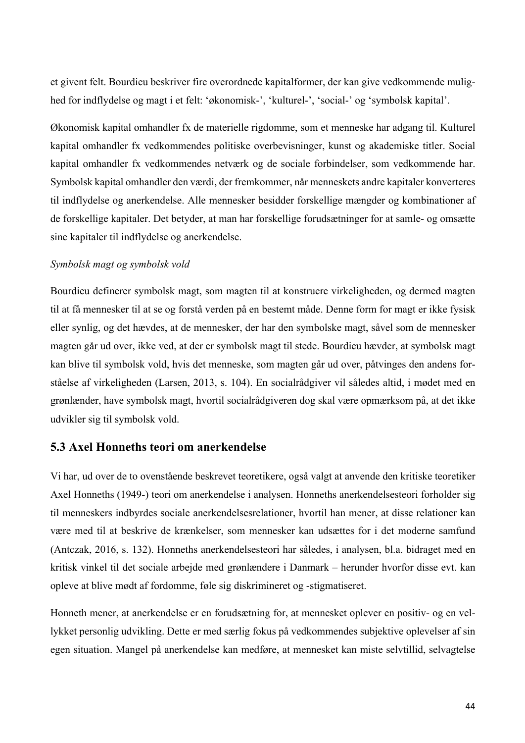et givent felt. Bourdieu beskriver fire overordnede kapitalformer, der kan give vedkommende mulighed for indflydelse og magt i et felt: 'økonomisk-', 'kulturel-', 'social-' og 'symbolsk kapital'.

Økonomisk kapital omhandler fx de materielle rigdomme, som et menneske har adgang til. Kulturel kapital omhandler fx vedkommendes politiske overbevisninger, kunst og akademiske titler. Social kapital omhandler fx vedkommendes netværk og de sociale forbindelser, som vedkommende har. Symbolsk kapital omhandler den værdi, der fremkommer, når menneskets andre kapitaler konverteres til indflydelse og anerkendelse. Alle mennesker besidder forskellige mængder og kombinationer af de forskellige kapitaler. Det betyder, at man har forskellige forudsætninger for at samle- og omsætte sine kapitaler til indflydelse og anerkendelse.

### *Symbolsk magt og symbolsk vold*

Bourdieu definerer symbolsk magt, som magten til at konstruere virkeligheden, og dermed magten til at få mennesker til at se og forstå verden på en bestemt måde. Denne form for magt er ikke fysisk eller synlig, og det hævdes, at de mennesker, der har den symbolske magt, såvel som de mennesker magten går ud over, ikke ved, at der er symbolsk magt til stede. Bourdieu hævder, at symbolsk magt kan blive til symbolsk vold, hvis det menneske, som magten går ud over, påtvinges den andens forståelse af virkeligheden (Larsen, 2013, s. 104). En socialrådgiver vil således altid, i mødet med en grønlænder, have symbolsk magt, hvortil socialrådgiveren dog skal være opmærksom på, at det ikke udvikler sig til symbolsk vold.

# **5.3 Axel Honneths teori om anerkendelse**

Vi har, ud over de to ovenstående beskrevet teoretikere, også valgt at anvende den kritiske teoretiker Axel Honneths (1949-) teori om anerkendelse i analysen. Honneths anerkendelsesteori forholder sig til menneskers indbyrdes sociale anerkendelsesrelationer, hvortil han mener, at disse relationer kan være med til at beskrive de krænkelser, som mennesker kan udsættes for i det moderne samfund (Antczak, 2016, s. 132). Honneths anerkendelsesteori har således, i analysen, bl.a. bidraget med en kritisk vinkel til det sociale arbejde med grønlændere i Danmark – herunder hvorfor disse evt. kan opleve at blive mødt af fordomme, føle sig diskrimineret og -stigmatiseret.

Honneth mener, at anerkendelse er en forudsætning for, at mennesket oplever en positiv- og en vellykket personlig udvikling. Dette er med særlig fokus på vedkommendes subjektive oplevelser af sin egen situation. Mangel på anerkendelse kan medføre, at mennesket kan miste selvtillid, selvagtelse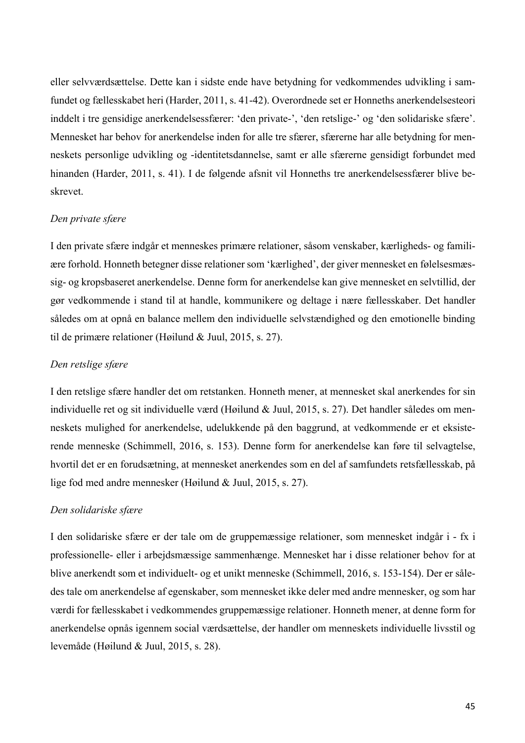eller selvværdsættelse. Dette kan i sidste ende have betydning for vedkommendes udvikling i samfundet og fællesskabet heri (Harder, 2011, s. 41-42). Overordnede set er Honneths anerkendelsesteori inddelt i tre gensidige anerkendelsessfærer: 'den private-', 'den retslige-' og 'den solidariske sfære'. Mennesket har behov for anerkendelse inden for alle tre sfærer, sfærerne har alle betydning for menneskets personlige udvikling og -identitetsdannelse, samt er alle sfærerne gensidigt forbundet med hinanden (Harder, 2011, s. 41). I de følgende afsnit vil Honneths tre anerkendelsessfærer blive beskrevet.

### *Den private sfære*

I den private sfære indgår et menneskes primære relationer, såsom venskaber, kærligheds- og familiære forhold. Honneth betegner disse relationer som 'kærlighed', der giver mennesket en følelsesmæssig- og kropsbaseret anerkendelse. Denne form for anerkendelse kan give mennesket en selvtillid, der gør vedkommende i stand til at handle, kommunikere og deltage i nære fællesskaber. Det handler således om at opnå en balance mellem den individuelle selvstændighed og den emotionelle binding til de primære relationer (Høilund & Juul, 2015, s. 27).

### *Den retslige sfære*

I den retslige sfære handler det om retstanken. Honneth mener, at mennesket skal anerkendes for sin individuelle ret og sit individuelle værd (Høilund & Juul, 2015, s. 27). Det handler således om menneskets mulighed for anerkendelse, udelukkende på den baggrund, at vedkommende er et eksisterende menneske (Schimmell, 2016, s. 153). Denne form for anerkendelse kan føre til selvagtelse, hvortil det er en forudsætning, at mennesket anerkendes som en del af samfundets retsfællesskab, på lige fod med andre mennesker (Høilund & Juul, 2015, s. 27).

### *Den solidariske sfære*

I den solidariske sfære er der tale om de gruppemæssige relationer, som mennesket indgår i - fx i professionelle- eller i arbejdsmæssige sammenhænge. Mennesket har i disse relationer behov for at blive anerkendt som et individuelt- og et unikt menneske (Schimmell, 2016, s. 153-154). Der er således tale om anerkendelse af egenskaber, som mennesket ikke deler med andre mennesker, og som har værdi for fællesskabet i vedkommendes gruppemæssige relationer. Honneth mener, at denne form for anerkendelse opnås igennem social værdsættelse, der handler om menneskets individuelle livsstil og levemåde (Høilund & Juul, 2015, s. 28).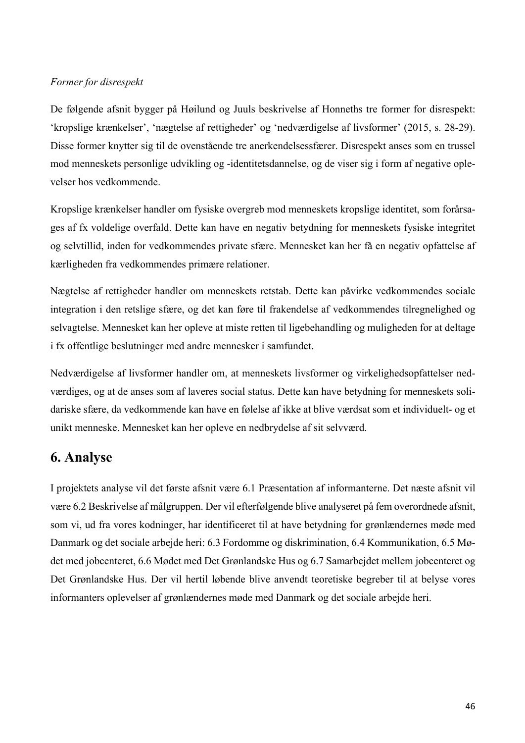### *Former for disrespekt*

De følgende afsnit bygger på Høilund og Juuls beskrivelse af Honneths tre former for disrespekt: 'kropslige krænkelser', 'nægtelse af rettigheder' og 'nedværdigelse af livsformer' (2015, s. 28-29). Disse former knytter sig til de ovenstående tre anerkendelsessfærer. Disrespekt anses som en trussel mod menneskets personlige udvikling og -identitetsdannelse, og de viser sig i form af negative oplevelser hos vedkommende.

Kropslige krænkelser handler om fysiske overgreb mod menneskets kropslige identitet, som forårsages af fx voldelige overfald. Dette kan have en negativ betydning for menneskets fysiske integritet og selvtillid, inden for vedkommendes private sfære. Mennesket kan her få en negativ opfattelse af kærligheden fra vedkommendes primære relationer.

Nægtelse af rettigheder handler om menneskets retstab. Dette kan påvirke vedkommendes sociale integration i den retslige sfære, og det kan føre til frakendelse af vedkommendes tilregnelighed og selvagtelse. Mennesket kan her opleve at miste retten til ligebehandling og muligheden for at deltage i fx offentlige beslutninger med andre mennesker i samfundet.

Nedværdigelse af livsformer handler om, at menneskets livsformer og virkelighedsopfattelser nedværdiges, og at de anses som af laveres social status. Dette kan have betydning for menneskets solidariske sfære, da vedkommende kan have en følelse af ikke at blive værdsat som et individuelt- og et unikt menneske. Mennesket kan her opleve en nedbrydelse af sit selvværd.

# **6. Analyse**

I projektets analyse vil det første afsnit være 6.1 Præsentation af informanterne. Det næste afsnit vil være 6.2 Beskrivelse af målgruppen. Der vil efterfølgende blive analyseret på fem overordnede afsnit, som vi, ud fra vores kodninger, har identificeret til at have betydning for grønlændernes møde med Danmark og det sociale arbejde heri: 6.3 Fordomme og diskrimination, 6.4 Kommunikation, 6.5 Mødet med jobcenteret, 6.6 Mødet med Det Grønlandske Hus og 6.7 Samarbejdet mellem jobcenteret og Det Grønlandske Hus. Der vil hertil løbende blive anvendt teoretiske begreber til at belyse vores informanters oplevelser af grønlændernes møde med Danmark og det sociale arbejde heri.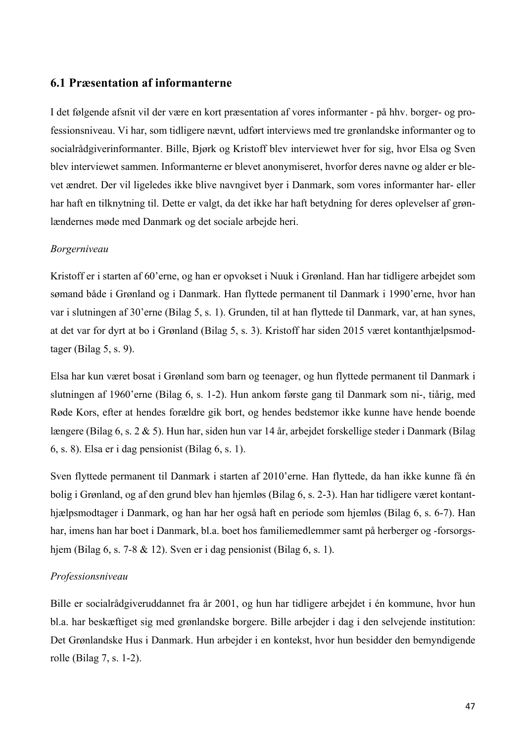# **6.1 Præsentation af informanterne**

I det følgende afsnit vil der være en kort præsentation af vores informanter - på hhv. borger- og professionsniveau. Vi har, som tidligere nævnt, udført interviews med tre grønlandske informanter og to socialrådgiverinformanter. Bille, Bjørk og Kristoff blev interviewet hver for sig, hvor Elsa og Sven blev interviewet sammen. Informanterne er blevet anonymiseret, hvorfor deres navne og alder er blevet ændret. Der vil ligeledes ikke blive navngivet byer i Danmark, som vores informanter har- eller har haft en tilknytning til. Dette er valgt, da det ikke har haft betydning for deres oplevelser af grønlændernes møde med Danmark og det sociale arbejde heri.

### *Borgerniveau*

Kristoff er i starten af 60'erne, og han er opvokset i Nuuk i Grønland. Han har tidligere arbejdet som sømand både i Grønland og i Danmark. Han flyttede permanent til Danmark i 1990'erne, hvor han var i slutningen af 30'erne (Bilag 5, s. 1). Grunden, til at han flyttede til Danmark, var, at han synes, at det var for dyrt at bo i Grønland (Bilag 5, s. 3). Kristoff har siden 2015 været kontanthjælpsmodtager (Bilag 5, s. 9).

Elsa har kun været bosat i Grønland som barn og teenager, og hun flyttede permanent til Danmark i slutningen af 1960'erne (Bilag 6, s. 1-2). Hun ankom første gang til Danmark som ni-, tiårig, med Røde Kors, efter at hendes forældre gik bort, og hendes bedstemor ikke kunne have hende boende længere (Bilag 6, s. 2 & 5). Hun har, siden hun var 14 år, arbejdet forskellige steder i Danmark (Bilag 6, s. 8). Elsa er i dag pensionist (Bilag 6, s. 1).

Sven flyttede permanent til Danmark i starten af 2010'erne. Han flyttede, da han ikke kunne få én bolig i Grønland, og af den grund blev han hjemløs (Bilag 6, s. 2-3). Han har tidligere været kontanthjælpsmodtager i Danmark, og han har her også haft en periode som hjemløs (Bilag 6, s. 6-7). Han har, imens han har boet i Danmark, bl.a. boet hos familiemedlemmer samt på herberger og -forsorgshjem (Bilag 6, s. 7-8 & 12). Sven er i dag pensionist (Bilag 6, s. 1).

### *Professionsniveau*

Bille er socialrådgiveruddannet fra år 2001, og hun har tidligere arbejdet i én kommune, hvor hun bl.a. har beskæftiget sig med grønlandske borgere. Bille arbejder i dag i den selvejende institution: Det Grønlandske Hus i Danmark. Hun arbejder i en kontekst, hvor hun besidder den bemyndigende rolle (Bilag 7, s. 1-2).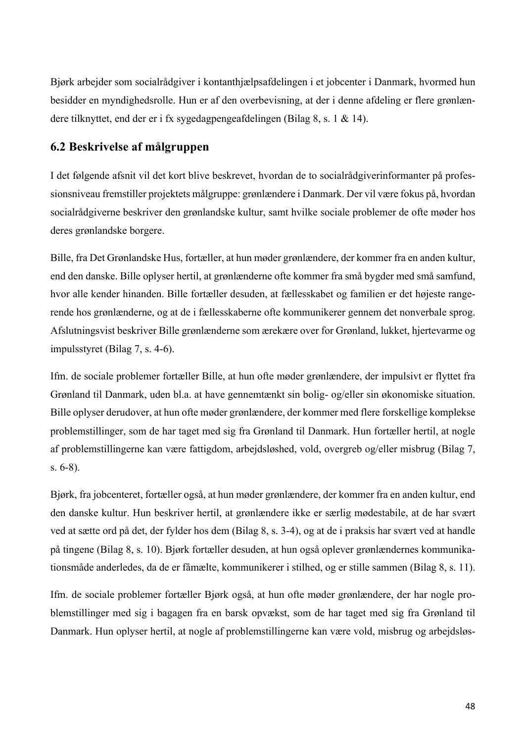Bjørk arbejder som socialrådgiver i kontanthjælpsafdelingen i et jobcenter i Danmark, hvormed hun besidder en myndighedsrolle. Hun er af den overbevisning, at der i denne afdeling er flere grønlændere tilknyttet, end der er i fx sygedagpengeafdelingen (Bilag 8, s. 1 & 14).

# **6.2 Beskrivelse af målgruppen**

I det følgende afsnit vil det kort blive beskrevet, hvordan de to socialrådgiverinformanter på professionsniveau fremstiller projektets målgruppe: grønlændere i Danmark. Der vil være fokus på, hvordan socialrådgiverne beskriver den grønlandske kultur, samt hvilke sociale problemer de ofte møder hos deres grønlandske borgere.

Bille, fra Det Grønlandske Hus, fortæller, at hun møder grønlændere, der kommer fra en anden kultur, end den danske. Bille oplyser hertil, at grønlænderne ofte kommer fra små bygder med små samfund, hvor alle kender hinanden. Bille fortæller desuden, at fællesskabet og familien er det højeste rangerende hos grønlænderne, og at de i fællesskaberne ofte kommunikerer gennem det nonverbale sprog. Afslutningsvist beskriver Bille grønlænderne som ærekære over for Grønland, lukket, hjertevarme og impulsstyret (Bilag 7, s. 4-6).

Ifm. de sociale problemer fortæller Bille, at hun ofte møder grønlændere, der impulsivt er flyttet fra Grønland til Danmark, uden bl.a. at have gennemtænkt sin bolig- og/eller sin økonomiske situation. Bille oplyser derudover, at hun ofte møder grønlændere, der kommer med flere forskellige komplekse problemstillinger, som de har taget med sig fra Grønland til Danmark. Hun fortæller hertil, at nogle af problemstillingerne kan være fattigdom, arbejdsløshed, vold, overgreb og/eller misbrug (Bilag 7, s. 6-8).

Bjørk, fra jobcenteret, fortæller også, at hun møder grønlændere, der kommer fra en anden kultur, end den danske kultur. Hun beskriver hertil, at grønlændere ikke er særlig mødestabile, at de har svært ved at sætte ord på det, der fylder hos dem (Bilag 8, s. 3-4), og at de i praksis har svært ved at handle på tingene (Bilag 8, s. 10). Bjørk fortæller desuden, at hun også oplever grønlændernes kommunikationsmåde anderledes, da de er fåmælte, kommunikerer i stilhed, og er stille sammen (Bilag 8, s. 11).

Ifm. de sociale problemer fortæller Bjørk også, at hun ofte møder grønlændere, der har nogle problemstillinger med sig i bagagen fra en barsk opvækst, som de har taget med sig fra Grønland til Danmark. Hun oplyser hertil, at nogle af problemstillingerne kan være vold, misbrug og arbejdsløs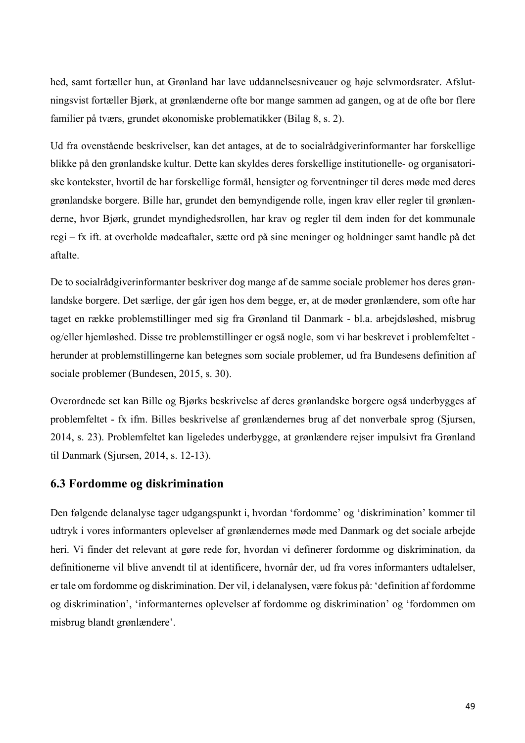hed, samt fortæller hun, at Grønland har lave uddannelsesniveauer og høje selvmordsrater. Afslutningsvist fortæller Bjørk, at grønlænderne ofte bor mange sammen ad gangen, og at de ofte bor flere familier på tværs, grundet økonomiske problematikker (Bilag 8, s. 2).

Ud fra ovenstående beskrivelser, kan det antages, at de to socialrådgiverinformanter har forskellige blikke på den grønlandske kultur. Dette kan skyldes deres forskellige institutionelle- og organisatoriske kontekster, hvortil de har forskellige formål, hensigter og forventninger til deres møde med deres grønlandske borgere. Bille har, grundet den bemyndigende rolle, ingen krav eller regler til grønlænderne, hvor Bjørk, grundet myndighedsrollen, har krav og regler til dem inden for det kommunale regi – fx ift. at overholde mødeaftaler, sætte ord på sine meninger og holdninger samt handle på det aftalte.

De to socialrådgiverinformanter beskriver dog mange af de samme sociale problemer hos deres grønlandske borgere. Det særlige, der går igen hos dem begge, er, at de møder grønlændere, som ofte har taget en række problemstillinger med sig fra Grønland til Danmark - bl.a. arbejdsløshed, misbrug og/eller hjemløshed. Disse tre problemstillinger er også nogle, som vi har beskrevet i problemfeltet herunder at problemstillingerne kan betegnes som sociale problemer, ud fra Bundesens definition af sociale problemer (Bundesen, 2015, s. 30).

Overordnede set kan Bille og Bjørks beskrivelse af deres grønlandske borgere også underbygges af problemfeltet - fx ifm. Billes beskrivelse af grønlændernes brug af det nonverbale sprog (Sjursen, 2014, s. 23). Problemfeltet kan ligeledes underbygge, at grønlændere rejser impulsivt fra Grønland til Danmark (Sjursen, 2014, s. 12-13).

# **6.3 Fordomme og diskrimination**

Den følgende delanalyse tager udgangspunkt i, hvordan 'fordomme' og 'diskrimination' kommer til udtryk i vores informanters oplevelser af grønlændernes møde med Danmark og det sociale arbejde heri. Vi finder det relevant at gøre rede for, hvordan vi definerer fordomme og diskrimination, da definitionerne vil blive anvendt til at identificere, hvornår der, ud fra vores informanters udtalelser, er tale om fordomme og diskrimination. Der vil, i delanalysen, være fokus på: 'definition af fordomme og diskrimination', 'informanternes oplevelser af fordomme og diskrimination' og 'fordommen om misbrug blandt grønlændere'.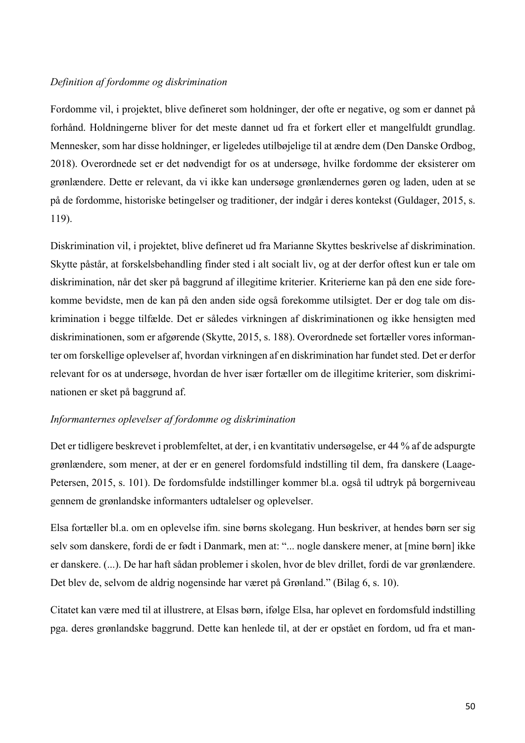### *Definition af fordomme og diskrimination*

Fordomme vil, i projektet, blive defineret som holdninger, der ofte er negative, og som er dannet på forhånd. Holdningerne bliver for det meste dannet ud fra et forkert eller et mangelfuldt grundlag. Mennesker, som har disse holdninger, er ligeledes utilbøjelige til at ændre dem (Den Danske Ordbog, 2018). Overordnede set er det nødvendigt for os at undersøge, hvilke fordomme der eksisterer om grønlændere. Dette er relevant, da vi ikke kan undersøge grønlændernes gøren og laden, uden at se på de fordomme, historiske betingelser og traditioner, der indgår i deres kontekst (Guldager, 2015, s. 119).

Diskrimination vil, i projektet, blive defineret ud fra Marianne Skyttes beskrivelse af diskrimination. Skytte påstår, at forskelsbehandling finder sted i alt socialt liv, og at der derfor oftest kun er tale om diskrimination, når det sker på baggrund af illegitime kriterier. Kriterierne kan på den ene side forekomme bevidste, men de kan på den anden side også forekomme utilsigtet. Der er dog tale om diskrimination i begge tilfælde. Det er således virkningen af diskriminationen og ikke hensigten med diskriminationen, som er afgørende (Skytte, 2015, s. 188). Overordnede set fortæller vores informanter om forskellige oplevelser af, hvordan virkningen af en diskrimination har fundet sted. Det er derfor relevant for os at undersøge, hvordan de hver især fortæller om de illegitime kriterier, som diskriminationen er sket på baggrund af.

### *Informanternes oplevelser af fordomme og diskrimination*

Det er tidligere beskrevet i problemfeltet, at der, i en kvantitativ undersøgelse, er 44 % af de adspurgte grønlændere, som mener, at der er en generel fordomsfuld indstilling til dem, fra danskere (Laage-Petersen, 2015, s. 101). De fordomsfulde indstillinger kommer bl.a. også til udtryk på borgerniveau gennem de grønlandske informanters udtalelser og oplevelser.

Elsa fortæller bl.a. om en oplevelse ifm. sine børns skolegang. Hun beskriver, at hendes børn ser sig selv som danskere, fordi de er født i Danmark, men at: "... nogle danskere mener, at [mine børn] ikke er danskere. (...). De har haft sådan problemer i skolen, hvor de blev drillet, fordi de var grønlændere. Det blev de, selvom de aldrig nogensinde har været på Grønland." (Bilag 6, s. 10).

Citatet kan være med til at illustrere, at Elsas børn, ifølge Elsa, har oplevet en fordomsfuld indstilling pga. deres grønlandske baggrund. Dette kan henlede til, at der er opstået en fordom, ud fra et man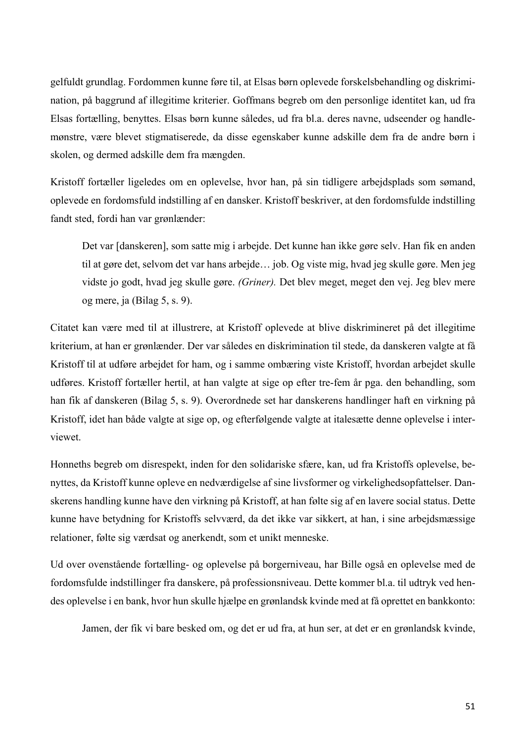gelfuldt grundlag. Fordommen kunne føre til, at Elsas børn oplevede forskelsbehandling og diskrimination, på baggrund af illegitime kriterier. Goffmans begreb om den personlige identitet kan, ud fra Elsas fortælling, benyttes. Elsas børn kunne således, ud fra bl.a. deres navne, udseender og handlemønstre, være blevet stigmatiserede, da disse egenskaber kunne adskille dem fra de andre børn i skolen, og dermed adskille dem fra mængden.

Kristoff fortæller ligeledes om en oplevelse, hvor han, på sin tidligere arbejdsplads som sømand, oplevede en fordomsfuld indstilling af en dansker. Kristoff beskriver, at den fordomsfulde indstilling fandt sted, fordi han var grønlænder:

Det var [danskeren], som satte mig i arbejde. Det kunne han ikke gøre selv. Han fik en anden til at gøre det, selvom det var hans arbejde… job. Og viste mig, hvad jeg skulle gøre. Men jeg vidste jo godt, hvad jeg skulle gøre. *(Griner).* Det blev meget, meget den vej. Jeg blev mere og mere, ja (Bilag 5, s. 9).

Citatet kan være med til at illustrere, at Kristoff oplevede at blive diskrimineret på det illegitime kriterium, at han er grønlænder. Der var således en diskrimination til stede, da danskeren valgte at få Kristoff til at udføre arbejdet for ham, og i samme ombæring viste Kristoff, hvordan arbejdet skulle udføres. Kristoff fortæller hertil, at han valgte at sige op efter tre-fem år pga. den behandling, som han fik af danskeren (Bilag 5, s. 9). Overordnede set har danskerens handlinger haft en virkning på Kristoff, idet han både valgte at sige op, og efterfølgende valgte at italesætte denne oplevelse i interviewet.

Honneths begreb om disrespekt, inden for den solidariske sfære, kan, ud fra Kristoffs oplevelse, benyttes, da Kristoff kunne opleve en nedværdigelse af sine livsformer og virkelighedsopfattelser. Danskerens handling kunne have den virkning på Kristoff, at han følte sig af en lavere social status. Dette kunne have betydning for Kristoffs selvværd, da det ikke var sikkert, at han, i sine arbejdsmæssige relationer, følte sig værdsat og anerkendt, som et unikt menneske.

Ud over ovenstående fortælling- og oplevelse på borgerniveau, har Bille også en oplevelse med de fordomsfulde indstillinger fra danskere, på professionsniveau. Dette kommer bl.a. til udtryk ved hendes oplevelse i en bank, hvor hun skulle hjælpe en grønlandsk kvinde med at få oprettet en bankkonto:

Jamen, der fik vi bare besked om, og det er ud fra, at hun ser, at det er en grønlandsk kvinde,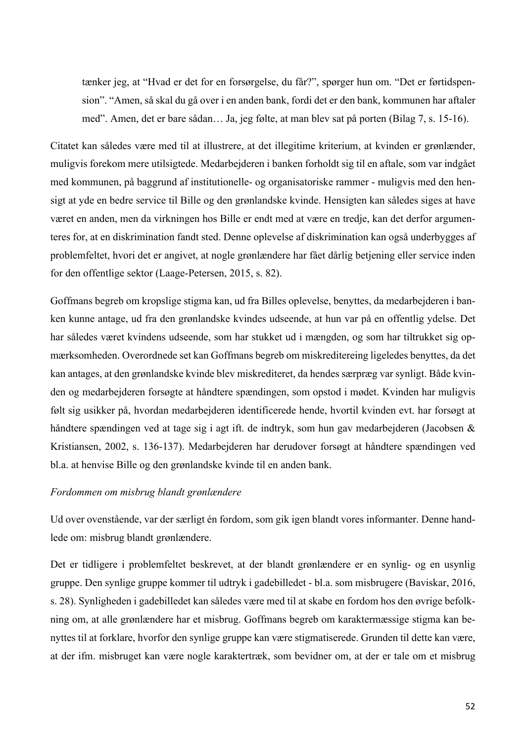tænker jeg, at "Hvad er det for en forsørgelse, du får?", spørger hun om. "Det er førtidspension". "Amen, så skal du gå over i en anden bank, fordi det er den bank, kommunen har aftaler med". Amen, det er bare sådan… Ja, jeg følte, at man blev sat på porten (Bilag 7, s. 15-16).

Citatet kan således være med til at illustrere, at det illegitime kriterium, at kvinden er grønlænder, muligvis forekom mere utilsigtede. Medarbejderen i banken forholdt sig til en aftale, som var indgået med kommunen, på baggrund af institutionelle- og organisatoriske rammer - muligvis med den hensigt at yde en bedre service til Bille og den grønlandske kvinde. Hensigten kan således siges at have været en anden, men da virkningen hos Bille er endt med at være en tredje, kan det derfor argumenteres for, at en diskrimination fandt sted. Denne oplevelse af diskrimination kan også underbygges af problemfeltet, hvori det er angivet, at nogle grønlændere har fået dårlig betjening eller service inden for den offentlige sektor (Laage-Petersen, 2015, s. 82).

Goffmans begreb om kropslige stigma kan, ud fra Billes oplevelse, benyttes, da medarbejderen i banken kunne antage, ud fra den grønlandske kvindes udseende, at hun var på en offentlig ydelse. Det har således været kvindens udseende, som har stukket ud i mængden, og som har tiltrukket sig opmærksomheden. Overordnede set kan Goffmans begreb om miskreditereing ligeledes benyttes, da det kan antages, at den grønlandske kvinde blev miskrediteret, da hendes særpræg var synligt. Både kvinden og medarbejderen forsøgte at håndtere spændingen, som opstod i mødet. Kvinden har muligvis følt sig usikker på, hvordan medarbejderen identificerede hende, hvortil kvinden evt. har forsøgt at håndtere spændingen ved at tage sig i agt ift. de indtryk, som hun gav medarbejderen (Jacobsen & Kristiansen, 2002, s. 136-137). Medarbejderen har derudover forsøgt at håndtere spændingen ved bl.a. at henvise Bille og den grønlandske kvinde til en anden bank.

### *Fordommen om misbrug blandt grønlændere*

Ud over ovenstående, var der særligt én fordom, som gik igen blandt vores informanter. Denne handlede om: misbrug blandt grønlændere.

Det er tidligere i problemfeltet beskrevet, at der blandt grønlændere er en synlig- og en usynlig gruppe. Den synlige gruppe kommer til udtryk i gadebilledet - bl.a. som misbrugere (Baviskar, 2016, s. 28). Synligheden i gadebilledet kan således være med til at skabe en fordom hos den øvrige befolkning om, at alle grønlændere har et misbrug. Goffmans begreb om karaktermæssige stigma kan benyttes til at forklare, hvorfor den synlige gruppe kan være stigmatiserede. Grunden til dette kan være, at der ifm. misbruget kan være nogle karaktertræk, som bevidner om, at der er tale om et misbrug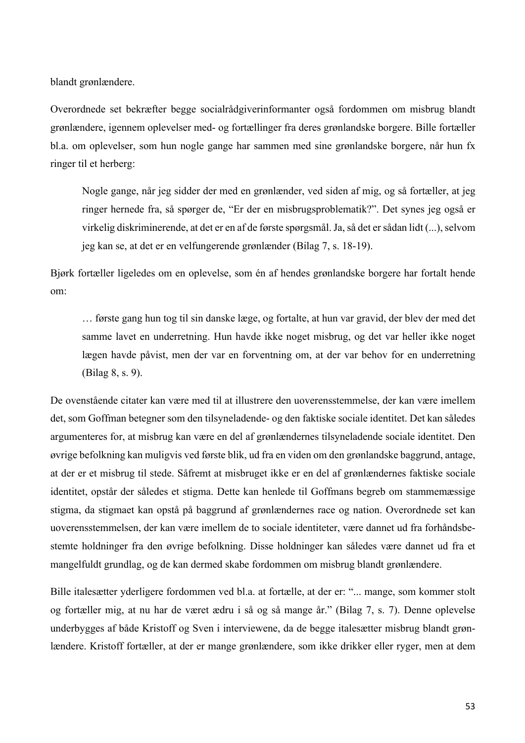blandt grønlændere.

Overordnede set bekræfter begge socialrådgiverinformanter også fordommen om misbrug blandt grønlændere, igennem oplevelser med- og fortællinger fra deres grønlandske borgere. Bille fortæller bl.a. om oplevelser, som hun nogle gange har sammen med sine grønlandske borgere, når hun fx ringer til et herberg:

Nogle gange, når jeg sidder der med en grønlænder, ved siden af mig, og så fortæller, at jeg ringer hernede fra, så spørger de, "Er der en misbrugsproblematik?". Det synes jeg også er virkelig diskriminerende, at det er en af de første spørgsmål. Ja, så det er sådan lidt (...), selvom jeg kan se, at det er en velfungerende grønlænder (Bilag 7, s. 18-19).

Bjørk fortæller ligeledes om en oplevelse, som én af hendes grønlandske borgere har fortalt hende om:

… første gang hun tog til sin danske læge, og fortalte, at hun var gravid, der blev der med det samme lavet en underretning. Hun havde ikke noget misbrug, og det var heller ikke noget lægen havde påvist, men der var en forventning om, at der var behov for en underretning (Bilag 8, s. 9).

De ovenstående citater kan være med til at illustrere den uoverensstemmelse, der kan være imellem det, som Goffman betegner som den tilsyneladende- og den faktiske sociale identitet. Det kan således argumenteres for, at misbrug kan være en del af grønlændernes tilsyneladende sociale identitet. Den øvrige befolkning kan muligvis ved første blik, ud fra en viden om den grønlandske baggrund, antage, at der er et misbrug til stede. Såfremt at misbruget ikke er en del af grønlændernes faktiske sociale identitet, opstår der således et stigma. Dette kan henlede til Goffmans begreb om stammemæssige stigma, da stigmaet kan opstå på baggrund af grønlændernes race og nation. Overordnede set kan uoverensstemmelsen, der kan være imellem de to sociale identiteter, være dannet ud fra forhåndsbestemte holdninger fra den øvrige befolkning. Disse holdninger kan således være dannet ud fra et mangelfuldt grundlag, og de kan dermed skabe fordommen om misbrug blandt grønlændere.

Bille italesætter yderligere fordommen ved bl.a. at fortælle, at der er: "... mange, som kommer stolt og fortæller mig, at nu har de været ædru i så og så mange år." (Bilag 7, s. 7). Denne oplevelse underbygges af både Kristoff og Sven i interviewene, da de begge italesætter misbrug blandt grønlændere. Kristoff fortæller, at der er mange grønlændere, som ikke drikker eller ryger, men at dem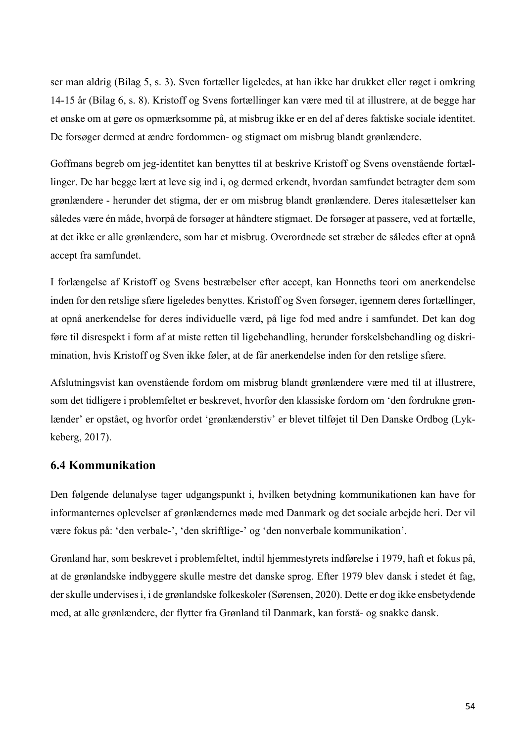ser man aldrig (Bilag 5, s. 3). Sven fortæller ligeledes, at han ikke har drukket eller røget i omkring 14-15 år (Bilag 6, s. 8). Kristoff og Svens fortællinger kan være med til at illustrere, at de begge har et ønske om at gøre os opmærksomme på, at misbrug ikke er en del af deres faktiske sociale identitet. De forsøger dermed at ændre fordommen- og stigmaet om misbrug blandt grønlændere.

Goffmans begreb om jeg-identitet kan benyttes til at beskrive Kristoff og Svens ovenstående fortællinger. De har begge lært at leve sig ind i, og dermed erkendt, hvordan samfundet betragter dem som grønlændere - herunder det stigma, der er om misbrug blandt grønlændere. Deres italesættelser kan således være én måde, hvorpå de forsøger at håndtere stigmaet. De forsøger at passere, ved at fortælle, at det ikke er alle grønlændere, som har et misbrug. Overordnede set stræber de således efter at opnå accept fra samfundet.

I forlængelse af Kristoff og Svens bestræbelser efter accept, kan Honneths teori om anerkendelse inden for den retslige sfære ligeledes benyttes. Kristoff og Sven forsøger, igennem deres fortællinger, at opnå anerkendelse for deres individuelle værd, på lige fod med andre i samfundet. Det kan dog føre til disrespekt i form af at miste retten til ligebehandling, herunder forskelsbehandling og diskrimination, hvis Kristoff og Sven ikke føler, at de får anerkendelse inden for den retslige sfære.

Afslutningsvist kan ovenstående fordom om misbrug blandt grønlændere være med til at illustrere, som det tidligere i problemfeltet er beskrevet, hvorfor den klassiske fordom om 'den fordrukne grønlænder' er opstået, og hvorfor ordet 'grønlænderstiv' er blevet tilføjet til Den Danske Ordbog (Lykkeberg, 2017).

# **6.4 Kommunikation**

Den følgende delanalyse tager udgangspunkt i, hvilken betydning kommunikationen kan have for informanternes oplevelser af grønlændernes møde med Danmark og det sociale arbejde heri. Der vil være fokus på: 'den verbale-', 'den skriftlige-' og 'den nonverbale kommunikation'.

Grønland har, som beskrevet i problemfeltet, indtil hjemmestyrets indførelse i 1979, haft et fokus på, at de grønlandske indbyggere skulle mestre det danske sprog. Efter 1979 blev dansk i stedet ét fag, der skulle undervises i, i de grønlandske folkeskoler (Sørensen, 2020). Dette er dog ikke ensbetydende med, at alle grønlændere, der flytter fra Grønland til Danmark, kan forstå- og snakke dansk.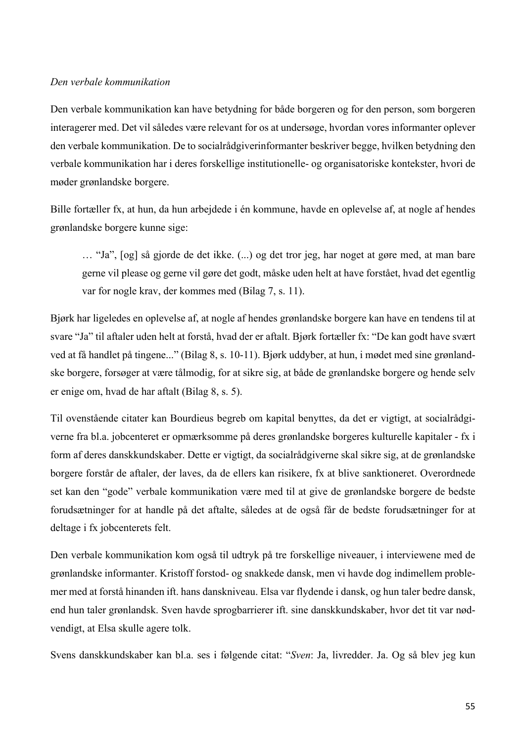### *Den verbale kommunikation*

Den verbale kommunikation kan have betydning for både borgeren og for den person, som borgeren interagerer med. Det vil således være relevant for os at undersøge, hvordan vores informanter oplever den verbale kommunikation. De to socialrådgiverinformanter beskriver begge, hvilken betydning den verbale kommunikation har i deres forskellige institutionelle- og organisatoriske kontekster, hvori de møder grønlandske borgere.

Bille fortæller fx, at hun, da hun arbejdede i én kommune, havde en oplevelse af, at nogle af hendes grønlandske borgere kunne sige:

… "Ja", [og] så gjorde de det ikke. (...) og det tror jeg, har noget at gøre med, at man bare gerne vil please og gerne vil gøre det godt, måske uden helt at have forstået, hvad det egentlig var for nogle krav, der kommes med (Bilag 7, s. 11).

Bjørk har ligeledes en oplevelse af, at nogle af hendes grønlandske borgere kan have en tendens til at svare "Ja" til aftaler uden helt at forstå, hvad der er aftalt. Bjørk fortæller fx: "De kan godt have svært ved at få handlet på tingene..." (Bilag 8, s. 10-11). Bjørk uddyber, at hun, i mødet med sine grønlandske borgere, forsøger at være tålmodig, for at sikre sig, at både de grønlandske borgere og hende selv er enige om, hvad de har aftalt (Bilag 8, s. 5).

Til ovenstående citater kan Bourdieus begreb om kapital benyttes, da det er vigtigt, at socialrådgiverne fra bl.a. jobcenteret er opmærksomme på deres grønlandske borgeres kulturelle kapitaler - fx i form af deres danskkundskaber. Dette er vigtigt, da socialrådgiverne skal sikre sig, at de grønlandske borgere forstår de aftaler, der laves, da de ellers kan risikere, fx at blive sanktioneret. Overordnede set kan den "gode" verbale kommunikation være med til at give de grønlandske borgere de bedste forudsætninger for at handle på det aftalte, således at de også får de bedste forudsætninger for at deltage i fx jobcenterets felt.

Den verbale kommunikation kom også til udtryk på tre forskellige niveauer, i interviewene med de grønlandske informanter. Kristoff forstod- og snakkede dansk, men vi havde dog indimellem problemer med at forstå hinanden ift. hans danskniveau. Elsa var flydende i dansk, og hun taler bedre dansk, end hun taler grønlandsk. Sven havde sprogbarrierer ift. sine danskkundskaber, hvor det tit var nødvendigt, at Elsa skulle agere tolk.

Svens danskkundskaber kan bl.a. ses i følgende citat: "*Sven*: Ja, livredder. Ja. Og så blev jeg kun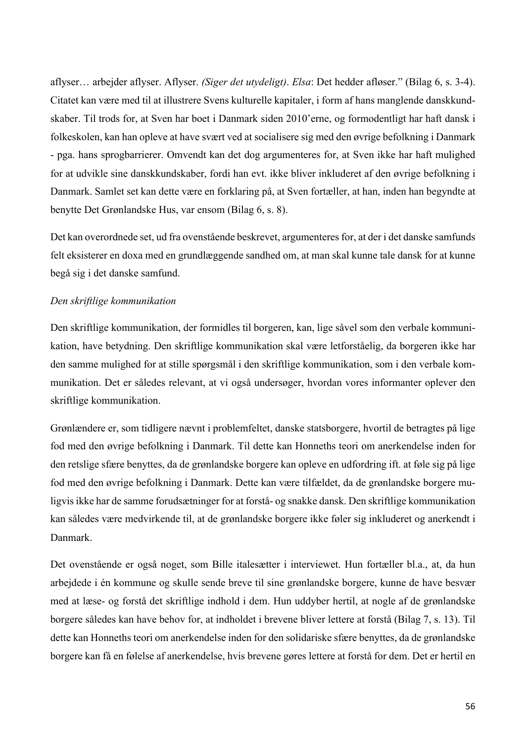aflyser… arbejder aflyser. Aflyser. *(Siger det utydeligt)*. *Elsa*: Det hedder afløser." (Bilag 6, s. 3-4). Citatet kan være med til at illustrere Svens kulturelle kapitaler, i form af hans manglende danskkundskaber. Til trods for, at Sven har boet i Danmark siden 2010'erne, og formodentligt har haft dansk i folkeskolen, kan han opleve at have svært ved at socialisere sig med den øvrige befolkning i Danmark - pga. hans sprogbarrierer. Omvendt kan det dog argumenteres for, at Sven ikke har haft mulighed for at udvikle sine danskkundskaber, fordi han evt. ikke bliver inkluderet af den øvrige befolkning i Danmark. Samlet set kan dette være en forklaring på, at Sven fortæller, at han, inden han begyndte at benytte Det Grønlandske Hus, var ensom (Bilag 6, s. 8).

Det kan overordnede set, ud fra ovenstående beskrevet, argumenteres for, at der i det danske samfunds felt eksisterer en doxa med en grundlæggende sandhed om, at man skal kunne tale dansk for at kunne begå sig i det danske samfund.

### *Den skriftlige kommunikation*

Den skriftlige kommunikation, der formidles til borgeren, kan, lige såvel som den verbale kommunikation, have betydning. Den skriftlige kommunikation skal være letforståelig, da borgeren ikke har den samme mulighed for at stille spørgsmål i den skriftlige kommunikation, som i den verbale kommunikation. Det er således relevant, at vi også undersøger, hvordan vores informanter oplever den skriftlige kommunikation.

Grønlændere er, som tidligere nævnt i problemfeltet, danske statsborgere, hvortil de betragtes på lige fod med den øvrige befolkning i Danmark. Til dette kan Honneths teori om anerkendelse inden for den retslige sfære benyttes, da de grønlandske borgere kan opleve en udfordring ift. at føle sig på lige fod med den øvrige befolkning i Danmark. Dette kan være tilfældet, da de grønlandske borgere muligvis ikke har de samme forudsætninger for at forstå- og snakke dansk. Den skriftlige kommunikation kan således være medvirkende til, at de grønlandske borgere ikke føler sig inkluderet og anerkendt i Danmark.

Det ovenstående er også noget, som Bille italesætter i interviewet. Hun fortæller bl.a., at, da hun arbejdede i én kommune og skulle sende breve til sine grønlandske borgere, kunne de have besvær med at læse- og forstå det skriftlige indhold i dem. Hun uddyber hertil, at nogle af de grønlandske borgere således kan have behov for, at indholdet i brevene bliver lettere at forstå (Bilag 7, s. 13). Til dette kan Honneths teori om anerkendelse inden for den solidariske sfære benyttes, da de grønlandske borgere kan få en følelse af anerkendelse, hvis brevene gøres lettere at forstå for dem. Det er hertil en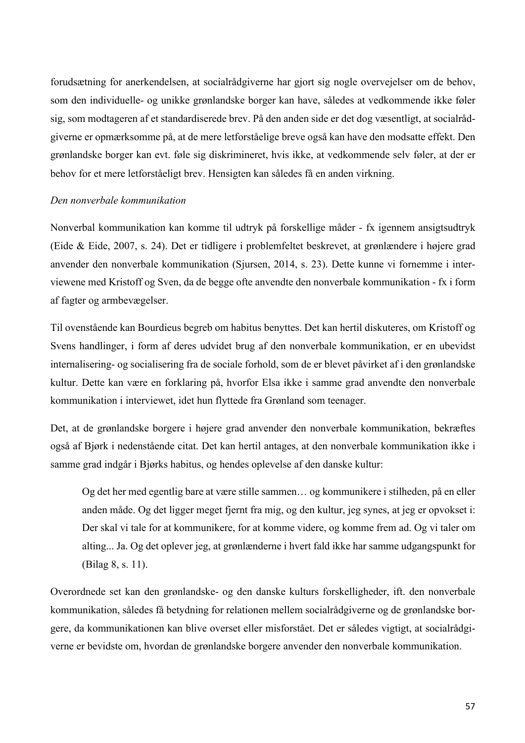forudsætning for anerkendelsen, at socialrådgiverne har gjort sig nogle overvejelser om de behov, som den individuelle- og unikke grønlandske borger kan have, således at vedkommende ikke føler sig, som modtageren af et standardiserede brev. På den anden side er det dog væsentligt, at socialrådgiverne er opmærksomme på, at de mere letforståelige breve også kan have den modsatte effekt. Den grønlandske borger kan evt. føle sig diskrimineret, hvis ikke, at vedkommende selv føler, at der er behov for et mere letforståeligt brev. Hensigten kan således få en anden virkning.

### *Den nonverbale kommunikation*

Nonverbal kommunikation kan komme til udtryk på forskellige måder - fx igennem ansigtsudtryk (Eide & Eide, 2007, s. 24). Det er tidligere i problemfeltet beskrevet, at grønlændere i højere grad anvender den nonverbale kommunikation (Sjursen, 2014, s. 23). Dette kunne vi fornemme i interviewene med Kristoff og Sven, da de begge ofte anvendte den nonverbale kommunikation - fx i form af fagter og armbevægelser.

Til ovenstående kan Bourdieus begreb om habitus benyttes. Det kan hertil diskuteres, om Kristoff og Svens handlinger, i form af deres udvidet brug af den nonverbale kommunikation, er en ubevidst internalisering- og socialisering fra de sociale forhold, som de er blevet påvirket af i den grønlandske kultur. Dette kan være en forklaring på, hvorfor Elsa ikke i samme grad anvendte den nonverbale kommunikation i interviewet, idet hun flyttede fra Grønland som teenager.

Det, at de grønlandske borgere i højere grad anvender den nonverbale kommunikation, bekræftes også af Bjørk i nedenstående citat. Det kan hertil antages, at den nonverbale kommunikation ikke i samme grad indgår i Bjørks habitus, og hendes oplevelse af den danske kultur:

Og det her med egentlig bare at være stille sammen… og kommunikere i stilheden, på en eller anden måde. Og det ligger meget fjernt fra mig, og den kultur, jeg synes, at jeg er opvokset i: Der skal vi tale for at kommunikere, for at komme videre, og komme frem ad. Og vi taler om alting... Ja. Og det oplever jeg, at grønlænderne i hvert fald ikke har samme udgangspunkt for (Bilag 8, s. 11).

Overordnede set kan den grønlandske- og den danske kulturs forskelligheder, ift. den nonverbale kommunikation, således få betydning for relationen mellem socialrådgiverne og de grønlandske borgere, da kommunikationen kan blive overset eller misforstået. Det er således vigtigt, at socialrådgiverne er bevidste om, hvordan de grønlandske borgere anvender den nonverbale kommunikation.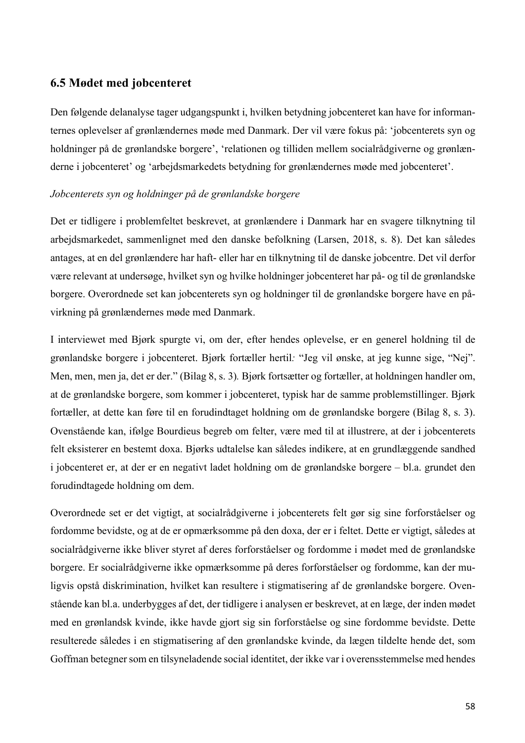# **6.5 Mødet med jobcenteret**

Den følgende delanalyse tager udgangspunkt i, hvilken betydning jobcenteret kan have for informanternes oplevelser af grønlændernes møde med Danmark. Der vil være fokus på: 'jobcenterets syn og holdninger på de grønlandske borgere', 'relationen og tilliden mellem socialrådgiverne og grønlænderne i jobcenteret' og 'arbejdsmarkedets betydning for grønlændernes møde med jobcenteret'.

### *Jobcenterets syn og holdninger på de grønlandske borgere*

Det er tidligere i problemfeltet beskrevet, at grønlændere i Danmark har en svagere tilknytning til arbejdsmarkedet, sammenlignet med den danske befolkning (Larsen, 2018, s. 8). Det kan således antages, at en del grønlændere har haft- eller har en tilknytning til de danske jobcentre. Det vil derfor være relevant at undersøge, hvilket syn og hvilke holdninger jobcenteret har på- og til de grønlandske borgere. Overordnede set kan jobcenterets syn og holdninger til de grønlandske borgere have en påvirkning på grønlændernes møde med Danmark.

I interviewet med Bjørk spurgte vi, om der, efter hendes oplevelse, er en generel holdning til de grønlandske borgere i jobcenteret. Bjørk fortæller hertil*:* "Jeg vil ønske, at jeg kunne sige, "Nej". Men, men, men ja, det er der." (Bilag 8, s. 3)*.* Bjørk fortsætter og fortæller, at holdningen handler om, at de grønlandske borgere, som kommer i jobcenteret, typisk har de samme problemstillinger. Bjørk fortæller, at dette kan føre til en forudindtaget holdning om de grønlandske borgere (Bilag 8, s. 3). Ovenstående kan, ifølge Bourdieus begreb om felter, være med til at illustrere, at der i jobcenterets felt eksisterer en bestemt doxa. Bjørks udtalelse kan således indikere, at en grundlæggende sandhed i jobcenteret er, at der er en negativt ladet holdning om de grønlandske borgere – bl.a. grundet den forudindtagede holdning om dem.

Overordnede set er det vigtigt, at socialrådgiverne i jobcenterets felt gør sig sine forforståelser og fordomme bevidste, og at de er opmærksomme på den doxa, der er i feltet. Dette er vigtigt, således at socialrådgiverne ikke bliver styret af deres forforståelser og fordomme i mødet med de grønlandske borgere. Er socialrådgiverne ikke opmærksomme på deres forforståelser og fordomme, kan der muligvis opstå diskrimination, hvilket kan resultere i stigmatisering af de grønlandske borgere. Ovenstående kan bl.a. underbygges af det, der tidligere i analysen er beskrevet, at en læge, der inden mødet med en grønlandsk kvinde, ikke havde gjort sig sin forforståelse og sine fordomme bevidste. Dette resulterede således i en stigmatisering af den grønlandske kvinde, da lægen tildelte hende det, som Goffman betegner som en tilsyneladende social identitet, der ikke var i overensstemmelse med hendes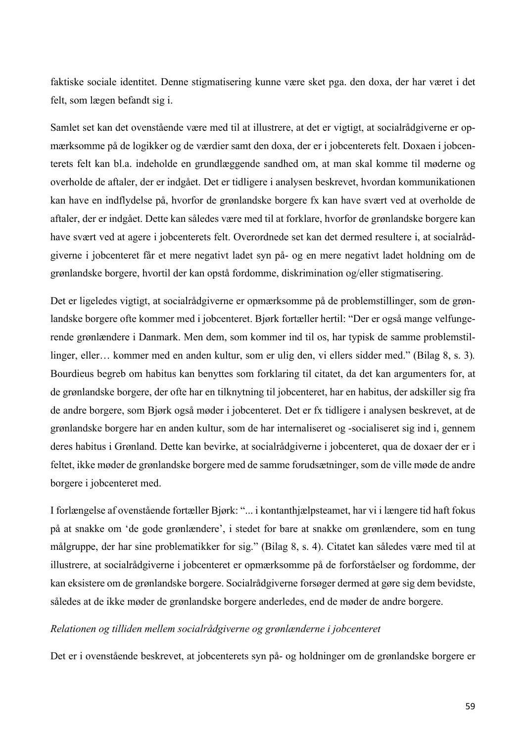faktiske sociale identitet. Denne stigmatisering kunne være sket pga. den doxa, der har været i det felt, som lægen befandt sig i.

Samlet set kan det ovenstående være med til at illustrere, at det er vigtigt, at socialrådgiverne er opmærksomme på de logikker og de værdier samt den doxa, der er i jobcenterets felt. Doxaen i jobcenterets felt kan bl.a. indeholde en grundlæggende sandhed om, at man skal komme til møderne og overholde de aftaler, der er indgået. Det er tidligere i analysen beskrevet, hvordan kommunikationen kan have en indflydelse på, hvorfor de grønlandske borgere fx kan have svært ved at overholde de aftaler, der er indgået. Dette kan således være med til at forklare, hvorfor de grønlandske borgere kan have svært ved at agere i jobcenterets felt. Overordnede set kan det dermed resultere i, at socialrådgiverne i jobcenteret får et mere negativt ladet syn på- og en mere negativt ladet holdning om de grønlandske borgere, hvortil der kan opstå fordomme, diskrimination og/eller stigmatisering.

Det er ligeledes vigtigt, at socialrådgiverne er opmærksomme på de problemstillinger, som de grønlandske borgere ofte kommer med i jobcenteret. Bjørk fortæller hertil: "Der er også mange velfungerende grønlændere i Danmark. Men dem, som kommer ind til os, har typisk de samme problemstillinger, eller… kommer med en anden kultur, som er ulig den, vi ellers sidder med." (Bilag 8, s. 3)*.* Bourdieus begreb om habitus kan benyttes som forklaring til citatet, da det kan argumenters for, at de grønlandske borgere, der ofte har en tilknytning til jobcenteret, har en habitus, der adskiller sig fra de andre borgere, som Bjørk også møder i jobcenteret. Det er fx tidligere i analysen beskrevet, at de grønlandske borgere har en anden kultur, som de har internaliseret og -socialiseret sig ind i, gennem deres habitus i Grønland. Dette kan bevirke, at socialrådgiverne i jobcenteret, qua de doxaer der er i feltet, ikke møder de grønlandske borgere med de samme forudsætninger, som de ville møde de andre borgere i jobcenteret med.

I forlængelse af ovenstående fortæller Bjørk: "... i kontanthjælpsteamet, har vi i længere tid haft fokus på at snakke om 'de gode grønlændere', i stedet for bare at snakke om grønlændere, som en tung målgruppe, der har sine problematikker for sig." (Bilag 8, s. 4). Citatet kan således være med til at illustrere, at socialrådgiverne i jobcenteret er opmærksomme på de forforståelser og fordomme, der kan eksistere om de grønlandske borgere. Socialrådgiverne forsøger dermed at gøre sig dem bevidste, således at de ikke møder de grønlandske borgere anderledes, end de møder de andre borgere.

### *Relationen og tilliden mellem socialrådgiverne og grønlænderne i jobcenteret*

Det er i ovenstående beskrevet, at jobcenterets syn på- og holdninger om de grønlandske borgere er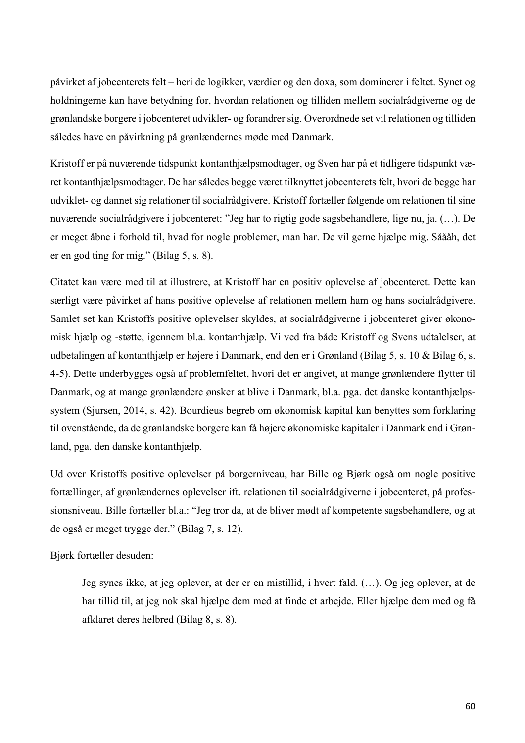påvirket af jobcenterets felt – heri de logikker, værdier og den doxa, som dominerer i feltet. Synet og holdningerne kan have betydning for, hvordan relationen og tilliden mellem socialrådgiverne og de grønlandske borgere i jobcenteret udvikler- og forandrer sig. Overordnede set vil relationen og tilliden således have en påvirkning på grønlændernes møde med Danmark.

Kristoff er på nuværende tidspunkt kontanthjælpsmodtager, og Sven har på et tidligere tidspunkt været kontanthjælpsmodtager. De har således begge været tilknyttet jobcenterets felt, hvori de begge har udviklet- og dannet sig relationer til socialrådgivere. Kristoff fortæller følgende om relationen til sine nuværende socialrådgivere i jobcenteret: "Jeg har to rigtig gode sagsbehandlere, lige nu, ja. (…). De er meget åbne i forhold til, hvad for nogle problemer, man har. De vil gerne hjælpe mig. Såååh, det er en god ting for mig." (Bilag 5, s. 8).

Citatet kan være med til at illustrere, at Kristoff har en positiv oplevelse af jobcenteret. Dette kan særligt være påvirket af hans positive oplevelse af relationen mellem ham og hans socialrådgivere. Samlet set kan Kristoffs positive oplevelser skyldes, at socialrådgiverne i jobcenteret giver økonomisk hjælp og -støtte, igennem bl.a. kontanthjælp. Vi ved fra både Kristoff og Svens udtalelser, at udbetalingen af kontanthjælp er højere i Danmark, end den er i Grønland (Bilag 5, s. 10 & Bilag 6, s. 4-5). Dette underbygges også af problemfeltet, hvori det er angivet, at mange grønlændere flytter til Danmark, og at mange grønlændere ønsker at blive i Danmark, bl.a. pga. det danske kontanthjælpssystem (Sjursen, 2014, s. 42). Bourdieus begreb om økonomisk kapital kan benyttes som forklaring til ovenstående, da de grønlandske borgere kan få højere økonomiske kapitaler i Danmark end i Grønland, pga. den danske kontanthjælp.

Ud over Kristoffs positive oplevelser på borgerniveau, har Bille og Bjørk også om nogle positive fortællinger, af grønlændernes oplevelser ift. relationen til socialrådgiverne i jobcenteret, på professionsniveau. Bille fortæller bl.a.: "Jeg tror da, at de bliver mødt af kompetente sagsbehandlere, og at de også er meget trygge der." (Bilag 7, s. 12).

Bjørk fortæller desuden:

Jeg synes ikke, at jeg oplever, at der er en mistillid, i hvert fald. (…). Og jeg oplever, at de har tillid til, at jeg nok skal hjælpe dem med at finde et arbejde. Eller hjælpe dem med og få afklaret deres helbred (Bilag 8, s. 8).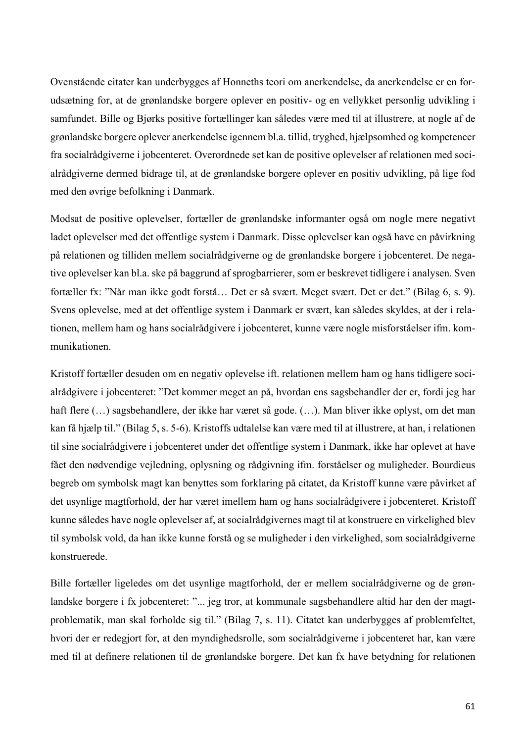Ovenstående citater kan underbygges af Honneths teori om anerkendelse, da anerkendelse er en forudsætning for, at de grønlandske borgere oplever en positiv- og en vellykket personlig udvikling i samfundet. Bille og Bjørks positive fortællinger kan således være med til at illustrere, at nogle af de grønlandske borgere oplever anerkendelse igennem bl.a. tillid, tryghed, hjælpsomhed og kompetencer fra socialrådgiverne i jobcenteret. Overordnede set kan de positive oplevelser af relationen med socialrådgiverne dermed bidrage til, at de grønlandske borgere oplever en positiv udvikling, på lige fod med den øvrige befolkning i Danmark.

Modsat de positive oplevelser, fortæller de grønlandske informanter også om nogle mere negativt ladet oplevelser med det offentlige system i Danmark. Disse oplevelser kan også have en påvirkning på relationen og tilliden mellem socialrådgiverne og de grønlandske borgere i jobcenteret. De negative oplevelser kan bl.a. ske på baggrund af sprogbarrierer, som er beskrevet tidligere i analysen. Sven fortæller fx: "Når man ikke godt forstå… Det er så svært. Meget svært. Det er det." (Bilag 6, s. 9). Svens oplevelse, med at det offentlige system i Danmark er svært, kan således skyldes, at der i relationen, mellem ham og hans socialrådgivere i jobcenteret, kunne være nogle misforståelser ifm. kommunikationen.

Kristoff fortæller desuden om en negativ oplevelse ift. relationen mellem ham og hans tidligere socialrådgivere i jobcenteret: "Det kommer meget an på, hvordan ens sagsbehandler der er, fordi jeg har haft flere (…) sagsbehandlere, der ikke har været så gode. (…). Man bliver ikke oplyst, om det man kan få hjælp til." (Bilag 5, s. 5-6). Kristoffs udtalelse kan være med til at illustrere, at han, i relationen til sine socialrådgivere i jobcenteret under det offentlige system i Danmark, ikke har oplevet at have fået den nødvendige vejledning, oplysning og rådgivning ifm. forståelser og muligheder. Bourdieus begreb om symbolsk magt kan benyttes som forklaring på citatet, da Kristoff kunne være påvirket af det usynlige magtforhold, der har været imellem ham og hans socialrådgivere i jobcenteret. Kristoff kunne således have nogle oplevelser af, at socialrådgivernes magt til at konstruere en virkelighed blev til symbolsk vold, da han ikke kunne forstå og se muligheder i den virkelighed, som socialrådgiverne konstruerede.

Bille fortæller ligeledes om det usynlige magtforhold, der er mellem socialrådgiverne og de grønlandske borgere i fx jobcenteret: "... jeg tror, at kommunale sagsbehandlere altid har den der magtproblematik, man skal forholde sig til." (Bilag 7, s. 11). Citatet kan underbygges af problemfeltet, hvori der er redegjort for, at den myndighedsrolle, som socialrådgiverne i jobcenteret har, kan være med til at definere relationen til de grønlandske borgere. Det kan fx have betydning for relationen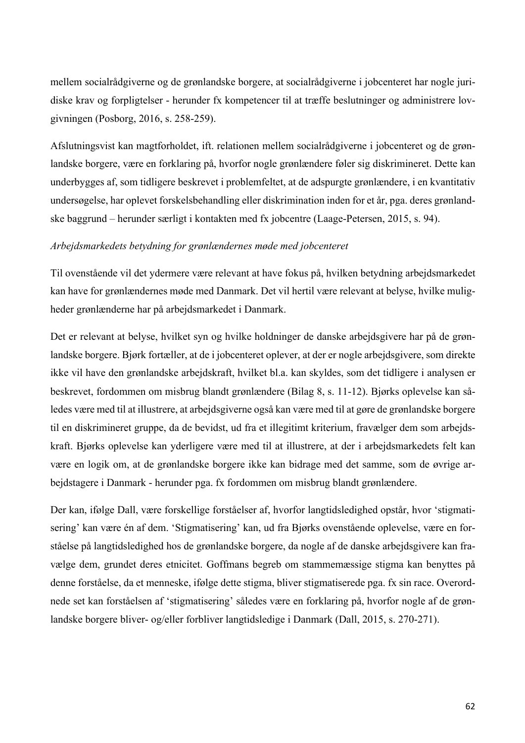mellem socialrådgiverne og de grønlandske borgere, at socialrådgiverne i jobcenteret har nogle juridiske krav og forpligtelser - herunder fx kompetencer til at træffe beslutninger og administrere lovgivningen (Posborg, 2016, s. 258-259).

Afslutningsvist kan magtforholdet, ift. relationen mellem socialrådgiverne i jobcenteret og de grønlandske borgere, være en forklaring på, hvorfor nogle grønlændere føler sig diskrimineret. Dette kan underbygges af, som tidligere beskrevet i problemfeltet, at de adspurgte grønlændere, i en kvantitativ undersøgelse, har oplevet forskelsbehandling eller diskrimination inden for et år, pga. deres grønlandske baggrund – herunder særligt i kontakten med fx jobcentre (Laage-Petersen, 2015, s. 94).

### *Arbejdsmarkedets betydning for grønlændernes møde med jobcenteret*

Til ovenstående vil det ydermere være relevant at have fokus på, hvilken betydning arbejdsmarkedet kan have for grønlændernes møde med Danmark. Det vil hertil være relevant at belyse, hvilke muligheder grønlænderne har på arbejdsmarkedet i Danmark.

Det er relevant at belyse, hvilket syn og hvilke holdninger de danske arbejdsgivere har på de grønlandske borgere. Bjørk fortæller, at de i jobcenteret oplever, at der er nogle arbejdsgivere, som direkte ikke vil have den grønlandske arbejdskraft, hvilket bl.a. kan skyldes, som det tidligere i analysen er beskrevet, fordommen om misbrug blandt grønlændere (Bilag 8, s. 11-12). Bjørks oplevelse kan således være med til at illustrere, at arbejdsgiverne også kan være med til at gøre de grønlandske borgere til en diskrimineret gruppe, da de bevidst, ud fra et illegitimt kriterium, fravælger dem som arbejdskraft. Bjørks oplevelse kan yderligere være med til at illustrere, at der i arbejdsmarkedets felt kan være en logik om, at de grønlandske borgere ikke kan bidrage med det samme, som de øvrige arbejdstagere i Danmark - herunder pga. fx fordommen om misbrug blandt grønlændere.

Der kan, ifølge Dall, være forskellige forståelser af, hvorfor langtidsledighed opstår, hvor 'stigmatisering' kan være én af dem. 'Stigmatisering' kan, ud fra Bjørks ovenstående oplevelse, være en forståelse på langtidsledighed hos de grønlandske borgere, da nogle af de danske arbejdsgivere kan fravælge dem, grundet deres etnicitet. Goffmans begreb om stammemæssige stigma kan benyttes på denne forståelse, da et menneske, ifølge dette stigma, bliver stigmatiserede pga. fx sin race. Overordnede set kan forståelsen af 'stigmatisering' således være en forklaring på, hvorfor nogle af de grønlandske borgere bliver- og/eller forbliver langtidsledige i Danmark (Dall, 2015, s. 270-271).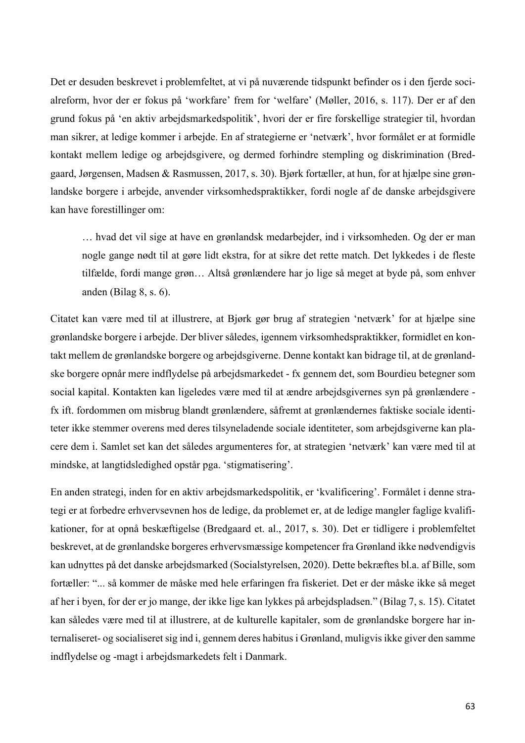Det er desuden beskrevet i problemfeltet, at vi på nuværende tidspunkt befinder os i den fjerde socialreform, hvor der er fokus på 'workfare' frem for 'welfare' (Møller, 2016, s. 117). Der er af den grund fokus på 'en aktiv arbejdsmarkedspolitik', hvori der er fire forskellige strategier til, hvordan man sikrer, at ledige kommer i arbejde. En af strategierne er 'netværk', hvor formålet er at formidle kontakt mellem ledige og arbejdsgivere, og dermed forhindre stempling og diskrimination (Bredgaard, Jørgensen, Madsen & Rasmussen, 2017, s. 30). Bjørk fortæller, at hun, for at hjælpe sine grønlandske borgere i arbejde, anvender virksomhedspraktikker, fordi nogle af de danske arbejdsgivere kan have forestillinger om:

… hvad det vil sige at have en grønlandsk medarbejder, ind i virksomheden. Og der er man nogle gange nødt til at gøre lidt ekstra, for at sikre det rette match. Det lykkedes i de fleste tilfælde, fordi mange grøn… Altså grønlændere har jo lige så meget at byde på, som enhver anden (Bilag 8, s. 6).

Citatet kan være med til at illustrere, at Bjørk gør brug af strategien 'netværk' for at hjælpe sine grønlandske borgere i arbejde. Der bliver således, igennem virksomhedspraktikker, formidlet en kontakt mellem de grønlandske borgere og arbejdsgiverne. Denne kontakt kan bidrage til, at de grønlandske borgere opnår mere indflydelse på arbejdsmarkedet - fx gennem det, som Bourdieu betegner som social kapital. Kontakten kan ligeledes være med til at ændre arbejdsgivernes syn på grønlændere fx ift. fordommen om misbrug blandt grønlændere, såfremt at grønlændernes faktiske sociale identiteter ikke stemmer overens med deres tilsyneladende sociale identiteter, som arbejdsgiverne kan placere dem i. Samlet set kan det således argumenteres for, at strategien 'netværk' kan være med til at mindske, at langtidsledighed opstår pga. 'stigmatisering'.

En anden strategi, inden for en aktiv arbejdsmarkedspolitik, er 'kvalificering'. Formålet i denne strategi er at forbedre erhvervsevnen hos de ledige, da problemet er, at de ledige mangler faglige kvalifikationer, for at opnå beskæftigelse (Bredgaard et. al., 2017, s. 30). Det er tidligere i problemfeltet beskrevet, at de grønlandske borgeres erhvervsmæssige kompetencer fra Grønland ikke nødvendigvis kan udnyttes på det danske arbejdsmarked (Socialstyrelsen, 2020). Dette bekræftes bl.a. af Bille, som fortæller: "... så kommer de måske med hele erfaringen fra fiskeriet. Det er der måske ikke så meget af her i byen, for der er jo mange, der ikke lige kan lykkes på arbejdspladsen." (Bilag 7, s. 15). Citatet kan således være med til at illustrere, at de kulturelle kapitaler, som de grønlandske borgere har internaliseret- og socialiseret sig ind i, gennem deres habitus i Grønland, muligvis ikke giver den samme indflydelse og -magt i arbejdsmarkedets felt i Danmark.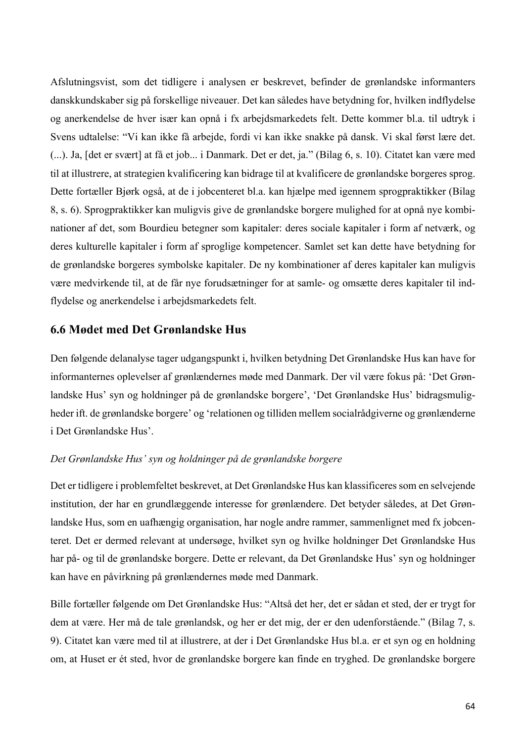Afslutningsvist, som det tidligere i analysen er beskrevet, befinder de grønlandske informanters danskkundskaber sig på forskellige niveauer. Det kan således have betydning for, hvilken indflydelse og anerkendelse de hver især kan opnå i fx arbejdsmarkedets felt. Dette kommer bl.a. til udtryk i Svens udtalelse: "Vi kan ikke få arbejde, fordi vi kan ikke snakke på dansk. Vi skal først lære det. (...). Ja, [det er svært] at få et job... i Danmark. Det er det, ja." (Bilag 6, s. 10). Citatet kan være med til at illustrere, at strategien kvalificering kan bidrage til at kvalificere de grønlandske borgeres sprog. Dette fortæller Bjørk også, at de i jobcenteret bl.a. kan hjælpe med igennem sprogpraktikker (Bilag 8, s. 6). Sprogpraktikker kan muligvis give de grønlandske borgere mulighed for at opnå nye kombinationer af det, som Bourdieu betegner som kapitaler: deres sociale kapitaler i form af netværk, og deres kulturelle kapitaler i form af sproglige kompetencer. Samlet set kan dette have betydning for de grønlandske borgeres symbolske kapitaler. De ny kombinationer af deres kapitaler kan muligvis være medvirkende til, at de får nye forudsætninger for at samle- og omsætte deres kapitaler til indflydelse og anerkendelse i arbejdsmarkedets felt.

# **6.6 Mødet med Det Grønlandske Hus**

Den følgende delanalyse tager udgangspunkt i, hvilken betydning Det Grønlandske Hus kan have for informanternes oplevelser af grønlændernes møde med Danmark. Der vil være fokus på: 'Det Grønlandske Hus' syn og holdninger på de grønlandske borgere', 'Det Grønlandske Hus' bidragsmuligheder ift. de grønlandske borgere' og 'relationen og tilliden mellem socialrådgiverne og grønlænderne i Det Grønlandske Hus'.

### *Det Grønlandske Hus' syn og holdninger på de grønlandske borgere*

Det er tidligere i problemfeltet beskrevet, at Det Grønlandske Hus kan klassificeres som en selvejende institution, der har en grundlæggende interesse for grønlændere. Det betyder således, at Det Grønlandske Hus, som en uafhængig organisation, har nogle andre rammer, sammenlignet med fx jobcenteret. Det er dermed relevant at undersøge, hvilket syn og hvilke holdninger Det Grønlandske Hus har på- og til de grønlandske borgere. Dette er relevant, da Det Grønlandske Hus' syn og holdninger kan have en påvirkning på grønlændernes møde med Danmark.

Bille fortæller følgende om Det Grønlandske Hus: "Altså det her, det er sådan et sted, der er trygt for dem at være. Her må de tale grønlandsk, og her er det mig, der er den udenforstående." (Bilag 7, s. 9). Citatet kan være med til at illustrere, at der i Det Grønlandske Hus bl.a. er et syn og en holdning om, at Huset er ét sted, hvor de grønlandske borgere kan finde en tryghed. De grønlandske borgere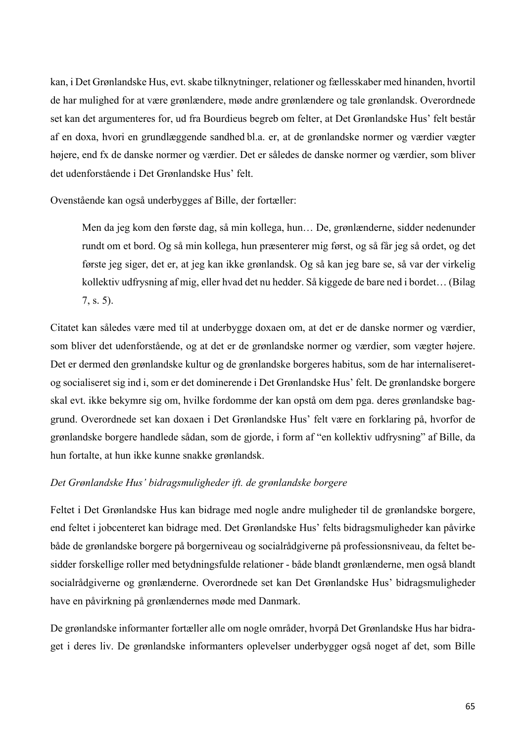kan, i Det Grønlandske Hus, evt. skabe tilknytninger, relationer og fællesskaber med hinanden, hvortil de har mulighed for at være grønlændere, møde andre grønlændere og tale grønlandsk. Overordnede set kan det argumenteres for, ud fra Bourdieus begreb om felter, at Det Grønlandske Hus' felt består af en doxa, hvori en grundlæggende sandhed bl.a. er, at de grønlandske normer og værdier vægter højere, end fx de danske normer og værdier. Det er således de danske normer og værdier, som bliver det udenforstående i Det Grønlandske Hus' felt.

Ovenstående kan også underbygges af Bille, der fortæller:

Men da jeg kom den første dag, så min kollega, hun… De, grønlænderne, sidder nedenunder rundt om et bord. Og så min kollega, hun præsenterer mig først, og så får jeg så ordet, og det første jeg siger, det er, at jeg kan ikke grønlandsk. Og så kan jeg bare se, så var der virkelig kollektiv udfrysning af mig, eller hvad det nu hedder. Så kiggede de bare ned i bordet… (Bilag 7, s. 5).

Citatet kan således være med til at underbygge doxaen om, at det er de danske normer og værdier, som bliver det udenforstående, og at det er de grønlandske normer og værdier, som vægter højere. Det er dermed den grønlandske kultur og de grønlandske borgeres habitus, som de har internaliseretog socialiseret sig ind i, som er det dominerende i Det Grønlandske Hus' felt. De grønlandske borgere skal evt. ikke bekymre sig om, hvilke fordomme der kan opstå om dem pga. deres grønlandske baggrund. Overordnede set kan doxaen i Det Grønlandske Hus' felt være en forklaring på, hvorfor de grønlandske borgere handlede sådan, som de gjorde, i form af "en kollektiv udfrysning" af Bille, da hun fortalte, at hun ikke kunne snakke grønlandsk.

# *Det Grønlandske Hus' bidragsmuligheder ift. de grønlandske borgere*

Feltet i Det Grønlandske Hus kan bidrage med nogle andre muligheder til de grønlandske borgere, end feltet i jobcenteret kan bidrage med. Det Grønlandske Hus' felts bidragsmuligheder kan påvirke både de grønlandske borgere på borgerniveau og socialrådgiverne på professionsniveau, da feltet besidder forskellige roller med betydningsfulde relationer - både blandt grønlænderne, men også blandt socialrådgiverne og grønlænderne. Overordnede set kan Det Grønlandske Hus' bidragsmuligheder have en påvirkning på grønlændernes møde med Danmark.

De grønlandske informanter fortæller alle om nogle områder, hvorpå Det Grønlandske Hus har bidraget i deres liv. De grønlandske informanters oplevelser underbygger også noget af det, som Bille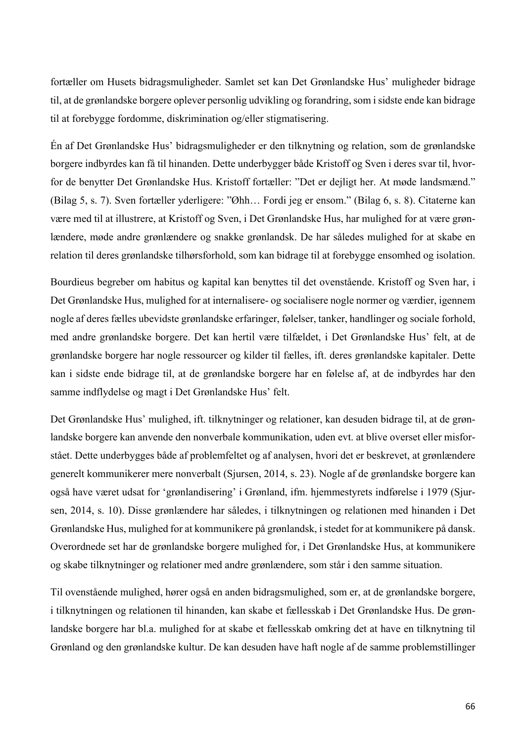fortæller om Husets bidragsmuligheder. Samlet set kan Det Grønlandske Hus' muligheder bidrage til, at de grønlandske borgere oplever personlig udvikling og forandring, som i sidste ende kan bidrage til at forebygge fordomme, diskrimination og/eller stigmatisering.

Én af Det Grønlandske Hus' bidragsmuligheder er den tilknytning og relation, som de grønlandske borgere indbyrdes kan få til hinanden. Dette underbygger både Kristoff og Sven i deres svar til, hvorfor de benytter Det Grønlandske Hus. Kristoff fortæller: "Det er dejligt her. At møde landsmænd." (Bilag 5, s. 7). Sven fortæller yderligere: "Øhh… Fordi jeg er ensom." (Bilag 6, s. 8). Citaterne kan være med til at illustrere, at Kristoff og Sven, i Det Grønlandske Hus, har mulighed for at være grønlændere, møde andre grønlændere og snakke grønlandsk. De har således mulighed for at skabe en relation til deres grønlandske tilhørsforhold, som kan bidrage til at forebygge ensomhed og isolation.

Bourdieus begreber om habitus og kapital kan benyttes til det ovenstående. Kristoff og Sven har, i Det Grønlandske Hus, mulighed for at internalisere- og socialisere nogle normer og værdier, igennem nogle af deres fælles ubevidste grønlandske erfaringer, følelser, tanker, handlinger og sociale forhold, med andre grønlandske borgere. Det kan hertil være tilfældet, i Det Grønlandske Hus' felt, at de grønlandske borgere har nogle ressourcer og kilder til fælles, ift. deres grønlandske kapitaler. Dette kan i sidste ende bidrage til, at de grønlandske borgere har en følelse af, at de indbyrdes har den samme indflydelse og magt i Det Grønlandske Hus' felt.

Det Grønlandske Hus' mulighed, ift. tilknytninger og relationer, kan desuden bidrage til, at de grønlandske borgere kan anvende den nonverbale kommunikation, uden evt. at blive overset eller misforstået. Dette underbygges både af problemfeltet og af analysen, hvori det er beskrevet, at grønlændere generelt kommunikerer mere nonverbalt (Sjursen, 2014, s. 23). Nogle af de grønlandske borgere kan også have været udsat for 'grønlandisering' i Grønland, ifm. hjemmestyrets indførelse i 1979 (Sjursen, 2014, s. 10). Disse grønlændere har således, i tilknytningen og relationen med hinanden i Det Grønlandske Hus, mulighed for at kommunikere på grønlandsk, i stedet for at kommunikere på dansk. Overordnede set har de grønlandske borgere mulighed for, i Det Grønlandske Hus, at kommunikere og skabe tilknytninger og relationer med andre grønlændere, som står i den samme situation.

Til ovenstående mulighed, hører også en anden bidragsmulighed, som er, at de grønlandske borgere, i tilknytningen og relationen til hinanden, kan skabe et fællesskab i Det Grønlandske Hus. De grønlandske borgere har bl.a. mulighed for at skabe et fællesskab omkring det at have en tilknytning til Grønland og den grønlandske kultur. De kan desuden have haft nogle af de samme problemstillinger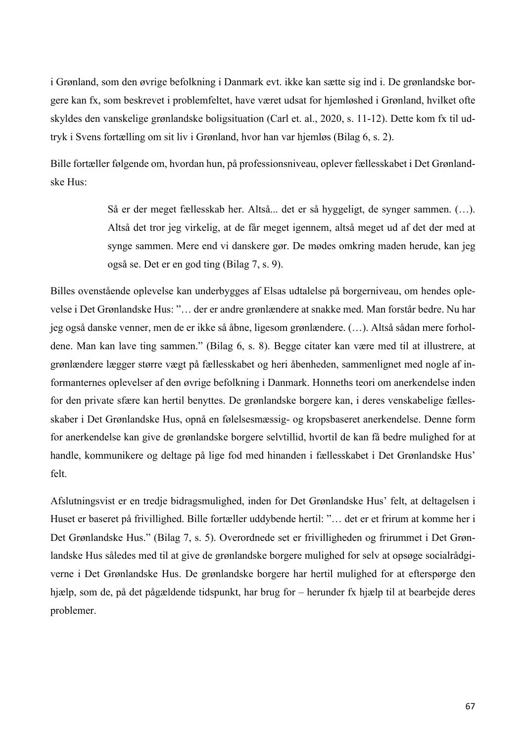i Grønland, som den øvrige befolkning i Danmark evt. ikke kan sætte sig ind i. De grønlandske borgere kan fx, som beskrevet i problemfeltet, have været udsat for hjemløshed i Grønland, hvilket ofte skyldes den vanskelige grønlandske boligsituation (Carl et. al., 2020, s. 11-12). Dette kom fx til udtryk i Svens fortælling om sit liv i Grønland, hvor han var hjemløs (Bilag 6, s. 2).

Bille fortæller følgende om, hvordan hun, på professionsniveau, oplever fællesskabet i Det Grønlandske Hus:

> Så er der meget fællesskab her. Altså... det er så hyggeligt, de synger sammen. (…). Altså det tror jeg virkelig, at de får meget igennem, altså meget ud af det der med at synge sammen. Mere end vi danskere gør. De mødes omkring maden herude, kan jeg også se. Det er en god ting (Bilag 7, s. 9).

Billes ovenstående oplevelse kan underbygges af Elsas udtalelse på borgerniveau, om hendes oplevelse i Det Grønlandske Hus: "… der er andre grønlændere at snakke med. Man forstår bedre. Nu har jeg også danske venner, men de er ikke så åbne, ligesom grønlændere. (…). Altså sådan mere forholdene. Man kan lave ting sammen." (Bilag 6, s. 8). Begge citater kan være med til at illustrere, at grønlændere lægger større vægt på fællesskabet og heri åbenheden, sammenlignet med nogle af informanternes oplevelser af den øvrige befolkning i Danmark. Honneths teori om anerkendelse inden for den private sfære kan hertil benyttes. De grønlandske borgere kan, i deres venskabelige fællesskaber i Det Grønlandske Hus, opnå en følelsesmæssig- og kropsbaseret anerkendelse. Denne form for anerkendelse kan give de grønlandske borgere selvtillid, hvortil de kan få bedre mulighed for at handle, kommunikere og deltage på lige fod med hinanden i fællesskabet i Det Grønlandske Hus' felt.

Afslutningsvist er en tredje bidragsmulighed, inden for Det Grønlandske Hus' felt, at deltagelsen i Huset er baseret på frivillighed. Bille fortæller uddybende hertil: "… det er et frirum at komme her i Det Grønlandske Hus." (Bilag 7, s. 5). Overordnede set er frivilligheden og frirummet i Det Grønlandske Hus således med til at give de grønlandske borgere mulighed for selv at opsøge socialrådgiverne i Det Grønlandske Hus. De grønlandske borgere har hertil mulighed for at efterspørge den hjælp, som de, på det pågældende tidspunkt, har brug for – herunder fx hjælp til at bearbejde deres problemer.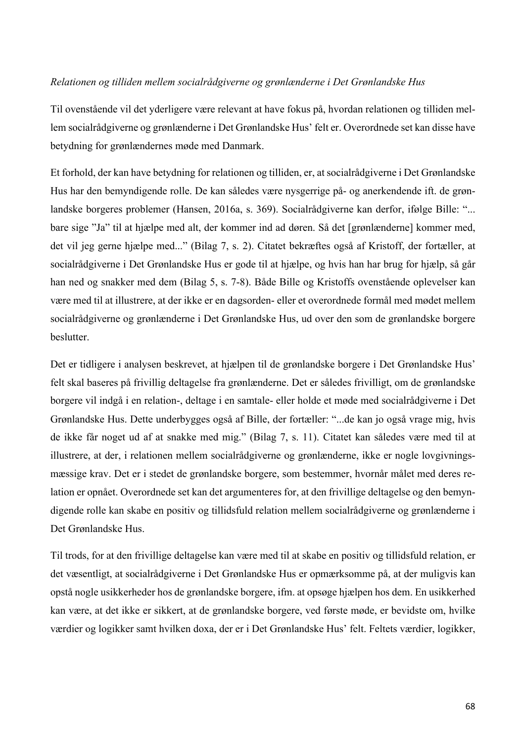#### *Relationen og tilliden mellem socialrådgiverne og grønlænderne i Det Grønlandske Hus*

Til ovenstående vil det yderligere være relevant at have fokus på, hvordan relationen og tilliden mellem socialrådgiverne og grønlænderne i Det Grønlandske Hus' felt er. Overordnede set kan disse have betydning for grønlændernes møde med Danmark.

Et forhold, der kan have betydning for relationen og tilliden, er, at socialrådgiverne i Det Grønlandske Hus har den bemyndigende rolle. De kan således være nysgerrige på- og anerkendende ift. de grønlandske borgeres problemer (Hansen, 2016a, s. 369). Socialrådgiverne kan derfor, ifølge Bille: "... bare sige "Ja" til at hjælpe med alt, der kommer ind ad døren. Så det [grønlænderne] kommer med, det vil jeg gerne hjælpe med..." (Bilag 7, s. 2). Citatet bekræftes også af Kristoff, der fortæller, at socialrådgiverne i Det Grønlandske Hus er gode til at hjælpe, og hvis han har brug for hjælp, så går han ned og snakker med dem (Bilag 5, s. 7-8). Både Bille og Kristoffs ovenstående oplevelser kan være med til at illustrere, at der ikke er en dagsorden- eller et overordnede formål med mødet mellem socialrådgiverne og grønlænderne i Det Grønlandske Hus, ud over den som de grønlandske borgere beslutter.

Det er tidligere i analysen beskrevet, at hjælpen til de grønlandske borgere i Det Grønlandske Hus' felt skal baseres på frivillig deltagelse fra grønlænderne. Det er således frivilligt, om de grønlandske borgere vil indgå i en relation-, deltage i en samtale- eller holde et møde med socialrådgiverne i Det Grønlandske Hus. Dette underbygges også af Bille, der fortæller: "...de kan jo også vrage mig, hvis de ikke får noget ud af at snakke med mig." (Bilag 7, s. 11). Citatet kan således være med til at illustrere, at der, i relationen mellem socialrådgiverne og grønlænderne, ikke er nogle lovgivningsmæssige krav. Det er i stedet de grønlandske borgere, som bestemmer, hvornår målet med deres relation er opnået. Overordnede set kan det argumenteres for, at den frivillige deltagelse og den bemyndigende rolle kan skabe en positiv og tillidsfuld relation mellem socialrådgiverne og grønlænderne i Det Grønlandske Hus.

Til trods, for at den frivillige deltagelse kan være med til at skabe en positiv og tillidsfuld relation, er det væsentligt, at socialrådgiverne i Det Grønlandske Hus er opmærksomme på, at der muligvis kan opstå nogle usikkerheder hos de grønlandske borgere, ifm. at opsøge hjælpen hos dem. En usikkerhed kan være, at det ikke er sikkert, at de grønlandske borgere, ved første møde, er bevidste om, hvilke værdier og logikker samt hvilken doxa, der er i Det Grønlandske Hus' felt. Feltets værdier, logikker,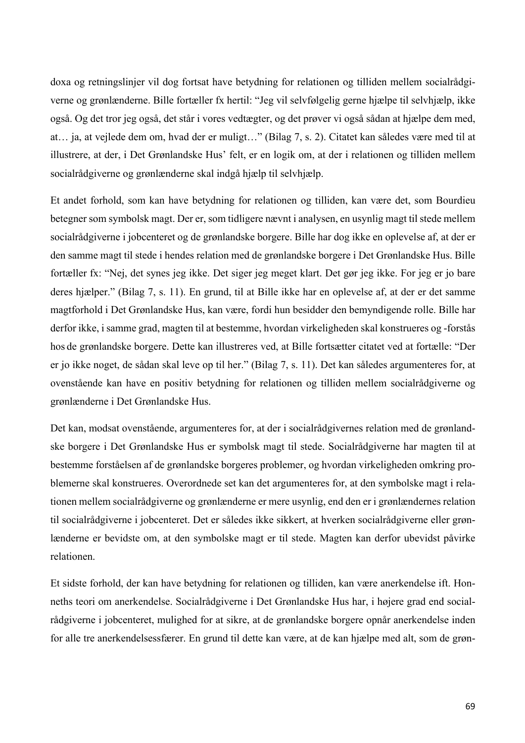doxa og retningslinjer vil dog fortsat have betydning for relationen og tilliden mellem socialrådgiverne og grønlænderne. Bille fortæller fx hertil: "Jeg vil selvfølgelig gerne hjælpe til selvhjælp, ikke også. Og det tror jeg også, det står i vores vedtægter, og det prøver vi også sådan at hjælpe dem med, at… ja, at vejlede dem om, hvad der er muligt…" (Bilag 7, s. 2). Citatet kan således være med til at illustrere, at der, i Det Grønlandske Hus' felt, er en logik om, at der i relationen og tilliden mellem socialrådgiverne og grønlænderne skal indgå hjælp til selvhjælp.

Et andet forhold, som kan have betydning for relationen og tilliden, kan være det, som Bourdieu betegner som symbolsk magt. Der er, som tidligere nævnt i analysen, en usynlig magt til stede mellem socialrådgiverne i jobcenteret og de grønlandske borgere. Bille har dog ikke en oplevelse af, at der er den samme magt til stede i hendes relation med de grønlandske borgere i Det Grønlandske Hus. Bille fortæller fx: "Nej, det synes jeg ikke. Det siger jeg meget klart. Det gør jeg ikke. For jeg er jo bare deres hjælper." (Bilag 7, s. 11). En grund, til at Bille ikke har en oplevelse af, at der er det samme magtforhold i Det Grønlandske Hus, kan være, fordi hun besidder den bemyndigende rolle. Bille har derfor ikke, i samme grad, magten til at bestemme, hvordan virkeligheden skal konstrueres og -forstås hos de grønlandske borgere. Dette kan illustreres ved, at Bille fortsætter citatet ved at fortælle: "Der er jo ikke noget, de sådan skal leve op til her." (Bilag 7, s. 11). Det kan således argumenteres for, at ovenstående kan have en positiv betydning for relationen og tilliden mellem socialrådgiverne og grønlænderne i Det Grønlandske Hus.

Det kan, modsat ovenstående, argumenteres for, at der i socialrådgivernes relation med de grønlandske borgere i Det Grønlandske Hus er symbolsk magt til stede. Socialrådgiverne har magten til at bestemme forståelsen af de grønlandske borgeres problemer, og hvordan virkeligheden omkring problemerne skal konstrueres. Overordnede set kan det argumenteres for, at den symbolske magt i relationen mellem socialrådgiverne og grønlænderne er mere usynlig, end den er i grønlændernes relation til socialrådgiverne i jobcenteret. Det er således ikke sikkert, at hverken socialrådgiverne eller grønlænderne er bevidste om, at den symbolske magt er til stede. Magten kan derfor ubevidst påvirke relationen.

Et sidste forhold, der kan have betydning for relationen og tilliden, kan være anerkendelse ift. Honneths teori om anerkendelse. Socialrådgiverne i Det Grønlandske Hus har, i højere grad end socialrådgiverne i jobcenteret, mulighed for at sikre, at de grønlandske borgere opnår anerkendelse inden for alle tre anerkendelsessfærer. En grund til dette kan være, at de kan hjælpe med alt, som de grøn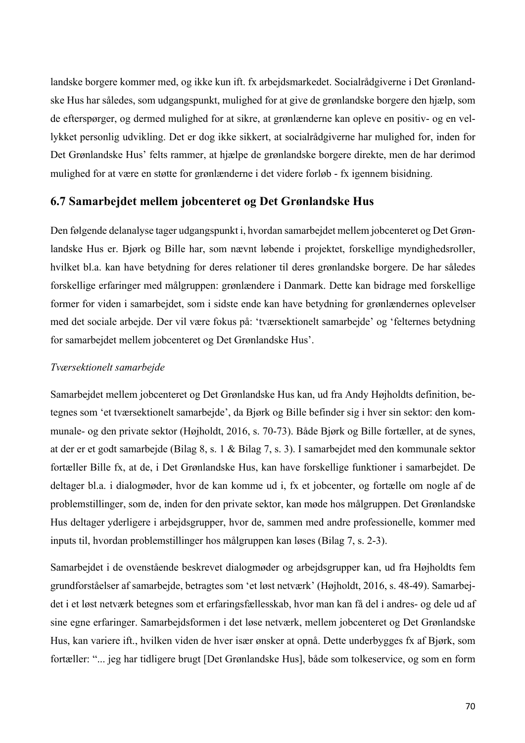landske borgere kommer med, og ikke kun ift. fx arbejdsmarkedet. Socialrådgiverne i Det Grønlandske Hus har således, som udgangspunkt, mulighed for at give de grønlandske borgere den hjælp, som de efterspørger, og dermed mulighed for at sikre, at grønlænderne kan opleve en positiv- og en vellykket personlig udvikling. Det er dog ikke sikkert, at socialrådgiverne har mulighed for, inden for Det Grønlandske Hus' felts rammer, at hjælpe de grønlandske borgere direkte, men de har derimod mulighed for at være en støtte for grønlænderne i det videre forløb - fx igennem bisidning.

# **6.7 Samarbejdet mellem jobcenteret og Det Grønlandske Hus**

Den følgende delanalyse tager udgangspunkt i, hvordan samarbejdet mellem jobcenteret og Det Grønlandske Hus er. Bjørk og Bille har, som nævnt løbende i projektet, forskellige myndighedsroller, hvilket bl.a. kan have betydning for deres relationer til deres grønlandske borgere. De har således forskellige erfaringer med målgruppen: grønlændere i Danmark. Dette kan bidrage med forskellige former for viden i samarbejdet, som i sidste ende kan have betydning for grønlændernes oplevelser med det sociale arbejde. Der vil være fokus på: 'tværsektionelt samarbejde' og 'felternes betydning for samarbejdet mellem jobcenteret og Det Grønlandske Hus'.

### *Tværsektionelt samarbejde*

Samarbejdet mellem jobcenteret og Det Grønlandske Hus kan, ud fra Andy Højholdts definition, betegnes som 'et tværsektionelt samarbejde', da Bjørk og Bille befinder sig i hver sin sektor: den kommunale- og den private sektor (Højholdt, 2016, s. 70-73). Både Bjørk og Bille fortæller, at de synes, at der er et godt samarbejde (Bilag 8, s. 1 & Bilag 7, s. 3). I samarbejdet med den kommunale sektor fortæller Bille fx, at de, i Det Grønlandske Hus, kan have forskellige funktioner i samarbejdet. De deltager bl.a. i dialogmøder, hvor de kan komme ud i, fx et jobcenter, og fortælle om nogle af de problemstillinger, som de, inden for den private sektor, kan møde hos målgruppen. Det Grønlandske Hus deltager yderligere i arbejdsgrupper, hvor de, sammen med andre professionelle, kommer med inputs til, hvordan problemstillinger hos målgruppen kan løses (Bilag 7, s. 2-3).

Samarbejdet i de ovenstående beskrevet dialogmøder og arbejdsgrupper kan, ud fra Højholdts fem grundforståelser af samarbejde, betragtes som 'et løst netværk' (Højholdt, 2016, s. 48-49). Samarbejdet i et løst netværk betegnes som et erfaringsfællesskab, hvor man kan få del i andres- og dele ud af sine egne erfaringer. Samarbejdsformen i det løse netværk, mellem jobcenteret og Det Grønlandske Hus, kan variere ift., hvilken viden de hver især ønsker at opnå. Dette underbygges fx af Bjørk, som fortæller: "... jeg har tidligere brugt [Det Grønlandske Hus], både som tolkeservice, og som en form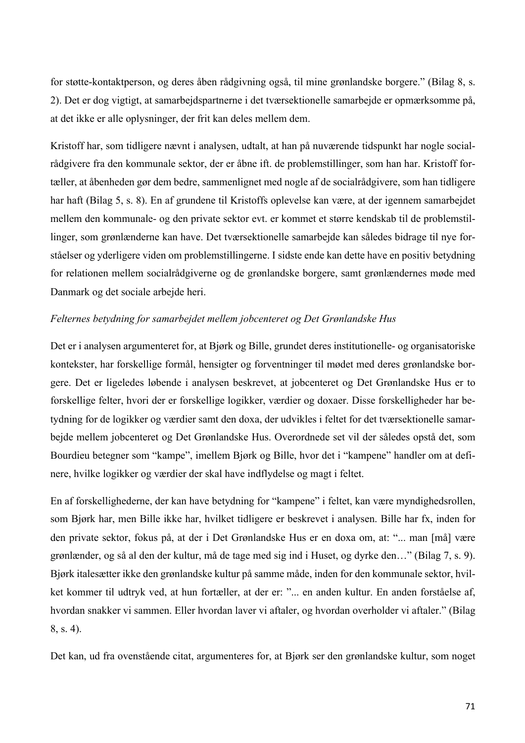for støtte-kontaktperson, og deres åben rådgivning også, til mine grønlandske borgere." (Bilag 8, s. 2). Det er dog vigtigt, at samarbejdspartnerne i det tværsektionelle samarbejde er opmærksomme på, at det ikke er alle oplysninger, der frit kan deles mellem dem.

Kristoff har, som tidligere nævnt i analysen, udtalt, at han på nuværende tidspunkt har nogle socialrådgivere fra den kommunale sektor, der er åbne ift. de problemstillinger, som han har. Kristoff fortæller, at åbenheden gør dem bedre, sammenlignet med nogle af de socialrådgivere, som han tidligere har haft (Bilag 5, s. 8). En af grundene til Kristoffs oplevelse kan være, at der igennem samarbejdet mellem den kommunale- og den private sektor evt. er kommet et større kendskab til de problemstillinger, som grønlænderne kan have. Det tværsektionelle samarbejde kan således bidrage til nye forståelser og yderligere viden om problemstillingerne. I sidste ende kan dette have en positiv betydning for relationen mellem socialrådgiverne og de grønlandske borgere, samt grønlændernes møde med Danmark og det sociale arbejde heri.

### *Felternes betydning for samarbejdet mellem jobcenteret og Det Grønlandske Hus*

Det er i analysen argumenteret for, at Bjørk og Bille, grundet deres institutionelle- og organisatoriske kontekster, har forskellige formål, hensigter og forventninger til mødet med deres grønlandske borgere. Det er ligeledes løbende i analysen beskrevet, at jobcenteret og Det Grønlandske Hus er to forskellige felter, hvori der er forskellige logikker, værdier og doxaer. Disse forskelligheder har betydning for de logikker og værdier samt den doxa, der udvikles i feltet for det tværsektionelle samarbejde mellem jobcenteret og Det Grønlandske Hus. Overordnede set vil der således opstå det, som Bourdieu betegner som "kampe", imellem Bjørk og Bille, hvor det i "kampene" handler om at definere, hvilke logikker og værdier der skal have indflydelse og magt i feltet.

En af forskellighederne, der kan have betydning for "kampene" i feltet, kan være myndighedsrollen, som Bjørk har, men Bille ikke har, hvilket tidligere er beskrevet i analysen. Bille har fx, inden for den private sektor, fokus på, at der i Det Grønlandske Hus er en doxa om, at: "... man [må] være grønlænder, og så al den der kultur, må de tage med sig ind i Huset, og dyrke den…" (Bilag 7, s. 9). Bjørk italesætter ikke den grønlandske kultur på samme måde, inden for den kommunale sektor, hvilket kommer til udtryk ved, at hun fortæller, at der er: "... en anden kultur. En anden forståelse af, hvordan snakker vi sammen. Eller hvordan laver vi aftaler, og hvordan overholder vi aftaler." (Bilag 8, s. 4).

Det kan, ud fra ovenstående citat, argumenteres for, at Bjørk ser den grønlandske kultur, som noget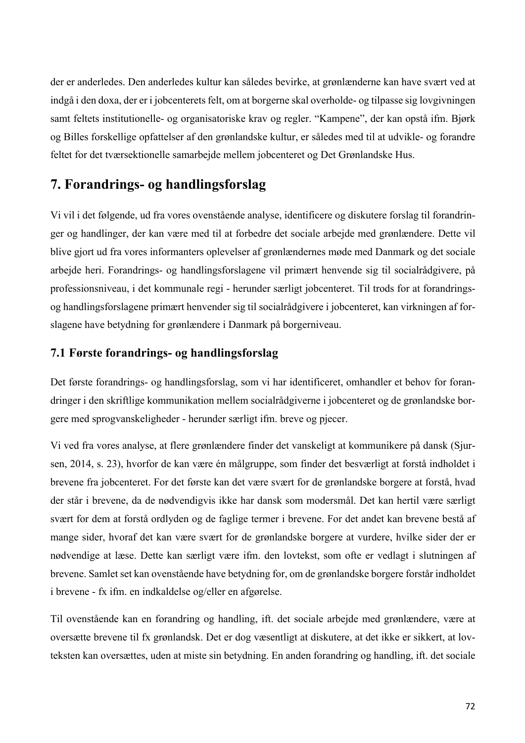der er anderledes. Den anderledes kultur kan således bevirke, at grønlænderne kan have svært ved at indgå i den doxa, der er i jobcenterets felt, om at borgerne skal overholde- og tilpasse sig lovgivningen samt feltets institutionelle- og organisatoriske krav og regler. "Kampene", der kan opstå ifm. Bjørk og Billes forskellige opfattelser af den grønlandske kultur, er således med til at udvikle- og forandre feltet for det tværsektionelle samarbejde mellem jobcenteret og Det Grønlandske Hus.

# **7. Forandrings- og handlingsforslag**

Vi vil i det følgende, ud fra vores ovenstående analyse, identificere og diskutere forslag til forandringer og handlinger, der kan være med til at forbedre det sociale arbejde med grønlændere. Dette vil blive gjort ud fra vores informanters oplevelser af grønlændernes møde med Danmark og det sociale arbejde heri. Forandrings- og handlingsforslagene vil primært henvende sig til socialrådgivere, på professionsniveau, i det kommunale regi - herunder særligt jobcenteret. Til trods for at forandringsog handlingsforslagene primært henvender sig til socialrådgivere i jobcenteret, kan virkningen af forslagene have betydning for grønlændere i Danmark på borgerniveau.

# **7.1 Første forandrings- og handlingsforslag**

Det første forandrings- og handlingsforslag, som vi har identificeret, omhandler et behov for forandringer i den skriftlige kommunikation mellem socialrådgiverne i jobcenteret og de grønlandske borgere med sprogvanskeligheder - herunder særligt ifm. breve og pjecer.

Vi ved fra vores analyse, at flere grønlændere finder det vanskeligt at kommunikere på dansk (Sjursen, 2014, s. 23), hvorfor de kan være én målgruppe, som finder det besværligt at forstå indholdet i brevene fra jobcenteret. For det første kan det være svært for de grønlandske borgere at forstå, hvad der står i brevene, da de nødvendigvis ikke har dansk som modersmål. Det kan hertil være særligt svært for dem at forstå ordlyden og de faglige termer i brevene. For det andet kan brevene bestå af mange sider, hvoraf det kan være svært for de grønlandske borgere at vurdere, hvilke sider der er nødvendige at læse. Dette kan særligt være ifm. den lovtekst, som ofte er vedlagt i slutningen af brevene. Samlet set kan ovenstående have betydning for, om de grønlandske borgere forstår indholdet i brevene - fx ifm. en indkaldelse og/eller en afgørelse.

Til ovenstående kan en forandring og handling, ift. det sociale arbejde med grønlændere, være at oversætte brevene til fx grønlandsk. Det er dog væsentligt at diskutere, at det ikke er sikkert, at lovteksten kan oversættes, uden at miste sin betydning. En anden forandring og handling, ift. det sociale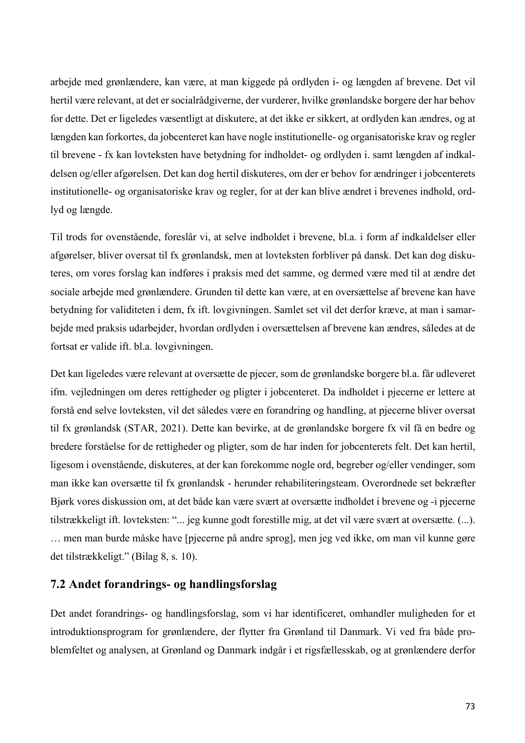arbejde med grønlændere, kan være, at man kiggede på ordlyden i- og længden af brevene. Det vil hertil være relevant, at det er socialrådgiverne, der vurderer, hvilke grønlandske borgere der har behov for dette. Det er ligeledes væsentligt at diskutere, at det ikke er sikkert, at ordlyden kan ændres, og at længden kan forkortes, da jobcenteret kan have nogle institutionelle- og organisatoriske krav og regler til brevene - fx kan lovteksten have betydning for indholdet- og ordlyden i. samt længden af indkaldelsen og/eller afgørelsen. Det kan dog hertil diskuteres, om der er behov for ændringer i jobcenterets institutionelle- og organisatoriske krav og regler, for at der kan blive ændret i brevenes indhold, ordlyd og længde.

Til trods for ovenstående, foreslår vi, at selve indholdet i brevene, bl.a. i form af indkaldelser eller afgørelser, bliver oversat til fx grønlandsk, men at lovteksten forbliver på dansk. Det kan dog diskuteres, om vores forslag kan indføres i praksis med det samme, og dermed være med til at ændre det sociale arbejde med grønlændere. Grunden til dette kan være, at en oversættelse af brevene kan have betydning for validiteten i dem, fx ift. lovgivningen. Samlet set vil det derfor kræve, at man i samarbejde med praksis udarbejder, hvordan ordlyden i oversættelsen af brevene kan ændres, således at de fortsat er valide ift. bl.a. lovgivningen.

Det kan ligeledes være relevant at oversætte de pjecer, som de grønlandske borgere bl.a. får udleveret ifm. vejledningen om deres rettigheder og pligter i jobcenteret. Da indholdet i pjecerne er lettere at forstå end selve lovteksten, vil det således være en forandring og handling, at pjecerne bliver oversat til fx grønlandsk (STAR, 2021). Dette kan bevirke, at de grønlandske borgere fx vil få en bedre og bredere forståelse for de rettigheder og pligter, som de har inden for jobcenterets felt. Det kan hertil, ligesom i ovenstående, diskuteres, at der kan forekomme nogle ord, begreber og/eller vendinger, som man ikke kan oversætte til fx grønlandsk - herunder rehabiliteringsteam. Overordnede set bekræfter Bjørk vores diskussion om, at det både kan være svært at oversætte indholdet i brevene og -i pjecerne tilstrækkeligt ift. lovteksten: "... jeg kunne godt forestille mig, at det vil være svært at oversætte*.* (...). … men man burde måske have [pjecerne på andre sprog], men jeg ved ikke, om man vil kunne gøre det tilstrækkeligt." (Bilag 8, s. 10).

### **7.2 Andet forandrings- og handlingsforslag**

Det andet forandrings- og handlingsforslag, som vi har identificeret, omhandler muligheden for et introduktionsprogram for grønlændere, der flytter fra Grønland til Danmark. Vi ved fra både problemfeltet og analysen, at Grønland og Danmark indgår i et rigsfællesskab, og at grønlændere derfor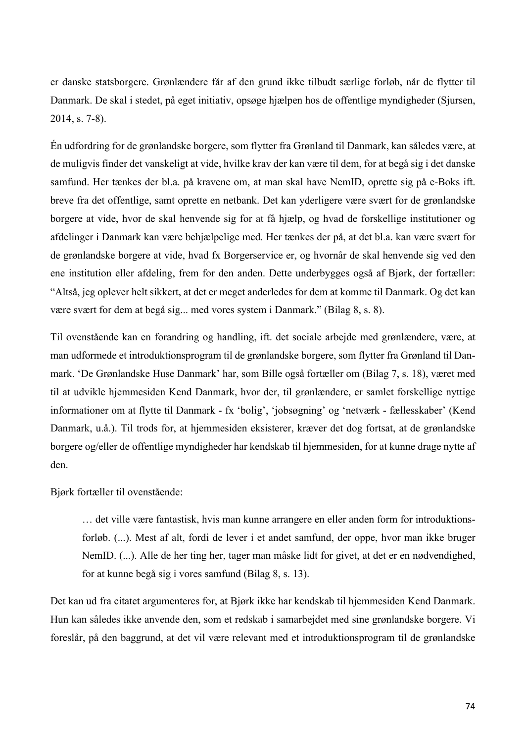er danske statsborgere. Grønlændere får af den grund ikke tilbudt særlige forløb, når de flytter til Danmark. De skal i stedet, på eget initiativ, opsøge hjælpen hos de offentlige myndigheder (Sjursen, 2014, s. 7-8).

Én udfordring for de grønlandske borgere, som flytter fra Grønland til Danmark, kan således være, at de muligvis finder det vanskeligt at vide, hvilke krav der kan være til dem, for at begå sig i det danske samfund. Her tænkes der bl.a. på kravene om, at man skal have NemID, oprette sig på e-Boks ift. breve fra det offentlige, samt oprette en netbank. Det kan yderligere være svært for de grønlandske borgere at vide, hvor de skal henvende sig for at få hjælp, og hvad de forskellige institutioner og afdelinger i Danmark kan være behjælpelige med. Her tænkes der på, at det bl.a. kan være svært for de grønlandske borgere at vide, hvad fx Borgerservice er, og hvornår de skal henvende sig ved den ene institution eller afdeling, frem for den anden. Dette underbygges også af Bjørk, der fortæller: "Altså, jeg oplever helt sikkert, at det er meget anderledes for dem at komme til Danmark. Og det kan være svært for dem at begå sig... med vores system i Danmark." (Bilag 8, s. 8).

Til ovenstående kan en forandring og handling, ift. det sociale arbejde med grønlændere, være, at man udformede et introduktionsprogram til de grønlandske borgere, som flytter fra Grønland til Danmark. 'De Grønlandske Huse Danmark' har, som Bille også fortæller om (Bilag 7, s. 18), været med til at udvikle hjemmesiden Kend Danmark, hvor der, til grønlændere, er samlet forskellige nyttige informationer om at flytte til Danmark - fx 'bolig', 'jobsøgning' og 'netværk - fællesskaber' (Kend Danmark, u.å.). Til trods for, at hjemmesiden eksisterer, kræver det dog fortsat, at de grønlandske borgere og/eller de offentlige myndigheder har kendskab til hjemmesiden, for at kunne drage nytte af den.

Bjørk fortæller til ovenstående:

… det ville være fantastisk, hvis man kunne arrangere en eller anden form for introduktionsforløb. (...). Mest af alt, fordi de lever i et andet samfund, der oppe, hvor man ikke bruger NemID. (...). Alle de her ting her, tager man måske lidt for givet, at det er en nødvendighed, for at kunne begå sig i vores samfund (Bilag 8, s. 13).

Det kan ud fra citatet argumenteres for, at Bjørk ikke har kendskab til hjemmesiden Kend Danmark. Hun kan således ikke anvende den, som et redskab i samarbejdet med sine grønlandske borgere. Vi foreslår, på den baggrund, at det vil være relevant med et introduktionsprogram til de grønlandske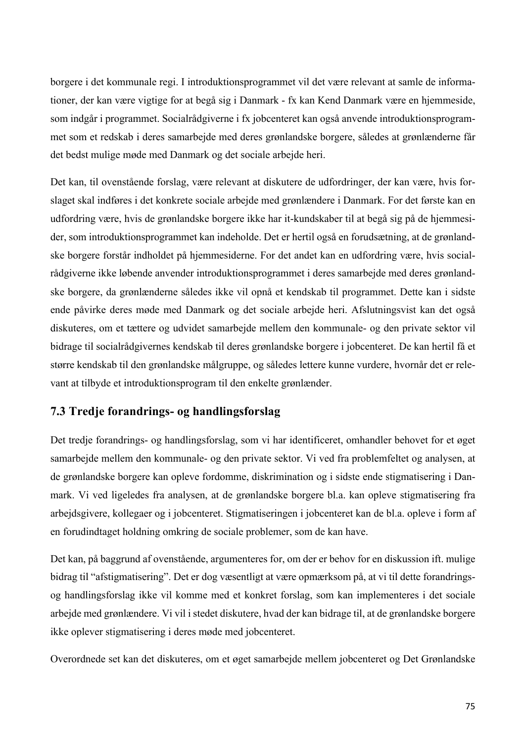borgere i det kommunale regi. I introduktionsprogrammet vil det være relevant at samle de informationer, der kan være vigtige for at begå sig i Danmark - fx kan Kend Danmark være en hjemmeside, som indgår i programmet. Socialrådgiverne i fx jobcenteret kan også anvende introduktionsprogrammet som et redskab i deres samarbejde med deres grønlandske borgere, således at grønlænderne får det bedst mulige møde med Danmark og det sociale arbejde heri.

Det kan, til ovenstående forslag, være relevant at diskutere de udfordringer, der kan være, hvis forslaget skal indføres i det konkrete sociale arbejde med grønlændere i Danmark. For det første kan en udfordring være, hvis de grønlandske borgere ikke har it-kundskaber til at begå sig på de hjemmesider, som introduktionsprogrammet kan indeholde. Det er hertil også en forudsætning, at de grønlandske borgere forstår indholdet på hjemmesiderne. For det andet kan en udfordring være, hvis socialrådgiverne ikke løbende anvender introduktionsprogrammet i deres samarbejde med deres grønlandske borgere, da grønlænderne således ikke vil opnå et kendskab til programmet. Dette kan i sidste ende påvirke deres møde med Danmark og det sociale arbejde heri. Afslutningsvist kan det også diskuteres, om et tættere og udvidet samarbejde mellem den kommunale- og den private sektor vil bidrage til socialrådgivernes kendskab til deres grønlandske borgere i jobcenteret. De kan hertil få et større kendskab til den grønlandske målgruppe, og således lettere kunne vurdere, hvornår det er relevant at tilbyde et introduktionsprogram til den enkelte grønlænder.

# **7.3 Tredje forandrings- og handlingsforslag**

Det tredje forandrings- og handlingsforslag, som vi har identificeret, omhandler behovet for et øget samarbejde mellem den kommunale- og den private sektor. Vi ved fra problemfeltet og analysen, at de grønlandske borgere kan opleve fordomme, diskrimination og i sidste ende stigmatisering i Danmark. Vi ved ligeledes fra analysen, at de grønlandske borgere bl.a. kan opleve stigmatisering fra arbejdsgivere, kollegaer og i jobcenteret. Stigmatiseringen i jobcenteret kan de bl.a. opleve i form af en forudindtaget holdning omkring de sociale problemer, som de kan have.

Det kan, på baggrund af ovenstående, argumenteres for, om der er behov for en diskussion ift. mulige bidrag til "afstigmatisering". Det er dog væsentligt at være opmærksom på, at vi til dette forandringsog handlingsforslag ikke vil komme med et konkret forslag, som kan implementeres i det sociale arbejde med grønlændere. Vi vil i stedet diskutere, hvad der kan bidrage til, at de grønlandske borgere ikke oplever stigmatisering i deres møde med jobcenteret.

Overordnede set kan det diskuteres, om et øget samarbejde mellem jobcenteret og Det Grønlandske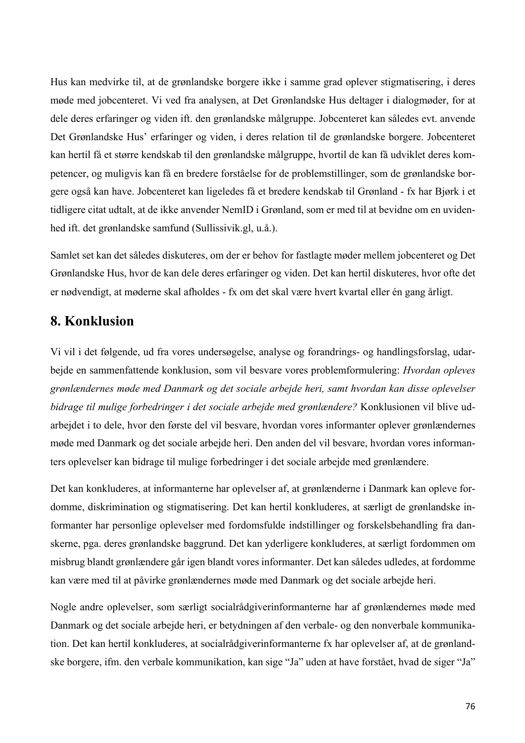Hus kan medvirke til, at de grønlandske borgere ikke i samme grad oplever stigmatisering, i deres møde med jobcenteret. Vi ved fra analysen, at Det Grønlandske Hus deltager i dialogmøder, for at dele deres erfaringer og viden ift. den grønlandske målgruppe. Jobcenteret kan således evt. anvende Det Grønlandske Hus' erfaringer og viden, i deres relation til de grønlandske borgere. Jobcenteret kan hertil få et større kendskab til den grønlandske målgruppe, hvortil de kan få udviklet deres kompetencer, og muligvis kan få en bredere forståelse for de problemstillinger, som de grønlandske borgere også kan have. Jobcenteret kan ligeledes få et bredere kendskab til Grønland - fx har Bjørk i et tidligere citat udtalt, at de ikke anvender NemID i Grønland, som er med til at bevidne om en uvidenhed ift. det grønlandske samfund (Sullissivik.gl, u.å.).

Samlet set kan det således diskuteres, om der er behov for fastlagte møder mellem jobcenteret og Det Grønlandske Hus, hvor de kan dele deres erfaringer og viden. Det kan hertil diskuteres, hvor ofte det er nødvendigt, at møderne skal afholdes - fx om det skal være hvert kvartal eller én gang årligt.

## **8. Konklusion**

Vi vil i det følgende, ud fra vores undersøgelse, analyse og forandrings- og handlingsforslag, udarbejde en sammenfattende konklusion, som vil besvare vores problemformulering: *Hvordan opleves grønlændernes møde med Danmark og det sociale arbejde heri, samt hvordan kan disse oplevelser bidrage til mulige forbedringer i det sociale arbejde med grønlændere?* Konklusionen vil blive udarbejdet i to dele, hvor den første del vil besvare, hvordan vores informanter oplever grønlændernes møde med Danmark og det sociale arbejde heri. Den anden del vil besvare, hvordan vores informanters oplevelser kan bidrage til mulige forbedringer i det sociale arbejde med grønlændere.

Det kan konkluderes, at informanterne har oplevelser af, at grønlænderne i Danmark kan opleve fordomme, diskrimination og stigmatisering. Det kan hertil konkluderes, at særligt de grønlandske informanter har personlige oplevelser med fordomsfulde indstillinger og forskelsbehandling fra danskerne, pga. deres grønlandske baggrund. Det kan yderligere konkluderes, at særligt fordommen om misbrug blandt grønlændere går igen blandt vores informanter. Det kan således udledes, at fordomme kan være med til at påvirke grønlændernes møde med Danmark og det sociale arbejde heri.

Nogle andre oplevelser, som særligt socialrådgiverinformanterne har af grønlændernes møde med Danmark og det sociale arbejde heri, er betydningen af den verbale- og den nonverbale kommunikation. Det kan hertil konkluderes, at socialrådgiverinformanterne fx har oplevelser af, at de grønlandske borgere, ifm. den verbale kommunikation, kan sige "Ja" uden at have forstået, hvad de siger "Ja"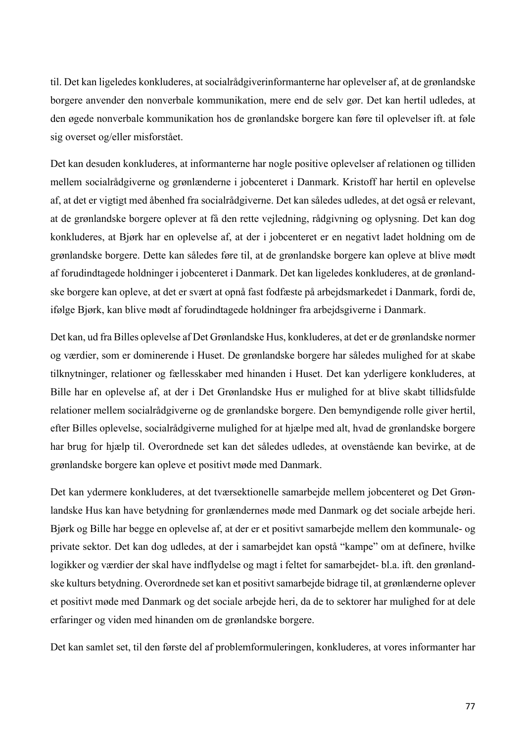til. Det kan ligeledes konkluderes, at socialrådgiverinformanterne har oplevelser af, at de grønlandske borgere anvender den nonverbale kommunikation, mere end de selv gør. Det kan hertil udledes, at den øgede nonverbale kommunikation hos de grønlandske borgere kan føre til oplevelser ift. at føle sig overset og/eller misforstået.

Det kan desuden konkluderes, at informanterne har nogle positive oplevelser af relationen og tilliden mellem socialrådgiverne og grønlænderne i jobcenteret i Danmark. Kristoff har hertil en oplevelse af, at det er vigtigt med åbenhed fra socialrådgiverne. Det kan således udledes, at det også er relevant, at de grønlandske borgere oplever at få den rette vejledning, rådgivning og oplysning. Det kan dog konkluderes, at Bjørk har en oplevelse af, at der i jobcenteret er en negativt ladet holdning om de grønlandske borgere. Dette kan således føre til, at de grønlandske borgere kan opleve at blive mødt af forudindtagede holdninger i jobcenteret i Danmark. Det kan ligeledes konkluderes, at de grønlandske borgere kan opleve, at det er svært at opnå fast fodfæste på arbejdsmarkedet i Danmark, fordi de, ifølge Bjørk, kan blive mødt af forudindtagede holdninger fra arbejdsgiverne i Danmark.

Det kan, ud fra Billes oplevelse af Det Grønlandske Hus, konkluderes, at det er de grønlandske normer og værdier, som er dominerende i Huset. De grønlandske borgere har således mulighed for at skabe tilknytninger, relationer og fællesskaber med hinanden i Huset. Det kan yderligere konkluderes, at Bille har en oplevelse af, at der i Det Grønlandske Hus er mulighed for at blive skabt tillidsfulde relationer mellem socialrådgiverne og de grønlandske borgere. Den bemyndigende rolle giver hertil, efter Billes oplevelse, socialrådgiverne mulighed for at hjælpe med alt, hvad de grønlandske borgere har brug for hjælp til. Overordnede set kan det således udledes, at ovenstående kan bevirke, at de grønlandske borgere kan opleve et positivt møde med Danmark.

Det kan ydermere konkluderes, at det tværsektionelle samarbejde mellem jobcenteret og Det Grønlandske Hus kan have betydning for grønlændernes møde med Danmark og det sociale arbejde heri. Bjørk og Bille har begge en oplevelse af, at der er et positivt samarbejde mellem den kommunale- og private sektor. Det kan dog udledes, at der i samarbejdet kan opstå "kampe" om at definere, hvilke logikker og værdier der skal have indflydelse og magt i feltet for samarbejdet- bl.a. ift. den grønlandske kulturs betydning. Overordnede set kan et positivt samarbejde bidrage til, at grønlænderne oplever et positivt møde med Danmark og det sociale arbejde heri, da de to sektorer har mulighed for at dele erfaringer og viden med hinanden om de grønlandske borgere.

Det kan samlet set, til den første del af problemformuleringen, konkluderes, at vores informanter har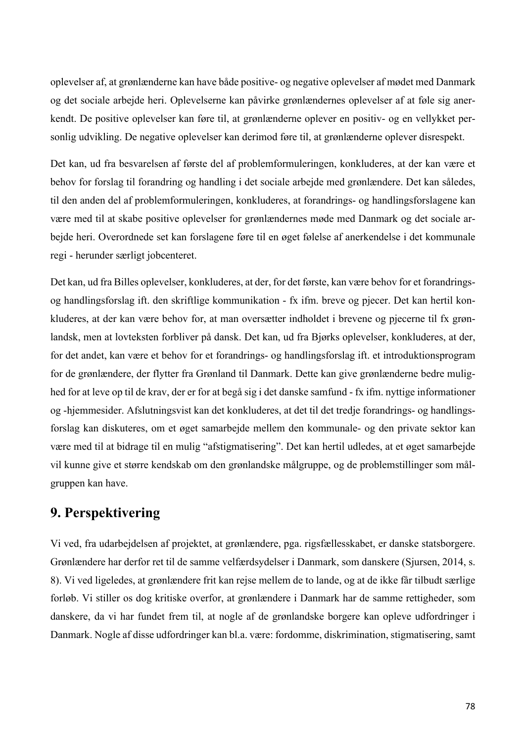oplevelser af, at grønlænderne kan have både positive- og negative oplevelser af mødet med Danmark og det sociale arbejde heri. Oplevelserne kan påvirke grønlændernes oplevelser af at føle sig anerkendt. De positive oplevelser kan føre til, at grønlænderne oplever en positiv- og en vellykket personlig udvikling. De negative oplevelser kan derimod føre til, at grønlænderne oplever disrespekt.

Det kan, ud fra besvarelsen af første del af problemformuleringen, konkluderes, at der kan være et behov for forslag til forandring og handling i det sociale arbejde med grønlændere. Det kan således, til den anden del af problemformuleringen, konkluderes, at forandrings- og handlingsforslagene kan være med til at skabe positive oplevelser for grønlændernes møde med Danmark og det sociale arbejde heri. Overordnede set kan forslagene føre til en øget følelse af anerkendelse i det kommunale regi - herunder særligt jobcenteret.

Det kan, ud fra Billes oplevelser, konkluderes, at der, for det første, kan være behov for et forandringsog handlingsforslag ift. den skriftlige kommunikation - fx ifm. breve og pjecer. Det kan hertil konkluderes, at der kan være behov for, at man oversætter indholdet i brevene og pjecerne til fx grønlandsk, men at lovteksten forbliver på dansk. Det kan, ud fra Bjørks oplevelser, konkluderes, at der, for det andet, kan være et behov for et forandrings- og handlingsforslag ift. et introduktionsprogram for de grønlændere, der flytter fra Grønland til Danmark. Dette kan give grønlænderne bedre mulighed for at leve op til de krav, der er for at begå sig i det danske samfund - fx ifm. nyttige informationer og -hjemmesider. Afslutningsvist kan det konkluderes, at det til det tredje forandrings- og handlingsforslag kan diskuteres, om et øget samarbejde mellem den kommunale- og den private sektor kan være med til at bidrage til en mulig "afstigmatisering". Det kan hertil udledes, at et øget samarbejde vil kunne give et større kendskab om den grønlandske målgruppe, og de problemstillinger som målgruppen kan have.

# **9. Perspektivering**

Vi ved, fra udarbejdelsen af projektet, at grønlændere, pga. rigsfællesskabet, er danske statsborgere. Grønlændere har derfor ret til de samme velfærdsydelser i Danmark, som danskere (Sjursen, 2014, s. 8). Vi ved ligeledes, at grønlændere frit kan rejse mellem de to lande, og at de ikke får tilbudt særlige forløb. Vi stiller os dog kritiske overfor, at grønlændere i Danmark har de samme rettigheder, som danskere, da vi har fundet frem til, at nogle af de grønlandske borgere kan opleve udfordringer i Danmark. Nogle af disse udfordringer kan bl.a. være: fordomme, diskrimination, stigmatisering, samt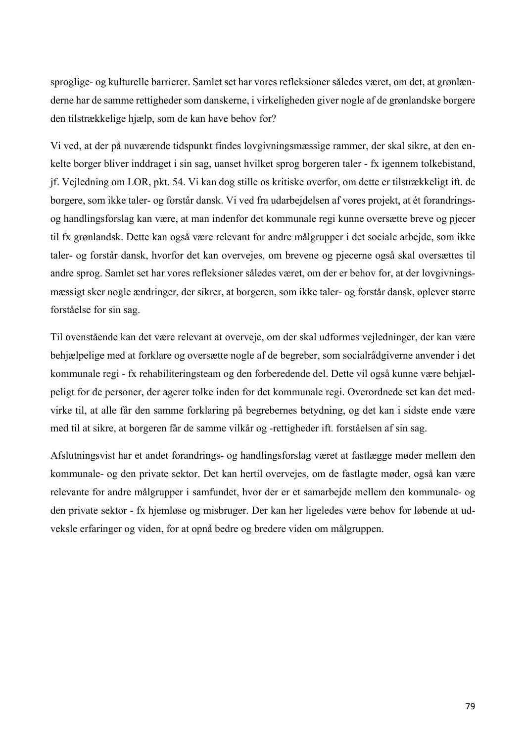sproglige- og kulturelle barrierer. Samlet set har vores refleksioner således været, om det, at grønlænderne har de samme rettigheder som danskerne, i virkeligheden giver nogle af de grønlandske borgere den tilstrækkelige hjælp, som de kan have behov for?

Vi ved, at der på nuværende tidspunkt findes lovgivningsmæssige rammer, der skal sikre, at den enkelte borger bliver inddraget i sin sag, uanset hvilket sprog borgeren taler - fx igennem tolkebistand, jf. Vejledning om LOR, pkt. 54. Vi kan dog stille os kritiske overfor, om dette er tilstrækkeligt ift. de borgere, som ikke taler- og forstår dansk. Vi ved fra udarbejdelsen af vores projekt, at ét forandringsog handlingsforslag kan være, at man indenfor det kommunale regi kunne oversætte breve og pjecer til fx grønlandsk. Dette kan også være relevant for andre målgrupper i det sociale arbejde, som ikke taler- og forstår dansk, hvorfor det kan overvejes, om brevene og pjecerne også skal oversættes til andre sprog. Samlet set har vores refleksioner således været, om der er behov for, at der lovgivningsmæssigt sker nogle ændringer, der sikrer, at borgeren, som ikke taler- og forstår dansk, oplever større forståelse for sin sag.

Til ovenstående kan det være relevant at overveje, om der skal udformes vejledninger, der kan være behjælpelige med at forklare og oversætte nogle af de begreber, som socialrådgiverne anvender i det kommunale regi - fx rehabiliteringsteam og den forberedende del. Dette vil også kunne være behjælpeligt for de personer, der agerer tolke inden for det kommunale regi. Overordnede set kan det medvirke til, at alle får den samme forklaring på begrebernes betydning, og det kan i sidste ende være med til at sikre, at borgeren får de samme vilkår og -rettigheder ift. forståelsen af sin sag.

Afslutningsvist har et andet forandrings- og handlingsforslag været at fastlægge møder mellem den kommunale- og den private sektor. Det kan hertil overvejes, om de fastlagte møder, også kan være relevante for andre målgrupper i samfundet, hvor der er et samarbejde mellem den kommunale- og den private sektor - fx hjemløse og misbruger. Der kan her ligeledes være behov for løbende at udveksle erfaringer og viden, for at opnå bedre og bredere viden om målgruppen.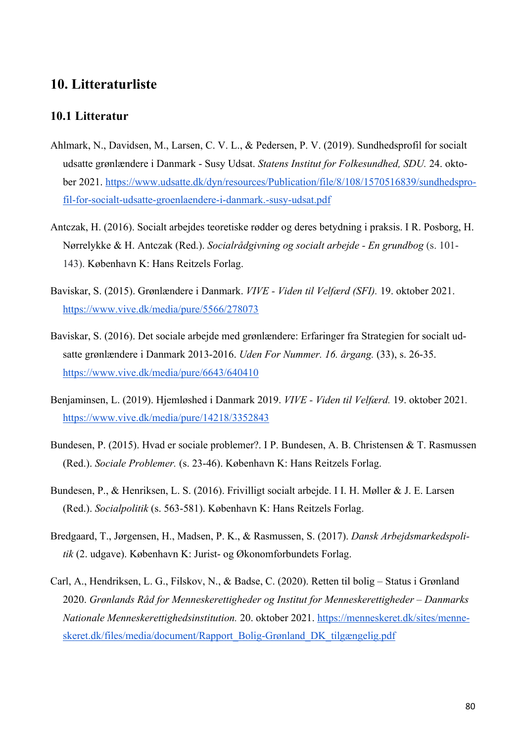# **10. Litteraturliste**

#### **10.1 Litteratur**

- Ahlmark, N., Davidsen, M., Larsen, C. V. L., & Pedersen, P. V. (2019). Sundhedsprofil for socialt udsatte grønlændere i Danmark - Susy Udsat. *Statens Institut for Folkesundhed, SDU.* 24. oktober 2021. https://www.udsatte.dk/dyn/resources/Publication/file/8/108/1570516839/sundhedsprofil-for-socialt-udsatte-groenlaendere-i-danmark.-susy-udsat.pdf
- Antczak, H. (2016). Socialt arbejdes teoretiske rødder og deres betydning i praksis. I R. Posborg, H. Nørrelykke & H. Antczak (Red.). *Socialrådgivning og socialt arbejde - En grundbog* (s. 101- 143). København K: Hans Reitzels Forlag.
- Baviskar, S. (2015). Grønlændere i Danmark. *VIVE - Viden til Velfærd (SFI).* 19. oktober 2021. https://www.vive.dk/media/pure/5566/278073
- Baviskar, S. (2016). Det sociale arbejde med grønlændere: Erfaringer fra Strategien for socialt udsatte grønlændere i Danmark 2013-2016. *Uden For Nummer. 16. årgang.* (33), s. 26-35. https://www.vive.dk/media/pure/6643/640410
- Benjaminsen, L. (2019). Hjemløshed i Danmark 2019. *VIVE - Viden til Velfærd.* 19. oktober 2021*.*  https://www.vive.dk/media/pure/14218/3352843
- Bundesen, P. (2015). Hvad er sociale problemer?. I P. Bundesen, A. B. Christensen & T. Rasmussen (Red.). *Sociale Problemer.* (s. 23-46). København K: Hans Reitzels Forlag.
- Bundesen, P., & Henriksen, L. S. (2016). Frivilligt socialt arbejde. I I. H. Møller & J. E. Larsen (Red.). *Socialpolitik* (s. 563-581). København K: Hans Reitzels Forlag.
- Bredgaard, T., Jørgensen, H., Madsen, P. K., & Rasmussen, S. (2017). *Dansk Arbejdsmarkedspolitik* (2. udgave). København K: Jurist- og Økonomforbundets Forlag.
- Carl, A., Hendriksen, L. G., Filskov, N., & Badse, C. (2020). Retten til bolig Status i Grønland 2020. *Grønlands Råd for Menneskerettigheder og Institut for Menneskerettigheder – Danmarks Nationale Menneskerettighedsinstitution.* 20. oktober 2021. https://menneskeret.dk/sites/menneskeret.dk/files/media/document/Rapport\_Bolig-Grønland\_DK\_tilgængelig.pdf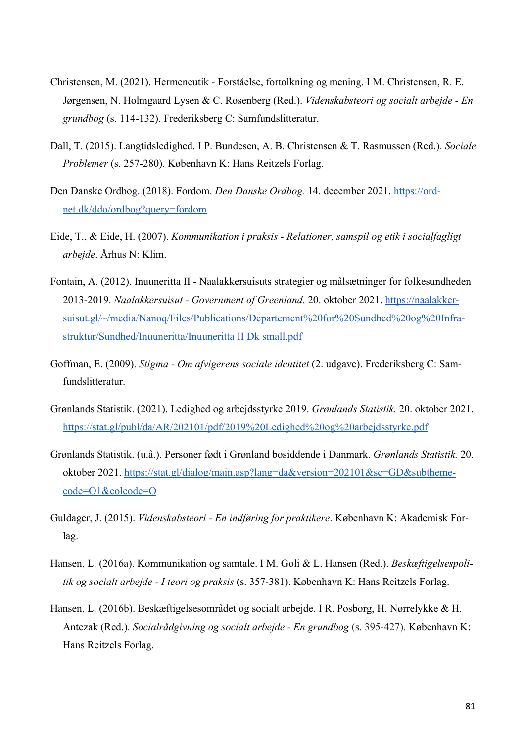- Christensen, M. (2021). Hermeneutik Forståelse, fortolkning og mening. I M. Christensen, R. E. Jørgensen, N. Holmgaard Lysen & C. Rosenberg (Red.). *Videnskabsteori og socialt arbejde - En grundbog* (s. 114-132). Frederiksberg C: Samfundslitteratur.
- Dall, T. (2015). Langtidsledighed. I P. Bundesen, A. B. Christensen & T. Rasmussen (Red.). *Sociale Problemer* (s. 257-280). København K: Hans Reitzels Forlag.
- Den Danske Ordbog. (2018). Fordom. *Den Danske Ordbog.* 14. december 2021. https://ordnet.dk/ddo/ordbog?query=fordom
- Eide, T., & Eide, H. (2007). *Kommunikation i praksis - Relationer, samspil og etik i socialfagligt arbejde*. Århus N: Klim.
- Fontain, A. (2012). Inuuneritta II Naalakkersuisuts strategier og målsætninger for folkesundheden 2013-2019. *Naalakkersuisut - Government of Greenland.* 20. oktober 2021. https://naalakkersuisut.gl/~/media/Nanoq/Files/Publications/Departement%20for%20Sundhed%20og%20Infrastruktur/Sundhed/Inuuneritta/Inuuneritta II Dk small.pdf
- Goffman, E. (2009). *Stigma - Om afvigerens sociale identitet* (2. udgave). Frederiksberg C: Samfundslitteratur.
- Grønlands Statistik. (2021). Ledighed og arbejdsstyrke 2019. *Grønlands Statistik.* 20. oktober 2021. https://stat.gl/publ/da/AR/202101/pdf/2019%20Ledighed%20og%20arbejdsstyrke.pdf
- Grønlands Statistik. (u.å.). Personer født i Grønland bosiddende i Danmark. *Grønlands Statistik.* 20. oktober 2021. https://stat.gl/dialog/main.asp?lang=da&version=202101&sc=GD&subthemecode=O1&colcode=O
- Guldager, J. (2015). *Videnskabsteori - En indføring for praktikere*. København K: Akademisk Forlag.
- Hansen, L. (2016a). Kommunikation og samtale. I M. Goli & L. Hansen (Red.). *Beskæftigelsespolitik og socialt arbejde - I teori og praksis* (s. 357-381). København K: Hans Reitzels Forlag.
- Hansen, L. (2016b). Beskæftigelsesområdet og socialt arbejde. I R. Posborg, H. Nørrelykke & H. Antczak (Red.). *Socialrådgivning og socialt arbejde - En grundbog* (s. 395-427). København K: Hans Reitzels Forlag.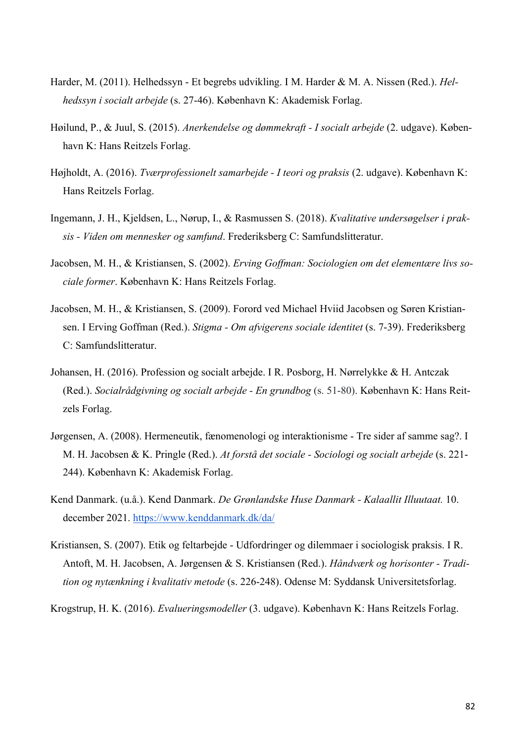- Harder, M. (2011). Helhedssyn Et begrebs udvikling. I M. Harder & M. A. Nissen (Red.). *Helhedssyn i socialt arbejde* (s. 27-46). København K: Akademisk Forlag.
- Høilund, P., & Juul, S. (2015). *Anerkendelse og dømmekraft - I socialt arbejde* (2. udgave). København K: Hans Reitzels Forlag.
- Højholdt, A. (2016). *Tværprofessionelt samarbejde - I teori og praksis* (2. udgave). København K: Hans Reitzels Forlag.
- Ingemann, J. H., Kjeldsen, L., Nørup, I., & Rasmussen S. (2018). *Kvalitative undersøgelser i praksis - Viden om mennesker og samfund*. Frederiksberg C: Samfundslitteratur.
- Jacobsen, M. H., & Kristiansen, S. (2002). *Erving Goffman: Sociologien om det elementære livs sociale former*. København K: Hans Reitzels Forlag.
- Jacobsen, M. H., & Kristiansen, S. (2009). Forord ved Michael Hviid Jacobsen og Søren Kristiansen. I Erving Goffman (Red.). *Stigma - Om afvigerens sociale identitet* (s. 7-39). Frederiksberg C: Samfundslitteratur.
- Johansen, H. (2016). Profession og socialt arbejde. I R. Posborg, H. Nørrelykke & H. Antczak (Red.). *Socialrådgivning og socialt arbejde - En grundbog* (s. 51-80). København K: Hans Reitzels Forlag.
- Jørgensen, A. (2008). Hermeneutik, fænomenologi og interaktionisme Tre sider af samme sag?. I M. H. Jacobsen & K. Pringle (Red.). *At forstå det sociale - Sociologi og socialt arbejde* (s. 221- 244). København K: Akademisk Forlag.
- Kend Danmark. (u.å.). Kend Danmark. *De Grønlandske Huse Danmark - Kalaallit Illuutaat.* 10. december 2021. https://www.kenddanmark.dk/da/
- Kristiansen, S. (2007). Etik og feltarbejde Udfordringer og dilemmaer i sociologisk praksis. I R. Antoft, M. H. Jacobsen, A. Jørgensen & S. Kristiansen (Red.). *Håndværk og horisonter - Tradition og nytænkning i kvalitativ metode* (s. 226-248). Odense M: Syddansk Universitetsforlag.

Krogstrup, H. K. (2016). *Evalueringsmodeller* (3. udgave). København K: Hans Reitzels Forlag.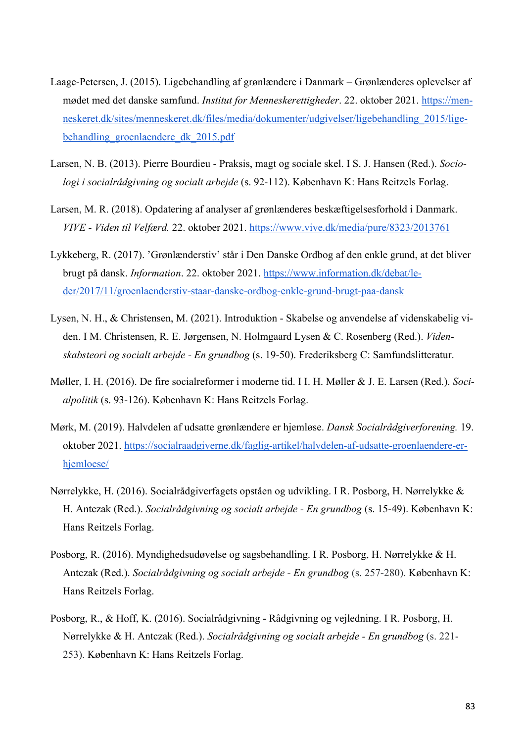- Laage-Petersen, J. (2015). Ligebehandling af grønlændere i Danmark Grønlænderes oplevelser af mødet med det danske samfund. *Institut for Menneskerettigheder*. 22. oktober 2021. https://menneskeret.dk/sites/menneskeret.dk/files/media/dokumenter/udgivelser/ligebehandling\_2015/ligebehandling groenlaendere dk 2015.pdf
- Larsen, N. B. (2013). Pierre Bourdieu Praksis, magt og sociale skel. I S. J. Hansen (Red.). *Sociologi i socialrådgivning og socialt arbejde* (s. 92-112). København K: Hans Reitzels Forlag.
- Larsen, M. R. (2018). Opdatering af analyser af grønlænderes beskæftigelsesforhold i Danmark. *VIVE - Viden til Velfærd.* 22. oktober 2021. https://www.vive.dk/media/pure/8323/2013761
- Lykkeberg, R. (2017). 'Grønlænderstiv' står i Den Danske Ordbog af den enkle grund, at det bliver brugt på dansk. *Information*. 22. oktober 2021. https://www.information.dk/debat/leder/2017/11/groenlaenderstiv-staar-danske-ordbog-enkle-grund-brugt-paa-dansk
- Lysen, N. H., & Christensen, M. (2021). Introduktion Skabelse og anvendelse af videnskabelig viden. I M. Christensen, R. E. Jørgensen, N. Holmgaard Lysen & C. Rosenberg (Red.). *Videnskabsteori og socialt arbejde - En grundbog* (s. 19-50). Frederiksberg C: Samfundslitteratur.
- Møller, I. H. (2016). De fire socialreformer i moderne tid. I I. H. Møller & J. E. Larsen (Red.). *Socialpolitik* (s. 93-126). København K: Hans Reitzels Forlag.
- Mørk, M. (2019). Halvdelen af udsatte grønlændere er hjemløse. *Dansk Socialrådgiverforening.* 19. oktober 2021. https://socialraadgiverne.dk/faglig-artikel/halvdelen-af-udsatte-groenlaendere-erhjemloese/
- Nørrelykke, H. (2016). Socialrådgiverfagets opståen og udvikling. I R. Posborg, H. Nørrelykke & H. Antczak (Red.). *Socialrådgivning og socialt arbejde - En grundbog* (s. 15-49). København K: Hans Reitzels Forlag.
- Posborg, R. (2016). Myndighedsudøvelse og sagsbehandling. I R. Posborg, H. Nørrelykke & H. Antczak (Red.). *Socialrådgivning og socialt arbejde - En grundbog* (s. 257-280). København K: Hans Reitzels Forlag.
- Posborg, R., & Hoff, K. (2016). Socialrådgivning Rådgivning og vejledning. I R. Posborg, H. Nørrelykke & H. Antczak (Red.). *Socialrådgivning og socialt arbejde - En grundbog* (s. 221- 253). København K: Hans Reitzels Forlag.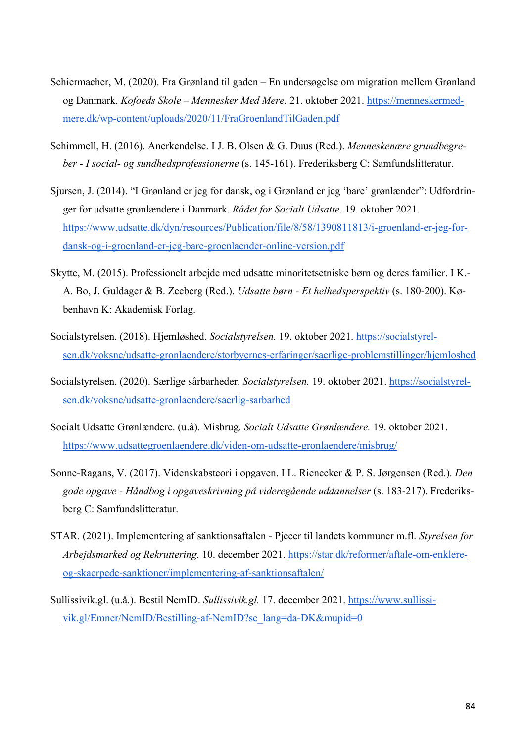- Schiermacher, M. (2020). Fra Grønland til gaden En undersøgelse om migration mellem Grønland og Danmark. *Kofoeds Skole – Mennesker Med Mere.* 21. oktober 2021. https://menneskermedmere.dk/wp-content/uploads/2020/11/FraGroenlandTilGaden.pdf
- Schimmell, H. (2016). Anerkendelse. I J. B. Olsen & G. Duus (Red.). *Menneskenære grundbegreber - I social- og sundhedsprofessionerne* (s. 145-161). Frederiksberg C: Samfundslitteratur.
- Sjursen, J. (2014). "I Grønland er jeg for dansk, og i Grønland er jeg 'bare' grønlænder": Udfordringer for udsatte grønlændere i Danmark. *Rådet for Socialt Udsatte.* 19. oktober 2021. https://www.udsatte.dk/dyn/resources/Publication/file/8/58/1390811813/i-groenland-er-jeg-fordansk-og-i-groenland-er-jeg-bare-groenlaender-online-version.pdf
- Skytte, M. (2015). Professionelt arbejde med udsatte minoritetsetniske børn og deres familier. I K.- A. Bo, J. Guldager & B. Zeeberg (Red.). *Udsatte børn - Et helhedsperspektiv* (s. 180-200). København K: Akademisk Forlag.
- Socialstyrelsen. (2018). Hjemløshed. *Socialstyrelsen.* 19. oktober 2021. https://socialstyrelsen.dk/voksne/udsatte-gronlaendere/storbyernes-erfaringer/saerlige-problemstillinger/hjemloshed
- Socialstyrelsen. (2020). Særlige sårbarheder. *Socialstyrelsen.* 19. oktober 2021. https://socialstyrelsen.dk/voksne/udsatte-gronlaendere/saerlig-sarbarhed
- Socialt Udsatte Grønlændere. (u.å). Misbrug. *Socialt Udsatte Grønlændere.* 19. oktober 2021. https://www.udsattegroenlaendere.dk/viden-om-udsatte-gronlaendere/misbrug/
- Sonne-Ragans, V. (2017). Videnskabsteori i opgaven. I L. Rienecker & P. S. Jørgensen (Red.). *Den gode opgave - Håndbog i opgaveskrivning på videregående uddannelser* (s. 183-217). Frederiksberg C: Samfundslitteratur.
- STAR. (2021). Implementering af sanktionsaftalen Pjecer til landets kommuner m.fl. *Styrelsen for Arbejdsmarked og Rekruttering.* 10. december 2021. https://star.dk/reformer/aftale-om-enklereog-skaerpede-sanktioner/implementering-af-sanktionsaftalen/
- Sullissivik.gl. (u.å.). Bestil NemID. *Sullissivik.gl.* 17. december 2021. https://www.sullissivik.gl/Emner/NemID/Bestilling-af-NemID?sc\_lang=da-DK&mupid=0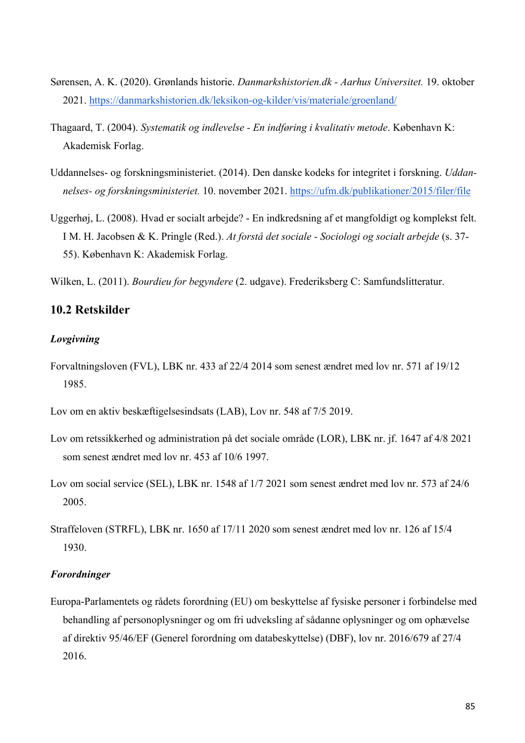- Sørensen, A. K. (2020). Grønlands historie. *Danmarkshistorien.dk - Aarhus Universitet.* 19. oktober 2021. https://danmarkshistorien.dk/leksikon-og-kilder/vis/materiale/groenland/
- Thagaard, T. (2004). *Systematik og indlevelse - En indføring i kvalitativ metode*. København K: Akademisk Forlag.
- Uddannelses- og forskningsministeriet. (2014). Den danske kodeks for integritet i forskning. *Uddannelses- og forskningsministeriet.* 10. november 2021. https://ufm.dk/publikationer/2015/filer/file
- Uggerhøj, L. (2008). Hvad er socialt arbejde? En indkredsning af et mangfoldigt og komplekst felt. I M. H. Jacobsen & K. Pringle (Red.). *At forstå det sociale - Sociologi og socialt arbejde* (s. 37- 55). København K: Akademisk Forlag.
- Wilken, L. (2011). *Bourdieu for begyndere* (2. udgave). Frederiksberg C: Samfundslitteratur.

### **10.2 Retskilder**

#### *Lovgivning*

- Forvaltningsloven (FVL), LBK nr. 433 af 22/4 2014 som senest ændret med lov nr. 571 af 19/12 1985.
- Lov om en aktiv beskæftigelsesindsats (LAB), Lov nr. 548 af 7/5 2019.
- Lov om retssikkerhed og administration på det sociale område (LOR), LBK nr. jf. 1647 af 4/8 2021 som senest ændret med lov nr. 453 af 10/6 1997.
- Lov om social service (SEL), LBK nr. 1548 af 1/7 2021 som senest ændret med lov nr. 573 af 24/6 2005.
- Straffeloven (STRFL), LBK nr. 1650 af 17/11 2020 som senest ændret med lov nr. 126 af 15/4 1930.

#### *Forordninger*

Europa-Parlamentets og rådets forordning (EU) om beskyttelse af fysiske personer i forbindelse med behandling af personoplysninger og om fri udveksling af sådanne oplysninger og om ophævelse af direktiv 95/46/EF (Generel forordning om databeskyttelse) (DBF), lov nr. 2016/679 af 27/4 2016.